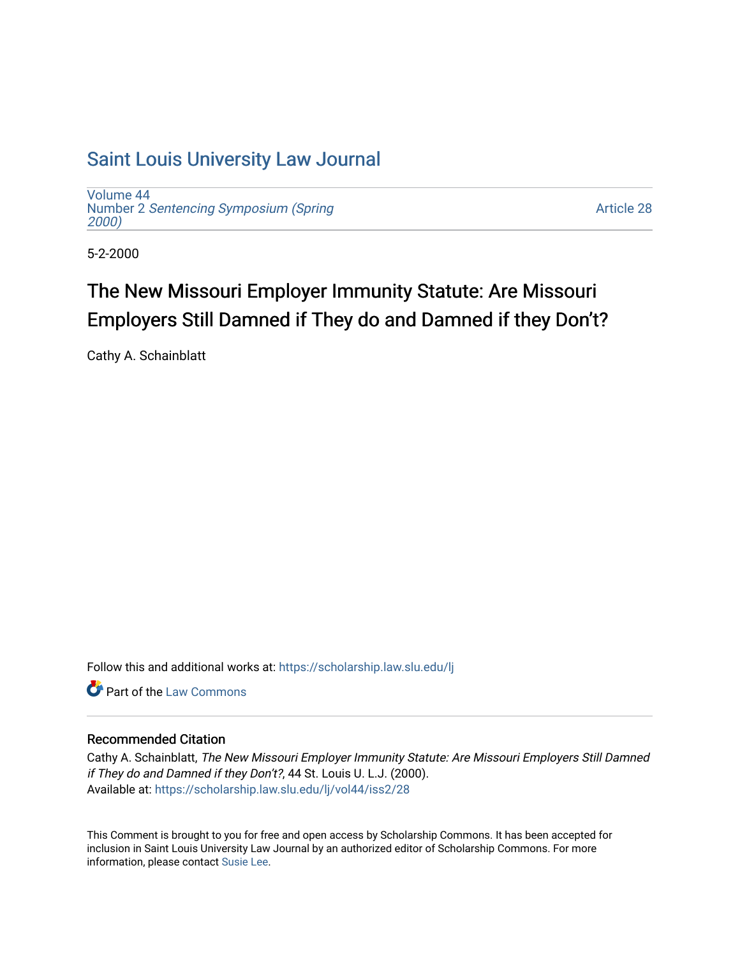# [Saint Louis University Law Journal](https://scholarship.law.slu.edu/lj)

[Volume 44](https://scholarship.law.slu.edu/lj/vol44) Number 2 [Sentencing Symposium \(Spring](https://scholarship.law.slu.edu/lj/vol44/iss2)  [2000\)](https://scholarship.law.slu.edu/lj/vol44/iss2) 

[Article 28](https://scholarship.law.slu.edu/lj/vol44/iss2/28) 

5-2-2000

# The New Missouri Employer Immunity Statute: Are Missouri Employers Still Damned if They do and Damned if they Don't?

Cathy A. Schainblatt

Follow this and additional works at: [https://scholarship.law.slu.edu/lj](https://scholarship.law.slu.edu/lj?utm_source=scholarship.law.slu.edu%2Flj%2Fvol44%2Fiss2%2F28&utm_medium=PDF&utm_campaign=PDFCoverPages) 

**C** Part of the [Law Commons](http://network.bepress.com/hgg/discipline/578?utm_source=scholarship.law.slu.edu%2Flj%2Fvol44%2Fiss2%2F28&utm_medium=PDF&utm_campaign=PDFCoverPages)

# Recommended Citation

Cathy A. Schainblatt, The New Missouri Employer Immunity Statute: Are Missouri Employers Still Damned if They do and Damned if they Don't?, 44 St. Louis U. L.J. (2000). Available at: [https://scholarship.law.slu.edu/lj/vol44/iss2/28](https://scholarship.law.slu.edu/lj/vol44/iss2/28?utm_source=scholarship.law.slu.edu%2Flj%2Fvol44%2Fiss2%2F28&utm_medium=PDF&utm_campaign=PDFCoverPages)

This Comment is brought to you for free and open access by Scholarship Commons. It has been accepted for inclusion in Saint Louis University Law Journal by an authorized editor of Scholarship Commons. For more information, please contact [Susie Lee](mailto:susie.lee@slu.edu).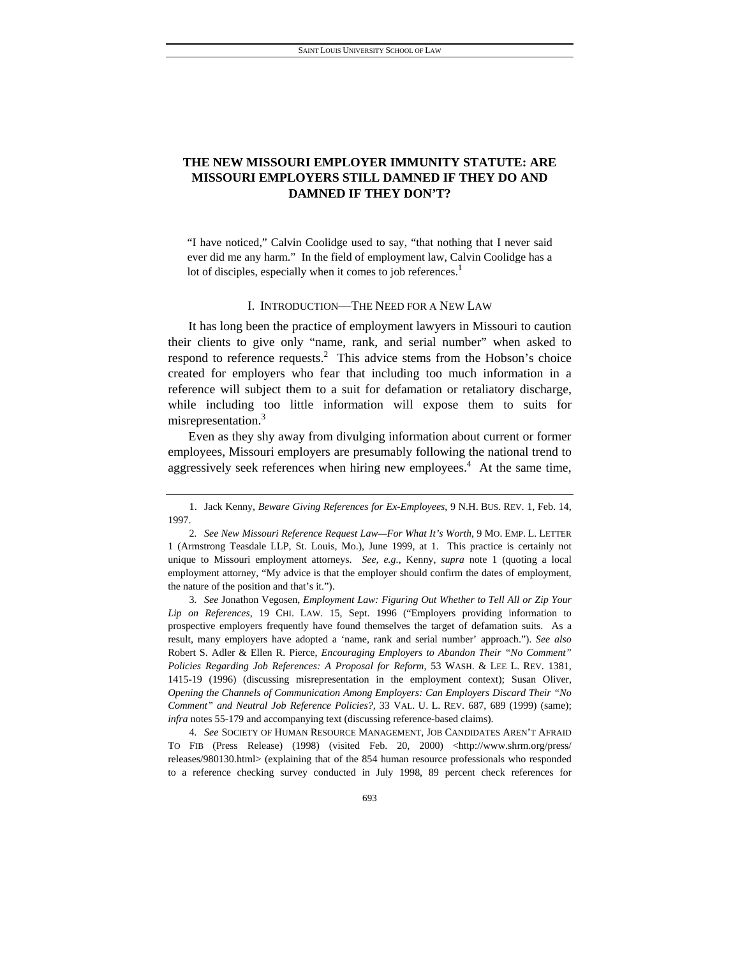# **THE NEW MISSOURI EMPLOYER IMMUNITY STATUTE: ARE MISSOURI EMPLOYERS STILL DAMNED IF THEY DO AND DAMNED IF THEY DON'T?**

"I have noticed," Calvin Coolidge used to say, "that nothing that I never said ever did me any harm." In the field of employment law, Calvin Coolidge has a lot of disciples, especially when it comes to job references. $<sup>1</sup>$ </sup>

# I. INTRODUCTION—THE NEED FOR A NEW LAW

It has long been the practice of employment lawyers in Missouri to caution their clients to give only "name, rank, and serial number" when asked to respond to reference requests.<sup>2</sup> This advice stems from the Hobson's choice created for employers who fear that including too much information in a reference will subject them to a suit for defamation or retaliatory discharge, while including too little information will expose them to suits for misrepresentation.3

Even as they shy away from divulging information about current or former employees, Missouri employers are presumably following the national trend to aggressively seek references when hiring new employees.<sup>4</sup> At the same time,

3*. See* Jonathon Vegosen, *Employment Law: Figuring Out Whether to Tell All or Zip Your Lip on References,* 19 CHI. LAW. 15, Sept. 1996 ("Employers providing information to prospective employers frequently have found themselves the target of defamation suits. As a result, many employers have adopted a 'name, rank and serial number' approach."). *See also*  Robert S. Adler & Ellen R. Pierce, *Encouraging Employers to Abandon Their "No Comment" Policies Regarding Job References: A Proposal for Reform*, 53 WASH. & LEE L. REV. 1381, 1415-19 (1996) (discussing misrepresentation in the employment context); Susan Oliver, *Opening the Channels of Communication Among Employers: Can Employers Discard Their "No Comment" and Neutral Job Reference Policies?,* 33 VAL. U. L. REV. 687, 689 (1999) (same); *infra* notes 55-179 and accompanying text (discussing reference-based claims).

4*. See* SOCIETY OF HUMAN RESOURCE MANAGEMENT, JOB CANDIDATES AREN'T AFRAID TO FIB (Press Release) (1998) (visited Feb. 20, 2000) <http://www.shrm.org/press/ releases/980130.html> (explaining that of the 854 human resource professionals who responded to a reference checking survey conducted in July 1998, 89 percent check references for

 <sup>1.</sup> Jack Kenny, *Beware Giving References for Ex-Employees*, 9 N.H. BUS. REV. 1, Feb. 14, 1997.

<sup>2</sup>*. See New Missouri Reference Request Law—For What It's Worth*, 9 MO. EMP. L. LETTER 1 (Armstrong Teasdale LLP, St. Louis, Mo.), June 1999, at 1. This practice is certainly not unique to Missouri employment attorneys. *See, e.g.*, Kenny, *supra* note 1 (quoting a local employment attorney, "My advice is that the employer should confirm the dates of employment, the nature of the position and that's it.").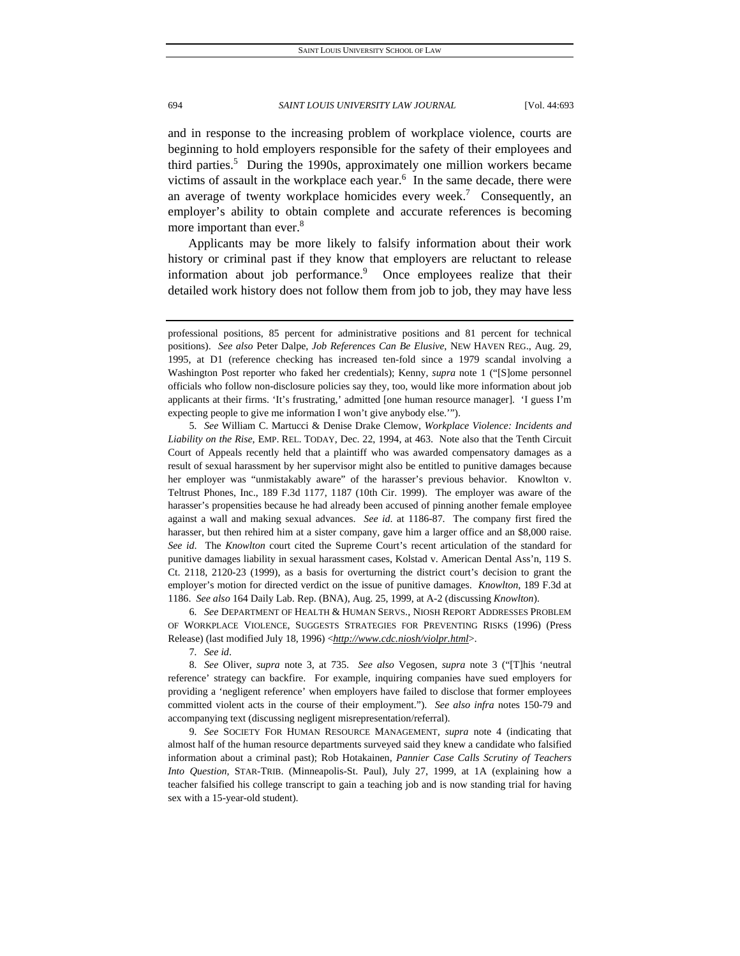and in response to the increasing problem of workplace violence, courts are beginning to hold employers responsible for the safety of their employees and third parties.<sup>5</sup> During the 1990s, approximately one million workers became victims of assault in the workplace each year. $6$  In the same decade, there were an average of twenty workplace homicides every week.<sup>7</sup> Consequently, an employer's ability to obtain complete and accurate references is becoming more important than ever.<sup>8</sup>

Applicants may be more likely to falsify information about their work history or criminal past if they know that employers are reluctant to release information about job performance.<sup>9</sup> Once employees realize that their detailed work history does not follow them from job to job, they may have less

5*. See* William C. Martucci & Denise Drake Clemow, *Workplace Violence: Incidents and Liability on the Rise*, EMP. REL. TODAY, Dec. 22, 1994, at 463. Note also that the Tenth Circuit Court of Appeals recently held that a plaintiff who was awarded compensatory damages as a result of sexual harassment by her supervisor might also be entitled to punitive damages because her employer was "unmistakably aware" of the harasser's previous behavior. Knowlton v. Teltrust Phones, Inc., 189 F.3d 1177, 1187 (10th Cir. 1999). The employer was aware of the harasser's propensities because he had already been accused of pinning another female employee against a wall and making sexual advances. *See id*. at 1186-87. The company first fired the harasser, but then rehired him at a sister company, gave him a larger office and an \$8,000 raise. *See id*. The *Knowlton* court cited the Supreme Court's recent articulation of the standard for punitive damages liability in sexual harassment cases, Kolstad v. American Dental Ass'n, 119 S. Ct. 2118, 2120-23 (1999), as a basis for overturning the district court's decision to grant the employer's motion for directed verdict on the issue of punitive damages. *Knowlton*, 189 F.3d at 1186. *See also* 164 Daily Lab. Rep. (BNA), Aug. 25, 1999, at A-2 (discussing *Knowlton*).

6*. See* DEPARTMENT OF HEALTH & HUMAN SERVS., NIOSH REPORT ADDRESSES PROBLEM OF WORKPLACE VIOLENCE, SUGGESTS STRATEGIES FOR PREVENTING RISKS (1996) (Press Release) (last modified July 18, 1996) <*http://www.cdc.niosh/violpr.html*>.

7*. See id*.

8*. See* Oliver, *supra* note 3, at 735. *See also* Vegosen, *supra* note 3 ("[T]his 'neutral reference' strategy can backfire. For example, inquiring companies have sued employers for providing a 'negligent reference' when employers have failed to disclose that former employees committed violent acts in the course of their employment."). *See also infra* notes 150-79 and accompanying text (discussing negligent misrepresentation/referral).

9*. See* SOCIETY FOR HUMAN RESOURCE MANAGEMENT, *supra* note 4 (indicating that almost half of the human resource departments surveyed said they knew a candidate who falsified information about a criminal past); Rob Hotakainen, *Pannier Case Calls Scrutiny of Teachers Into Question,* STAR-TRIB. (Minneapolis-St. Paul), July 27, 1999, at 1A (explaining how a teacher falsified his college transcript to gain a teaching job and is now standing trial for having sex with a 15-year-old student).

professional positions, 85 percent for administrative positions and 81 percent for technical positions). *See also* Peter Dalpe, *Job References Can Be Elusive*, NEW HAVEN REG., Aug. 29, 1995, at D1 (reference checking has increased ten-fold since a 1979 scandal involving a Washington Post reporter who faked her credentials); Kenny, *supra* note 1 ("[S]ome personnel officials who follow non-disclosure policies say they, too, would like more information about job applicants at their firms. 'It's frustrating,' admitted [one human resource manager]. 'I guess I'm expecting people to give me information I won't give anybody else.'").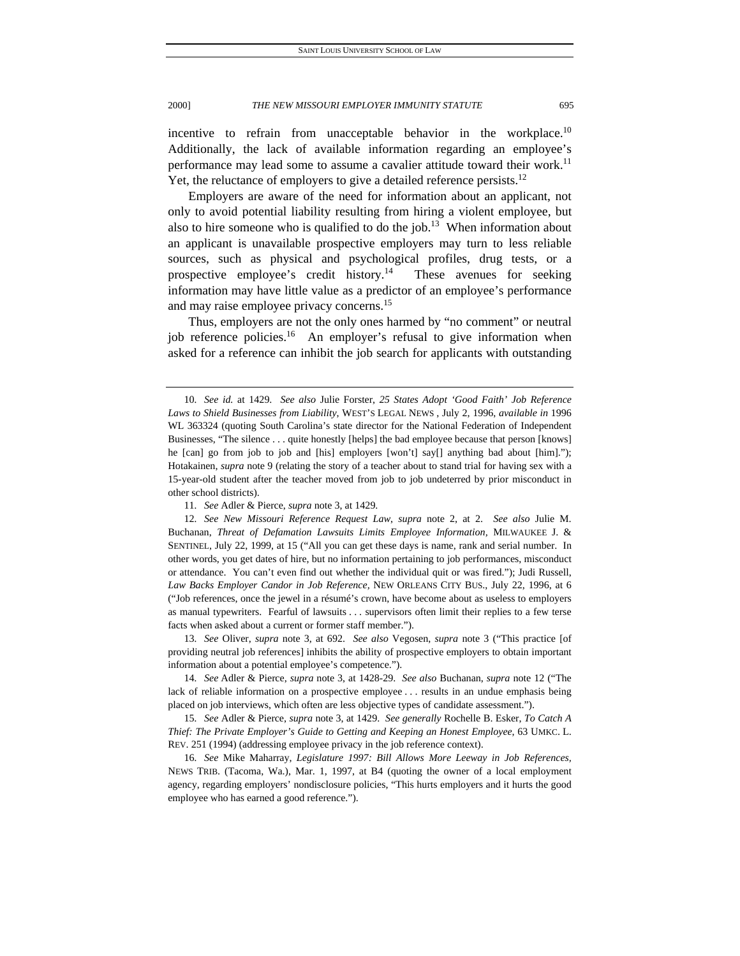incentive to refrain from unacceptable behavior in the workplace. $10$ Additionally, the lack of available information regarding an employee's performance may lead some to assume a cavalier attitude toward their work.<sup>11</sup> Yet, the reluctance of employers to give a detailed reference persists.<sup>12</sup>

Employers are aware of the need for information about an applicant, not only to avoid potential liability resulting from hiring a violent employee, but also to hire someone who is qualified to do the job.<sup>13</sup> When information about an applicant is unavailable prospective employers may turn to less reliable sources, such as physical and psychological profiles, drug tests, or a prospective employee's credit history.<sup>14</sup> These avenues for seeking information may have little value as a predictor of an employee's performance and may raise employee privacy concerns.<sup>15</sup>

Thus, employers are not the only ones harmed by "no comment" or neutral job reference policies.<sup>16</sup> An employer's refusal to give information when asked for a reference can inhibit the job search for applicants with outstanding

13*. See* Oliver, *supra* note 3, at 692. *See also* Vegosen, *supra* note 3 ("This practice [of providing neutral job references] inhibits the ability of prospective employers to obtain important information about a potential employee's competence.").

14*. See* Adler & Pierce, *supra* note 3, at 1428-29. *See also* Buchanan, *supra* note 12 ("The lack of reliable information on a prospective employee . . . results in an undue emphasis being placed on job interviews, which often are less objective types of candidate assessment.").

15*. See* Adler & Pierce, *supra* note 3, at 1429. *See generally* Rochelle B. Esker, *To Catch A Thief: The Private Employer's Guide to Getting and Keeping an Honest Employee*, 63 UMKC. L. REV. 251 (1994) (addressing employee privacy in the job reference context).

16*. See* Mike Maharray, *Legislature 1997: Bill Allows More Leeway in Job References,*  NEWS TRIB. (Tacoma, Wa.), Mar. 1, 1997, at B4 (quoting the owner of a local employment agency, regarding employers' nondisclosure policies, "This hurts employers and it hurts the good employee who has earned a good reference.").

<sup>10</sup>*. See id.* at 1429. *See also* Julie Forster, *25 States Adopt 'Good Faith' Job Reference Laws to Shield Businesses from Liability*, WEST'S LEGAL NEWS , July 2, 1996, *available in* 1996 WL 363324 (quoting South Carolina's state director for the National Federation of Independent Businesses, "The silence . . . quite honestly [helps] the bad employee because that person [knows] he [can] go from job to job and [his] employers [won't] say[] anything bad about [him]."); Hotakainen, *supra* note 9 (relating the story of a teacher about to stand trial for having sex with a 15-year-old student after the teacher moved from job to job undeterred by prior misconduct in other school districts).

<sup>11</sup>*. See* Adler & Pierce, *supra* note 3, at 1429.

<sup>12</sup>*. See New Missouri Reference Request Law*, *supra* note 2, at 2. *See also* Julie M. Buchanan, *Threat of Defamation Lawsuits Limits Employee Information,* MILWAUKEE J. & SENTINEL, July 22, 1999, at 15 ("All you can get these days is name, rank and serial number. In other words, you get dates of hire, but no information pertaining to job performances, misconduct or attendance. You can't even find out whether the individual quit or was fired."); Judi Russell, *Law Backs Employer Candor in Job Reference,* NEW ORLEANS CITY BUS., July 22, 1996, at 6 ("Job references, once the jewel in a résumé's crown, have become about as useless to employers as manual typewriters. Fearful of lawsuits . . . supervisors often limit their replies to a few terse facts when asked about a current or former staff member.").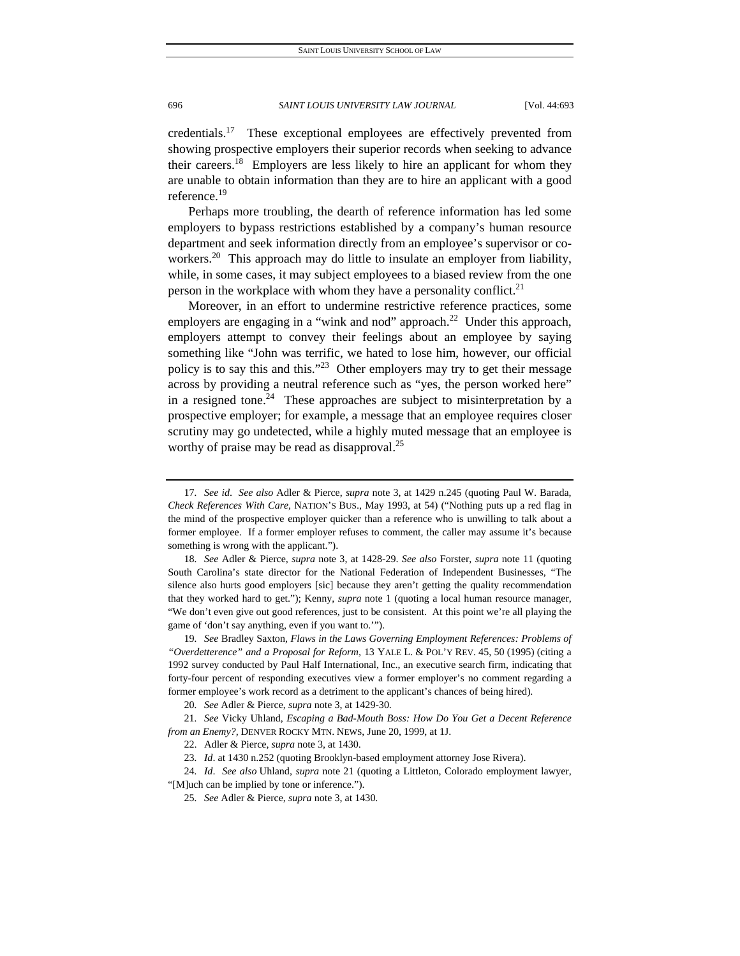credentials.17 These exceptional employees are effectively prevented from showing prospective employers their superior records when seeking to advance their careers.18 Employers are less likely to hire an applicant for whom they are unable to obtain information than they are to hire an applicant with a good reference.<sup>19</sup>

Perhaps more troubling, the dearth of reference information has led some employers to bypass restrictions established by a company's human resource department and seek information directly from an employee's supervisor or coworkers.<sup>20</sup> This approach may do little to insulate an employer from liability, while, in some cases, it may subject employees to a biased review from the one person in the workplace with whom they have a personality conflict.<sup>21</sup>

Moreover, in an effort to undermine restrictive reference practices, some employers are engaging in a "wink and nod" approach.<sup>22</sup> Under this approach, employers attempt to convey their feelings about an employee by saying something like "John was terrific, we hated to lose him, however, our official policy is to say this and this."23 Other employers may try to get their message across by providing a neutral reference such as "yes, the person worked here" in a resigned tone.<sup>24</sup> These approaches are subject to misinterpretation by a prospective employer; for example, a message that an employee requires closer scrutiny may go undetected, while a highly muted message that an employee is worthy of praise may be read as disapproval.<sup>25</sup>

<sup>17</sup>*. See id*. *See also* Adler & Pierce, *supra* note 3, at 1429 n.245 (quoting Paul W. Barada, *Check References With Care,* NATION'S BUS., May 1993, at 54) ("Nothing puts up a red flag in the mind of the prospective employer quicker than a reference who is unwilling to talk about a former employee. If a former employer refuses to comment, the caller may assume it's because something is wrong with the applicant.").

<sup>18</sup>*. See* Adler & Pierce, *supra* note 3, at 1428-29. *See also* Forster, *supra* note 11 (quoting South Carolina's state director for the National Federation of Independent Businesses, "The silence also hurts good employers [sic] because they aren't getting the quality recommendation that they worked hard to get."); Kenny, *supra* note 1 (quoting a local human resource manager, "We don't even give out good references, just to be consistent. At this point we're all playing the game of 'don't say anything, even if you want to.'").

<sup>19</sup>*. See* Bradley Saxton, *Flaws in the Laws Governing Employment References: Problems of "Overdetterence" and a Proposal for Reform,* 13 YALE L. & POL'Y REV. 45, 50 (1995) (citing a 1992 survey conducted by Paul Half International, Inc., an executive search firm, indicating that forty-four percent of responding executives view a former employer's no comment regarding a former employee's work record as a detriment to the applicant's chances of being hired).

<sup>20</sup>*. See* Adler & Pierce, *supra* note 3, at 1429-30.

<sup>21</sup>*. See* Vicky Uhland, *Escaping a Bad-Mouth Boss: How Do You Get a Decent Reference from an Enemy?,* DENVER ROCKY MTN. NEWS, June 20, 1999, at 1J.

 <sup>22.</sup> Adler & Pierce, *supra* note 3, at 1430.

<sup>23</sup>*. Id*. at 1430 n.252 (quoting Brooklyn-based employment attorney Jose Rivera).

<sup>24</sup>*. Id*. *See also* Uhland, *supra* note 21 (quoting a Littleton, Colorado employment lawyer, "[M]uch can be implied by tone or inference.").

<sup>25</sup>*. See* Adler & Pierce, *supra* note 3, at 1430.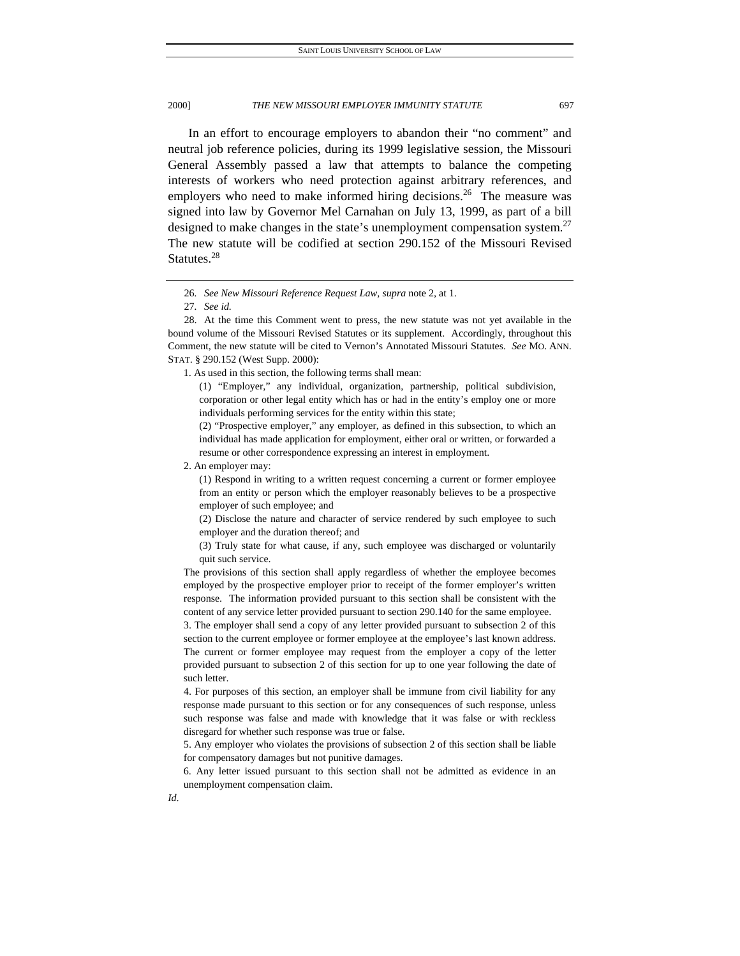In an effort to encourage employers to abandon their "no comment" and neutral job reference policies, during its 1999 legislative session, the Missouri General Assembly passed a law that attempts to balance the competing interests of workers who need protection against arbitrary references, and employers who need to make informed hiring decisions.<sup>26</sup> The measure was signed into law by Governor Mel Carnahan on July 13, 1999, as part of a bill designed to make changes in the state's unemployment compensation system.<sup>27</sup> The new statute will be codified at section 290.152 of the Missouri Revised Statutes.<sup>28</sup>

1. As used in this section, the following terms shall mean:

(1) "Employer," any individual, organization, partnership, political subdivision, corporation or other legal entity which has or had in the entity's employ one or more individuals performing services for the entity within this state;

(2) "Prospective employer," any employer, as defined in this subsection, to which an individual has made application for employment, either oral or written, or forwarded a resume or other correspondence expressing an interest in employment.

2. An employer may:

(1) Respond in writing to a written request concerning a current or former employee from an entity or person which the employer reasonably believes to be a prospective employer of such employee; and

(2) Disclose the nature and character of service rendered by such employee to such employer and the duration thereof; and

(3) Truly state for what cause, if any, such employee was discharged or voluntarily quit such service.

The provisions of this section shall apply regardless of whether the employee becomes employed by the prospective employer prior to receipt of the former employer's written response. The information provided pursuant to this section shall be consistent with the content of any service letter provided pursuant to section 290.140 for the same employee. 3. The employer shall send a copy of any letter provided pursuant to subsection 2 of this section to the current employee or former employee at the employee's last known address.

The current or former employee may request from the employer a copy of the letter provided pursuant to subsection 2 of this section for up to one year following the date of such letter.

4. For purposes of this section, an employer shall be immune from civil liability for any response made pursuant to this section or for any consequences of such response, unless such response was false and made with knowledge that it was false or with reckless disregard for whether such response was true or false.

5. Any employer who violates the provisions of subsection 2 of this section shall be liable for compensatory damages but not punitive damages.

6. Any letter issued pursuant to this section shall not be admitted as evidence in an unemployment compensation claim.

<sup>26</sup>*. See New Missouri Reference Request Law, supra* note 2, at 1.

<sup>27</sup>*. See id.*

 <sup>28.</sup> At the time this Comment went to press, the new statute was not yet available in the bound volume of the Missouri Revised Statutes or its supplement. Accordingly, throughout this Comment, the new statute will be cited to Vernon's Annotated Missouri Statutes. *See* MO. ANN. STAT. § 290.152 (West Supp. 2000):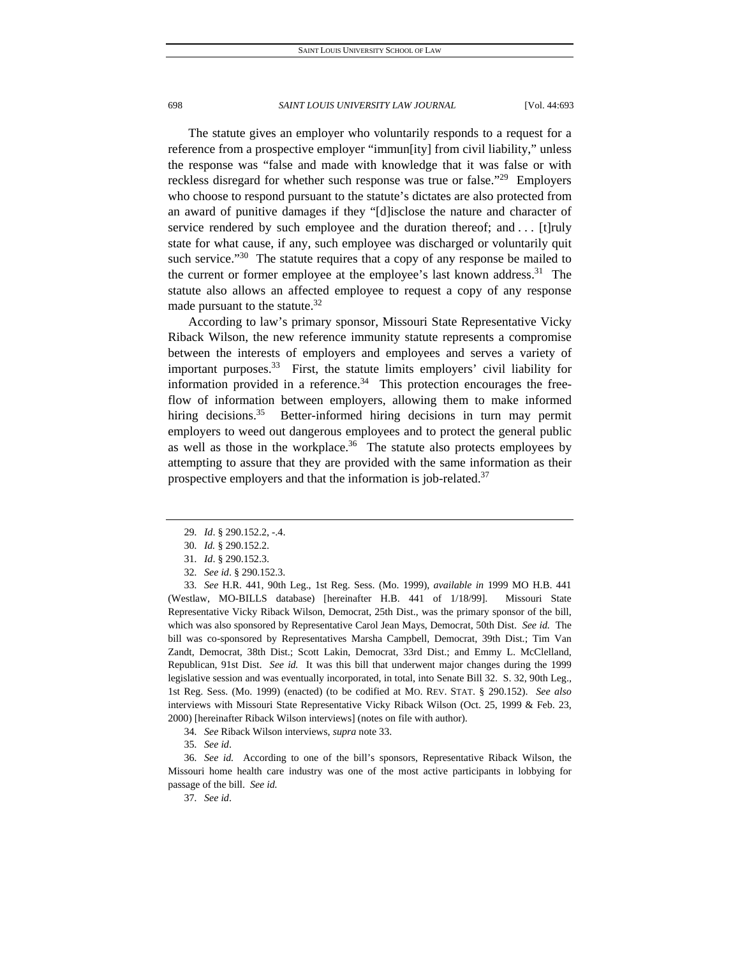The statute gives an employer who voluntarily responds to a request for a reference from a prospective employer "immun[ity] from civil liability," unless the response was "false and made with knowledge that it was false or with reckless disregard for whether such response was true or false.<sup>"29</sup> Employers" who choose to respond pursuant to the statute's dictates are also protected from an award of punitive damages if they "[d]isclose the nature and character of service rendered by such employee and the duration thereof; and . . . [t] ruly state for what cause, if any, such employee was discharged or voluntarily quit such service." $30$  The statute requires that a copy of any response be mailed to the current or former employee at the employee's last known address.<sup>31</sup> The statute also allows an affected employee to request a copy of any response made pursuant to the statute.<sup>32</sup>

According to law's primary sponsor, Missouri State Representative Vicky Riback Wilson, the new reference immunity statute represents a compromise between the interests of employers and employees and serves a variety of important purposes. $33$  First, the statute limits employers' civil liability for information provided in a reference.<sup>34</sup> This protection encourages the freeflow of information between employers, allowing them to make informed hiring decisions.<sup>35</sup> Better-informed hiring decisions in turn may permit employers to weed out dangerous employees and to protect the general public as well as those in the workplace. $36$  The statute also protects employees by attempting to assure that they are provided with the same information as their prospective employers and that the information is job-related.<sup>37</sup>

33*. See* H.R. 441, 90th Leg., 1st Reg. Sess. (Mo. 1999), *available in* 1999 MO H.B. 441 (Westlaw, MO-BILLS database) [hereinafter H.B. 441 of 1/18/99]. Missouri State Representative Vicky Riback Wilson, Democrat, 25th Dist., was the primary sponsor of the bill, which was also sponsored by Representative Carol Jean Mays, Democrat, 50th Dist. *See id.* The bill was co-sponsored by Representatives Marsha Campbell, Democrat, 39th Dist.; Tim Van Zandt, Democrat, 38th Dist.; Scott Lakin, Democrat, 33rd Dist.; and Emmy L. McClelland, Republican, 91st Dist. *See id.* It was this bill that underwent major changes during the 1999 legislative session and was eventually incorporated, in total, into Senate Bill 32. S. 32, 90th Leg., 1st Reg. Sess. (Mo. 1999) (enacted) (to be codified at MO. REV. STAT. § 290.152). *See also* interviews with Missouri State Representative Vicky Riback Wilson (Oct. 25, 1999 & Feb. 23, 2000) [hereinafter Riback Wilson interviews] (notes on file with author).

36*. See id.* According to one of the bill's sponsors, Representative Riback Wilson, the Missouri home health care industry was one of the most active participants in lobbying for passage of the bill. *See id.*

37*. See id*.

<sup>29</sup>*. Id*. § 290.152.2, -.4.

<sup>30</sup>*. Id.* § 290.152.2.

<sup>31</sup>*. Id*. § 290.152.3.

<sup>32</sup>*. See id*. § 290.152.3.

<sup>34</sup>*. See* Riback Wilson interviews, *supra* note 33.

<sup>35</sup>*. See id*.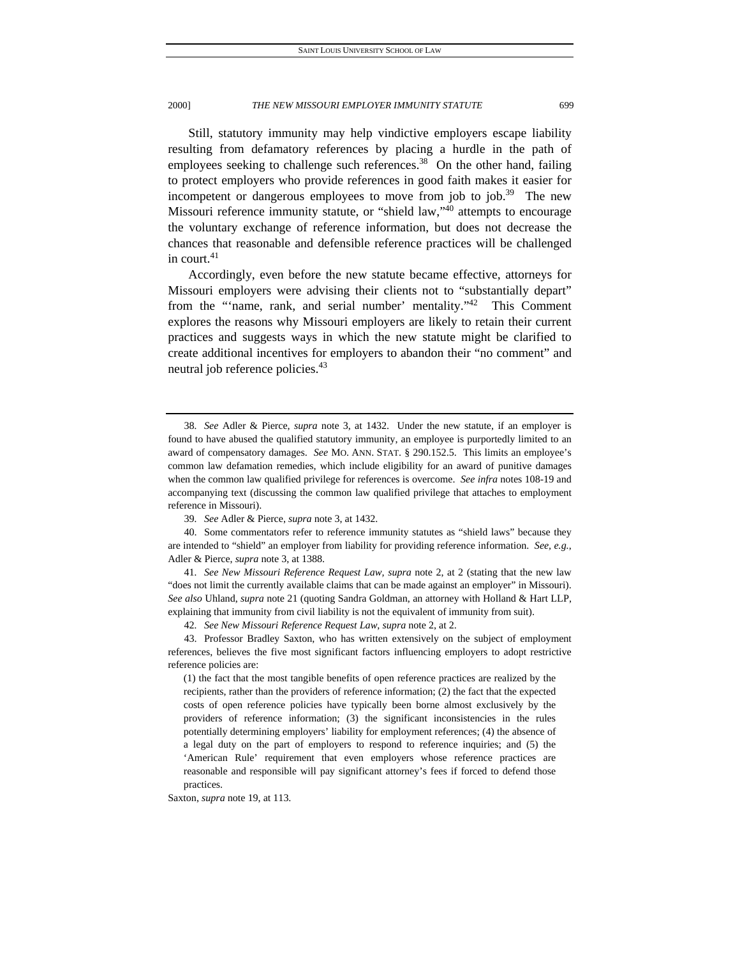Still, statutory immunity may help vindictive employers escape liability resulting from defamatory references by placing a hurdle in the path of employees seeking to challenge such references.<sup>38</sup> On the other hand, failing to protect employers who provide references in good faith makes it easier for incompetent or dangerous employees to move from job to job.<sup>39</sup> The new Missouri reference immunity statute, or "shield law,"40 attempts to encourage the voluntary exchange of reference information, but does not decrease the chances that reasonable and defensible reference practices will be challenged in court.<sup>41</sup>

Accordingly, even before the new statute became effective, attorneys for Missouri employers were advising their clients not to "substantially depart" from the "'name, rank, and serial number' mentality."<sup>42</sup> This Comment explores the reasons why Missouri employers are likely to retain their current practices and suggests ways in which the new statute might be clarified to create additional incentives for employers to abandon their "no comment" and neutral job reference policies.<sup>43</sup>

41*. See New Missouri Reference Request Law, supra* note 2, at 2 (stating that the new law "does not limit the currently available claims that can be made against an employer" in Missouri). *See also* Uhland, *supra* note 21 (quoting Sandra Goldman, an attorney with Holland & Hart LLP, explaining that immunity from civil liability is not the equivalent of immunity from suit).

42*. See New Missouri Reference Request Law*, *supra* note 2, at 2.

 43. Professor Bradley Saxton, who has written extensively on the subject of employment references, believes the five most significant factors influencing employers to adopt restrictive reference policies are:

(1) the fact that the most tangible benefits of open reference practices are realized by the recipients, rather than the providers of reference information; (2) the fact that the expected costs of open reference policies have typically been borne almost exclusively by the providers of reference information; (3) the significant inconsistencies in the rules potentially determining employers' liability for employment references; (4) the absence of a legal duty on the part of employers to respond to reference inquiries; and (5) the 'American Rule' requirement that even employers whose reference practices are reasonable and responsible will pay significant attorney's fees if forced to defend those practices.

Saxton, *supra* note 19, at 113.

<sup>38</sup>*. See* Adler & Pierce, *supra* note 3, at 1432. Under the new statute, if an employer is found to have abused the qualified statutory immunity, an employee is purportedly limited to an award of compensatory damages. *See* MO. ANN. STAT. § 290.152.5. This limits an employee's common law defamation remedies, which include eligibility for an award of punitive damages when the common law qualified privilege for references is overcome. *See infra* notes 108-19 and accompanying text (discussing the common law qualified privilege that attaches to employment reference in Missouri).

<sup>39</sup>*. See* Adler & Pierce, *supra* note 3, at 1432.

 <sup>40.</sup> Some commentators refer to reference immunity statutes as "shield laws" because they are intended to "shield" an employer from liability for providing reference information. *See, e.g.*, Adler & Pierce, *supra* note 3, at 1388.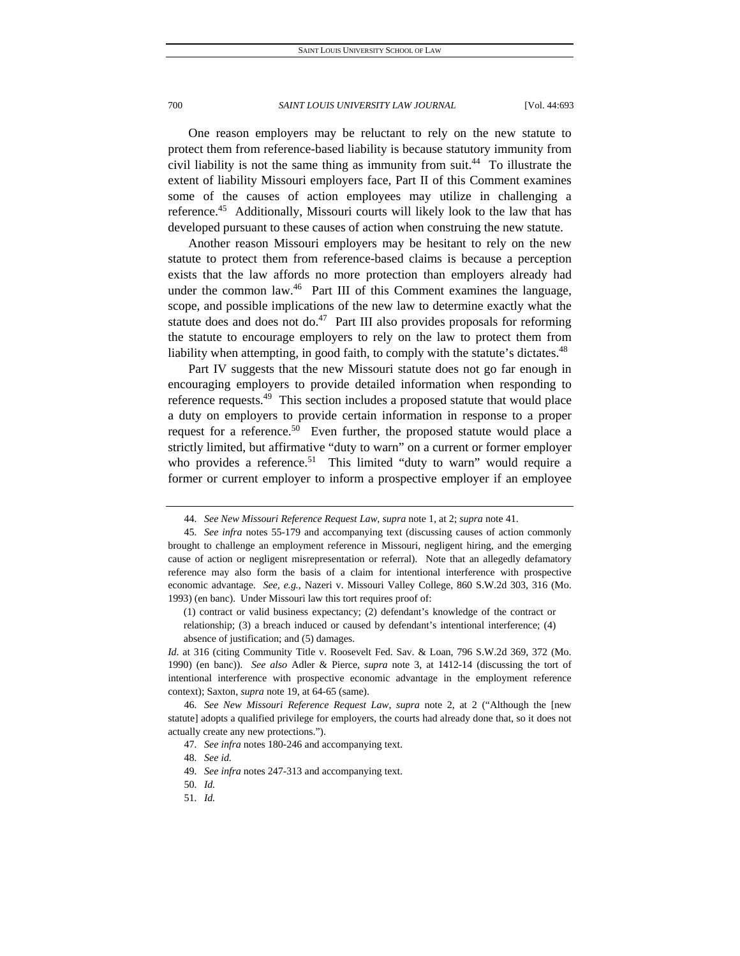One reason employers may be reluctant to rely on the new statute to protect them from reference-based liability is because statutory immunity from civil liability is not the same thing as immunity from suit.<sup>44</sup> To illustrate the extent of liability Missouri employers face, Part II of this Comment examines some of the causes of action employees may utilize in challenging a reference.<sup>45</sup> Additionally, Missouri courts will likely look to the law that has developed pursuant to these causes of action when construing the new statute.

Another reason Missouri employers may be hesitant to rely on the new statute to protect them from reference-based claims is because a perception exists that the law affords no more protection than employers already had under the common law.<sup>46</sup> Part III of this Comment examines the language, scope, and possible implications of the new law to determine exactly what the statute does and does not do.<sup>47</sup> Part III also provides proposals for reforming the statute to encourage employers to rely on the law to protect them from liability when attempting, in good faith, to comply with the statute's dictates.<sup>48</sup>

Part IV suggests that the new Missouri statute does not go far enough in encouraging employers to provide detailed information when responding to reference requests.<sup>49</sup> This section includes a proposed statute that would place a duty on employers to provide certain information in response to a proper request for a reference.<sup>50</sup> Even further, the proposed statute would place a strictly limited, but affirmative "duty to warn" on a current or former employer who provides a reference.<sup>51</sup> This limited "duty to warn" would require a former or current employer to inform a prospective employer if an employee

(1) contract or valid business expectancy; (2) defendant's knowledge of the contract or relationship; (3) a breach induced or caused by defendant's intentional interference; (4) absence of justification; and (5) damages.

*Id.* at 316 (citing Community Title v. Roosevelt Fed. Sav. & Loan, 796 S.W.2d 369, 372 (Mo. 1990) (en banc)). *See also* Adler & Pierce, *supra* note 3, at 1412-14 (discussing the tort of intentional interference with prospective economic advantage in the employment reference context); Saxton, *supra* note 19, at 64-65 (same).

<sup>44</sup>*. See New Missouri Reference Request Law*, *supra* note 1, at 2; *supra* note 41.

<sup>45</sup>*. See infra* notes 55-179 and accompanying text (discussing causes of action commonly brought to challenge an employment reference in Missouri, negligent hiring, and the emerging cause of action or negligent misrepresentation or referral). Note that an allegedly defamatory reference may also form the basis of a claim for intentional interference with prospective economic advantage. *See, e.g.*, Nazeri v. Missouri Valley College, 860 S.W.2d 303, 316 (Mo. 1993) (en banc). Under Missouri law this tort requires proof of:

<sup>46</sup>*. See New Missouri Reference Request Law*, *supra* note 2, at 2 ("Although the [new statute] adopts a qualified privilege for employers, the courts had already done that, so it does not actually create any new protections.").

<sup>47</sup>*. See infra* notes 180-246 and accompanying text.

<sup>48</sup>*. See id.*

<sup>49</sup>*. See infra* notes 247-313 and accompanying text.

<sup>50</sup>*. Id.*

<sup>51</sup>*. Id.*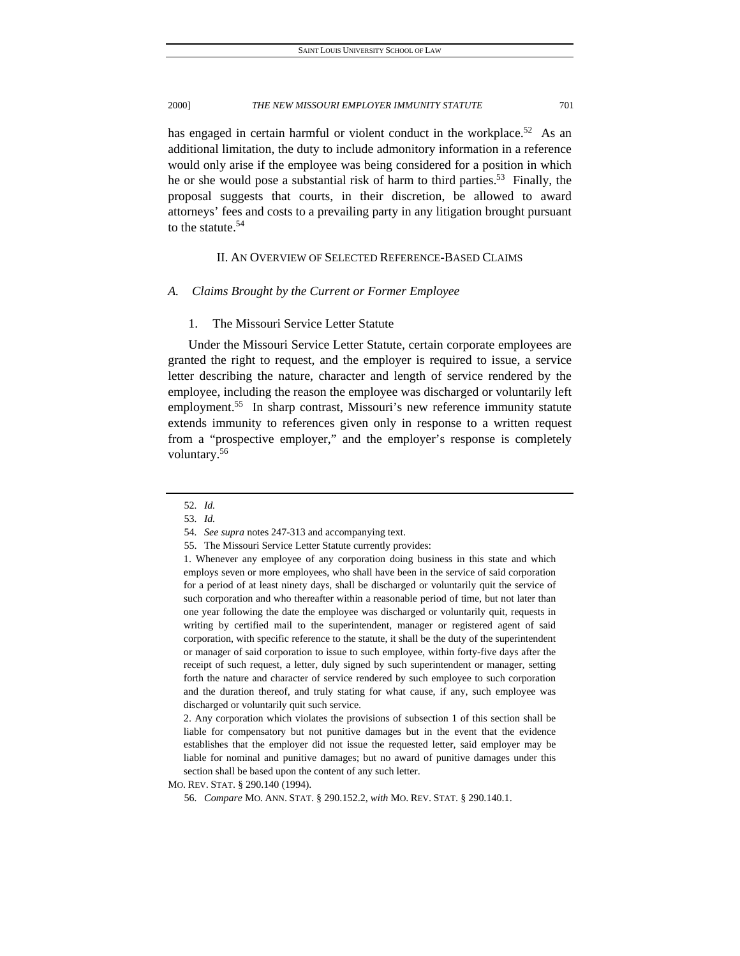has engaged in certain harmful or violent conduct in the workplace.<sup>52</sup> As an additional limitation, the duty to include admonitory information in a reference would only arise if the employee was being considered for a position in which he or she would pose a substantial risk of harm to third parties.<sup>53</sup> Finally, the proposal suggests that courts, in their discretion, be allowed to award attorneys' fees and costs to a prevailing party in any litigation brought pursuant to the statute. $54$ 

# II. AN OVERVIEW OF SELECTED REFERENCE-BASED CLAIMS

#### *A. Claims Brought by the Current or Former Employee*

### 1. The Missouri Service Letter Statute

Under the Missouri Service Letter Statute, certain corporate employees are granted the right to request, and the employer is required to issue, a service letter describing the nature, character and length of service rendered by the employee, including the reason the employee was discharged or voluntarily left employment.<sup>55</sup> In sharp contrast, Missouri's new reference immunity statute extends immunity to references given only in response to a written request from a "prospective employer," and the employer's response is completely voluntary.56

2. Any corporation which violates the provisions of subsection 1 of this section shall be liable for compensatory but not punitive damages but in the event that the evidence establishes that the employer did not issue the requested letter, said employer may be liable for nominal and punitive damages; but no award of punitive damages under this section shall be based upon the content of any such letter.

MO. REV. STAT. § 290.140 (1994).

<sup>52</sup>*. Id.*

<sup>53</sup>*. Id.*

<sup>54</sup>*. See supra* notes 247-313 and accompanying text.

 <sup>55.</sup> The Missouri Service Letter Statute currently provides:

<sup>1.</sup> Whenever any employee of any corporation doing business in this state and which employs seven or more employees, who shall have been in the service of said corporation for a period of at least ninety days, shall be discharged or voluntarily quit the service of such corporation and who thereafter within a reasonable period of time, but not later than one year following the date the employee was discharged or voluntarily quit, requests in writing by certified mail to the superintendent, manager or registered agent of said corporation, with specific reference to the statute, it shall be the duty of the superintendent or manager of said corporation to issue to such employee, within forty-five days after the receipt of such request, a letter, duly signed by such superintendent or manager, setting forth the nature and character of service rendered by such employee to such corporation and the duration thereof, and truly stating for what cause, if any, such employee was discharged or voluntarily quit such service.

<sup>56</sup>*. Compare* MO. ANN. STAT. § 290.152.2, *with* MO. REV. STAT. § 290.140.1.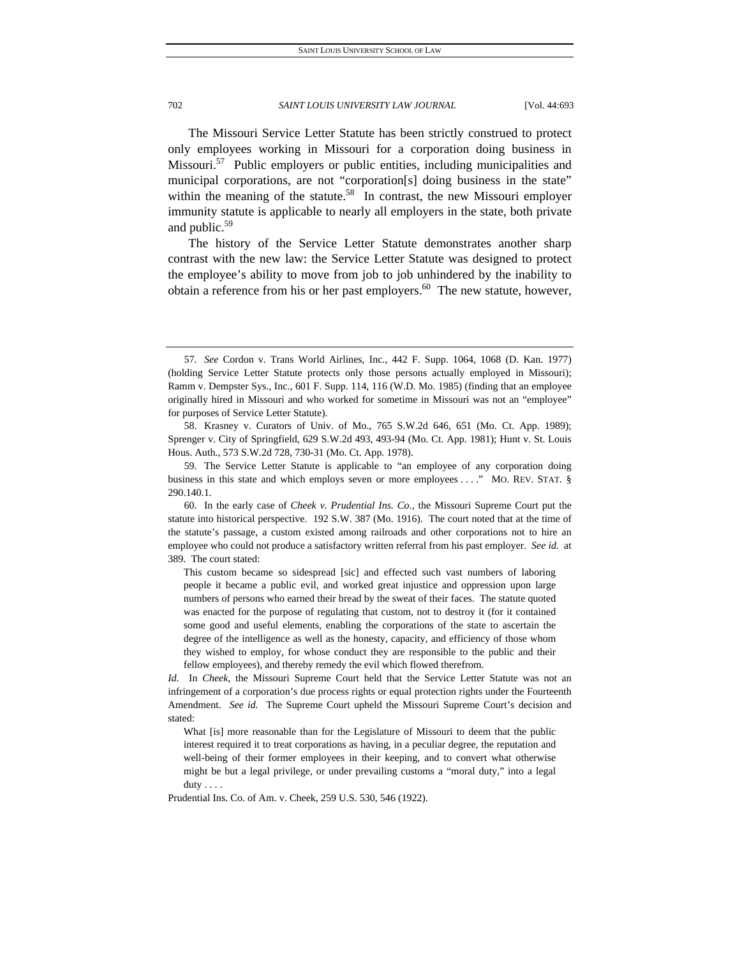The Missouri Service Letter Statute has been strictly construed to protect only employees working in Missouri for a corporation doing business in Missouri.<sup>57</sup> Public employers or public entities, including municipalities and municipal corporations, are not "corporation[s] doing business in the state" within the meaning of the statute.<sup>58</sup> In contrast, the new Missouri employer immunity statute is applicable to nearly all employers in the state, both private and public.59

The history of the Service Letter Statute demonstrates another sharp contrast with the new law: the Service Letter Statute was designed to protect the employee's ability to move from job to job unhindered by the inability to obtain a reference from his or her past employers. $60$  The new statute, however,

<sup>57</sup>*. See* Cordon v. Trans World Airlines, Inc., 442 F. Supp. 1064, 1068 (D. Kan. 1977) (holding Service Letter Statute protects only those persons actually employed in Missouri); Ramm v. Dempster Sys., Inc., 601 F. Supp. 114, 116 (W.D. Mo. 1985) (finding that an employee originally hired in Missouri and who worked for sometime in Missouri was not an "employee" for purposes of Service Letter Statute).

 <sup>58.</sup> Krasney v. Curators of Univ. of Mo., 765 S.W.2d 646, 651 (Mo. Ct. App. 1989); Sprenger v. City of Springfield, 629 S.W.2d 493, 493-94 (Mo. Ct. App. 1981); Hunt v. St. Louis Hous. Auth., 573 S.W.2d 728, 730-31 (Mo. Ct. App. 1978).

 <sup>59.</sup> The Service Letter Statute is applicable to "an employee of any corporation doing business in this state and which employs seven or more employees . . . . " MO. REV. STAT. § 290.140.1.

 <sup>60.</sup> In the early case of *Cheek v. Prudential Ins. Co.*, the Missouri Supreme Court put the statute into historical perspective. 192 S.W. 387 (Mo. 1916). The court noted that at the time of the statute's passage, a custom existed among railroads and other corporations not to hire an employee who could not produce a satisfactory written referral from his past employer. *See id.* at 389. The court stated:

This custom became so sidespread [sic] and effected such vast numbers of laboring people it became a public evil, and worked great injustice and oppression upon large numbers of persons who earned their bread by the sweat of their faces. The statute quoted was enacted for the purpose of regulating that custom, not to destroy it (for it contained some good and useful elements, enabling the corporations of the state to ascertain the degree of the intelligence as well as the honesty, capacity, and efficiency of those whom they wished to employ, for whose conduct they are responsible to the public and their fellow employees), and thereby remedy the evil which flowed therefrom.

*Id*. In *Cheek*, the Missouri Supreme Court held that the Service Letter Statute was not an infringement of a corporation's due process rights or equal protection rights under the Fourteenth Amendment. *See id.* The Supreme Court upheld the Missouri Supreme Court's decision and stated:

What [is] more reasonable than for the Legislature of Missouri to deem that the public interest required it to treat corporations as having, in a peculiar degree, the reputation and well-being of their former employees in their keeping, and to convert what otherwise might be but a legal privilege, or under prevailing customs a "moral duty," into a legal duty . . . .

Prudential Ins. Co. of Am. v. Cheek, 259 U.S. 530, 546 (1922).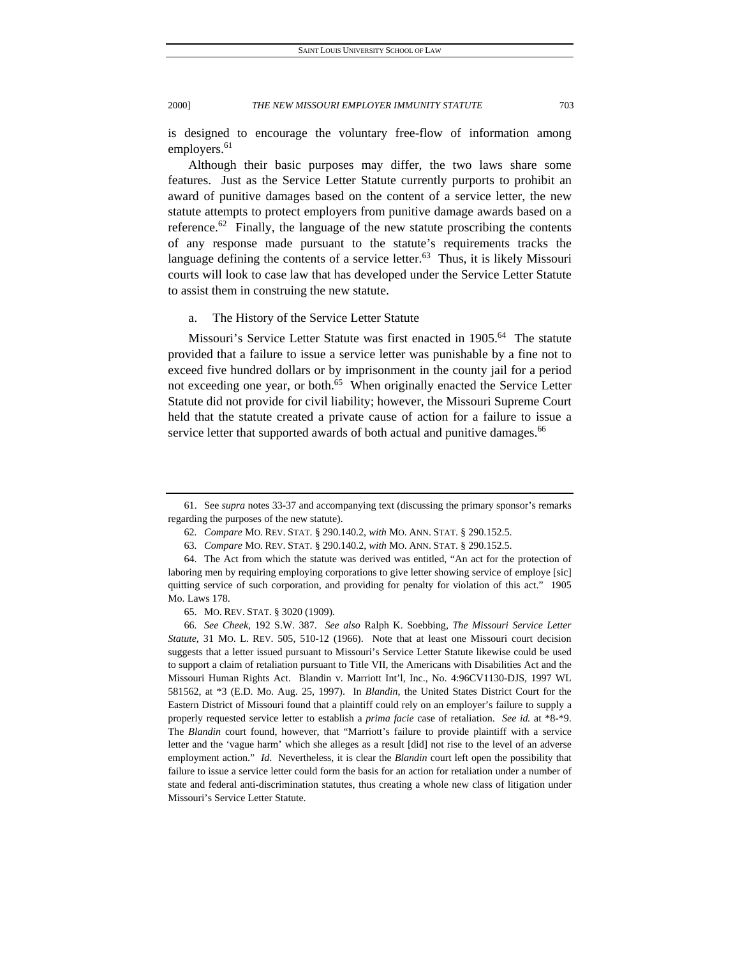is designed to encourage the voluntary free-flow of information among employers.<sup>61</sup>

Although their basic purposes may differ, the two laws share some features. Just as the Service Letter Statute currently purports to prohibit an award of punitive damages based on the content of a service letter, the new statute attempts to protect employers from punitive damage awards based on a reference.<sup>62</sup> Finally, the language of the new statute proscribing the contents of any response made pursuant to the statute's requirements tracks the language defining the contents of a service letter.<sup>63</sup> Thus, it is likely Missouri courts will look to case law that has developed under the Service Letter Statute to assist them in construing the new statute.

#### a. The History of the Service Letter Statute

Missouri's Service Letter Statute was first enacted in 1905.<sup>64</sup> The statute provided that a failure to issue a service letter was punishable by a fine not to exceed five hundred dollars or by imprisonment in the county jail for a period not exceeding one year, or both.<sup>65</sup> When originally enacted the Service Letter Statute did not provide for civil liability; however, the Missouri Supreme Court held that the statute created a private cause of action for a failure to issue a service letter that supported awards of both actual and punitive damages.<sup>66</sup>

 <sup>61.</sup> See *supra* notes 33-37 and accompanying text (discussing the primary sponsor's remarks regarding the purposes of the new statute).

<sup>62</sup>*. Compare* MO. REV. STAT. § 290.140.2, *with* MO. ANN. STAT. § 290.152.5.

<sup>63</sup>*. Compare* MO. REV. STAT. § 290.140.2, *with* MO. ANN. STAT. § 290.152.5.

 <sup>64.</sup> The Act from which the statute was derived was entitled, "An act for the protection of laboring men by requiring employing corporations to give letter showing service of employe [sic] quitting service of such corporation, and providing for penalty for violation of this act." 1905 Mo. Laws 178.

 <sup>65.</sup> MO. REV. STAT. § 3020 (1909).

<sup>66</sup>*. See Cheek*, 192 S.W. 387. *See also* Ralph K. Soebbing, *The Missouri Service Letter Statute*, 31 MO. L. REV. 505, 510-12 (1966). Note that at least one Missouri court decision suggests that a letter issued pursuant to Missouri's Service Letter Statute likewise could be used to support a claim of retaliation pursuant to Title VII, the Americans with Disabilities Act and the Missouri Human Rights Act. Blandin v. Marriott Int'l, Inc., No. 4:96CV1130-DJS, 1997 WL 581562, at \*3 (E.D. Mo. Aug. 25, 1997). In *Blandin*, the United States District Court for the Eastern District of Missouri found that a plaintiff could rely on an employer's failure to supply a properly requested service letter to establish a *prima facie* case of retaliation. *See id.* at \*8-\*9. The *Blandin* court found, however, that "Marriott's failure to provide plaintiff with a service letter and the 'vague harm' which she alleges as a result [did] not rise to the level of an adverse employment action." *Id*. Nevertheless, it is clear the *Blandin* court left open the possibility that failure to issue a service letter could form the basis for an action for retaliation under a number of state and federal anti-discrimination statutes, thus creating a whole new class of litigation under Missouri's Service Letter Statute.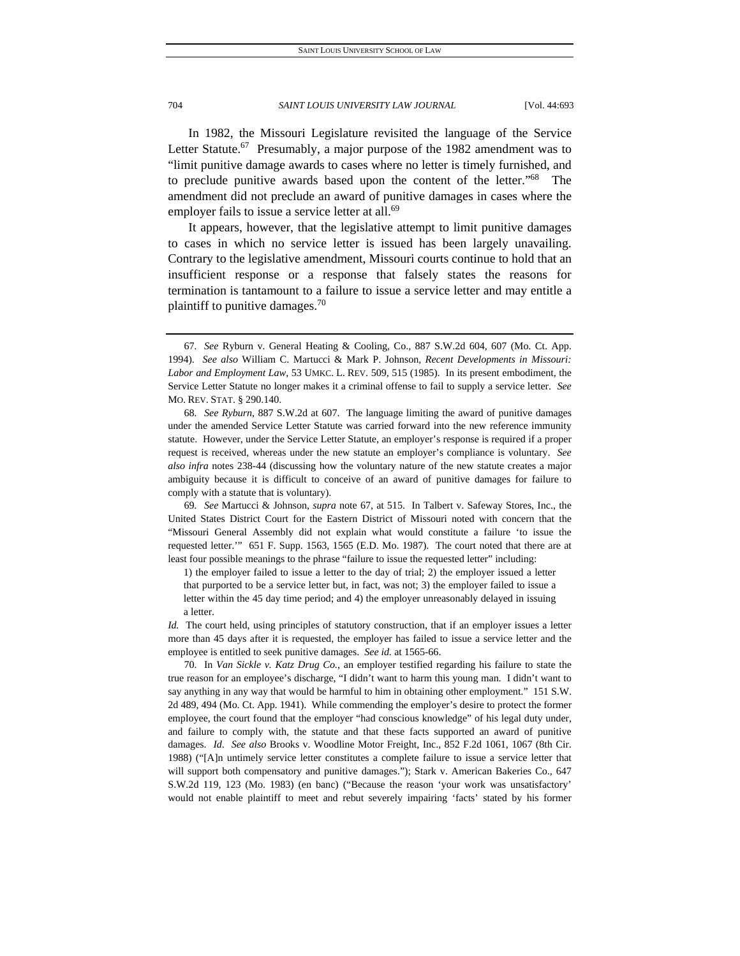In 1982, the Missouri Legislature revisited the language of the Service Letter Statute.<sup>67</sup> Presumably, a major purpose of the 1982 amendment was to "limit punitive damage awards to cases where no letter is timely furnished, and to preclude punitive awards based upon the content of the letter."68 The amendment did not preclude an award of punitive damages in cases where the employer fails to issue a service letter at all.<sup>69</sup>

It appears, however, that the legislative attempt to limit punitive damages to cases in which no service letter is issued has been largely unavailing. Contrary to the legislative amendment, Missouri courts continue to hold that an insufficient response or a response that falsely states the reasons for termination is tantamount to a failure to issue a service letter and may entitle a plaintiff to punitive damages.70

69*. See* Martucci & Johnson, *supra* note 67, at 515. In Talbert v. Safeway Stores, Inc., the United States District Court for the Eastern District of Missouri noted with concern that the "Missouri General Assembly did not explain what would constitute a failure 'to issue the requested letter.'" 651 F. Supp. 1563, 1565 (E.D. Mo. 1987). The court noted that there are at least four possible meanings to the phrase "failure to issue the requested letter" including:

1) the employer failed to issue a letter to the day of trial; 2) the employer issued a letter that purported to be a service letter but, in fact, was not; 3) the employer failed to issue a letter within the 45 day time period; and 4) the employer unreasonably delayed in issuing a letter.

*Id.* The court held, using principles of statutory construction, that if an employer issues a letter more than 45 days after it is requested, the employer has failed to issue a service letter and the employee is entitled to seek punitive damages. *See id.* at 1565-66.

 70. In *Van Sickle v. Katz Drug Co.*, an employer testified regarding his failure to state the true reason for an employee's discharge, "I didn't want to harm this young man. I didn't want to say anything in any way that would be harmful to him in obtaining other employment." 151 S.W. 2d 489, 494 (Mo. Ct. App. 1941). While commending the employer's desire to protect the former employee, the court found that the employer "had conscious knowledge" of his legal duty under, and failure to comply with, the statute and that these facts supported an award of punitive damages. *Id*. *See also* Brooks v. Woodline Motor Freight, Inc., 852 F.2d 1061, 1067 (8th Cir. 1988) ("[A]n untimely service letter constitutes a complete failure to issue a service letter that will support both compensatory and punitive damages."); Stark v. American Bakeries Co., 647 S.W.2d 119, 123 (Mo. 1983) (en banc) ("Because the reason 'your work was unsatisfactory' would not enable plaintiff to meet and rebut severely impairing 'facts' stated by his former

<sup>67</sup>*. See* Ryburn v. General Heating & Cooling, Co., 887 S.W.2d 604, 607 (Mo. Ct. App. 1994). *See also* William C. Martucci & Mark P. Johnson, *Recent Developments in Missouri: Labor and Employment Law*, 53 UMKC. L. REV. 509, 515 (1985). In its present embodiment, the Service Letter Statute no longer makes it a criminal offense to fail to supply a service letter. *See*  MO. REV. STAT. § 290.140.

<sup>68</sup>*. See Ryburn*, 887 S.W.2d at 607. The language limiting the award of punitive damages under the amended Service Letter Statute was carried forward into the new reference immunity statute. However, under the Service Letter Statute, an employer's response is required if a proper request is received, whereas under the new statute an employer's compliance is voluntary. *See also infra* notes 238-44 (discussing how the voluntary nature of the new statute creates a major ambiguity because it is difficult to conceive of an award of punitive damages for failure to comply with a statute that is voluntary).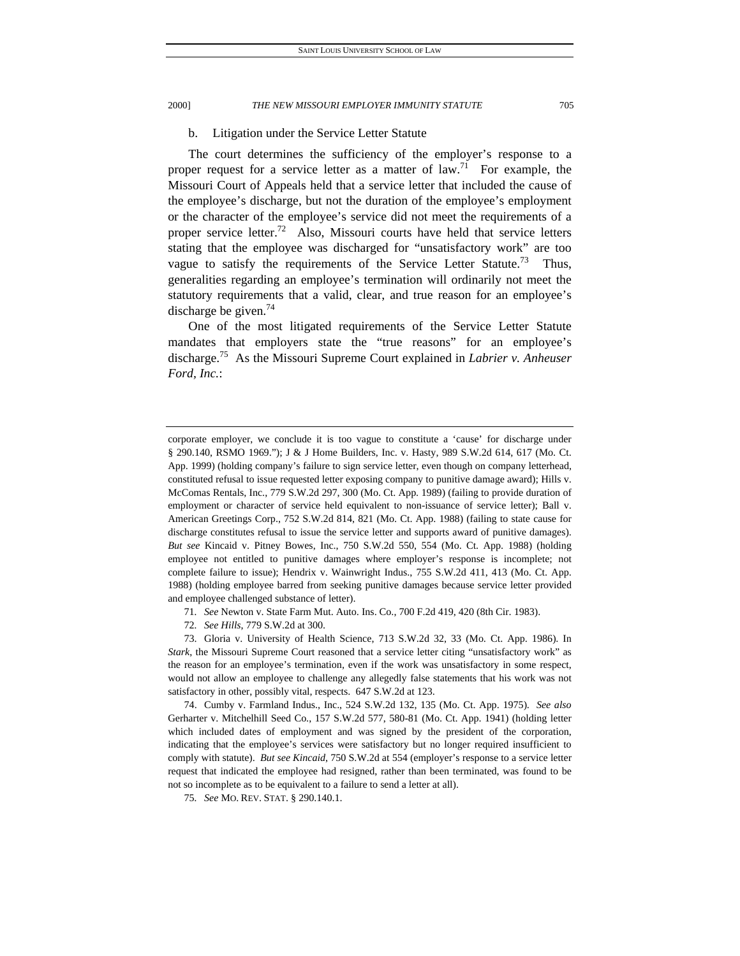# b. Litigation under the Service Letter Statute

The court determines the sufficiency of the employer's response to a proper request for a service letter as a matter of  $law<sup>71</sup>$  For example, the Missouri Court of Appeals held that a service letter that included the cause of the employee's discharge, but not the duration of the employee's employment or the character of the employee's service did not meet the requirements of a proper service letter.<sup>72</sup> Also, Missouri courts have held that service letters stating that the employee was discharged for "unsatisfactory work" are too vague to satisfy the requirements of the Service Letter Statute.<sup>73</sup> Thus, generalities regarding an employee's termination will ordinarily not meet the statutory requirements that a valid, clear, and true reason for an employee's discharge be given.<sup>74</sup>

One of the most litigated requirements of the Service Letter Statute mandates that employers state the "true reasons" for an employee's discharge.75 As the Missouri Supreme Court explained in *Labrier v. Anheuser Ford, Inc.*:

71*. See* Newton v. State Farm Mut. Auto. Ins. Co., 700 F.2d 419, 420 (8th Cir. 1983).

72*. See Hills*, 779 S.W.2d at 300.

 73. Gloria v. University of Health Science, 713 S.W.2d 32, 33 (Mo. Ct. App. 1986). In *Stark*, the Missouri Supreme Court reasoned that a service letter citing "unsatisfactory work" as the reason for an employee's termination, even if the work was unsatisfactory in some respect, would not allow an employee to challenge any allegedly false statements that his work was not satisfactory in other, possibly vital, respects. 647 S.W.2d at 123.

 74. Cumby v. Farmland Indus., Inc., 524 S.W.2d 132, 135 (Mo. Ct. App. 1975). *See also* Gerharter v. Mitchelhill Seed Co., 157 S.W.2d 577, 580-81 (Mo. Ct. App. 1941) (holding letter which included dates of employment and was signed by the president of the corporation, indicating that the employee's services were satisfactory but no longer required insufficient to comply with statute). *But see Kincaid*, 750 S.W.2d at 554 (employer's response to a service letter request that indicated the employee had resigned, rather than been terminated, was found to be not so incomplete as to be equivalent to a failure to send a letter at all).

75*. See* MO. REV. STAT. § 290.140.1.

corporate employer, we conclude it is too vague to constitute a 'cause' for discharge under § 290.140, RSMO 1969."); J & J Home Builders, Inc. v. Hasty, 989 S.W.2d 614, 617 (Mo. Ct. App. 1999) (holding company's failure to sign service letter, even though on company letterhead, constituted refusal to issue requested letter exposing company to punitive damage award); Hills v. McComas Rentals, Inc., 779 S.W.2d 297, 300 (Mo. Ct. App. 1989) (failing to provide duration of employment or character of service held equivalent to non-issuance of service letter); Ball v. American Greetings Corp., 752 S.W.2d 814, 821 (Mo. Ct. App. 1988) (failing to state cause for discharge constitutes refusal to issue the service letter and supports award of punitive damages). *But see* Kincaid v. Pitney Bowes, Inc., 750 S.W.2d 550, 554 (Mo. Ct. App. 1988) (holding employee not entitled to punitive damages where employer's response is incomplete; not complete failure to issue); Hendrix v. Wainwright Indus., 755 S.W.2d 411, 413 (Mo. Ct. App. 1988) (holding employee barred from seeking punitive damages because service letter provided and employee challenged substance of letter).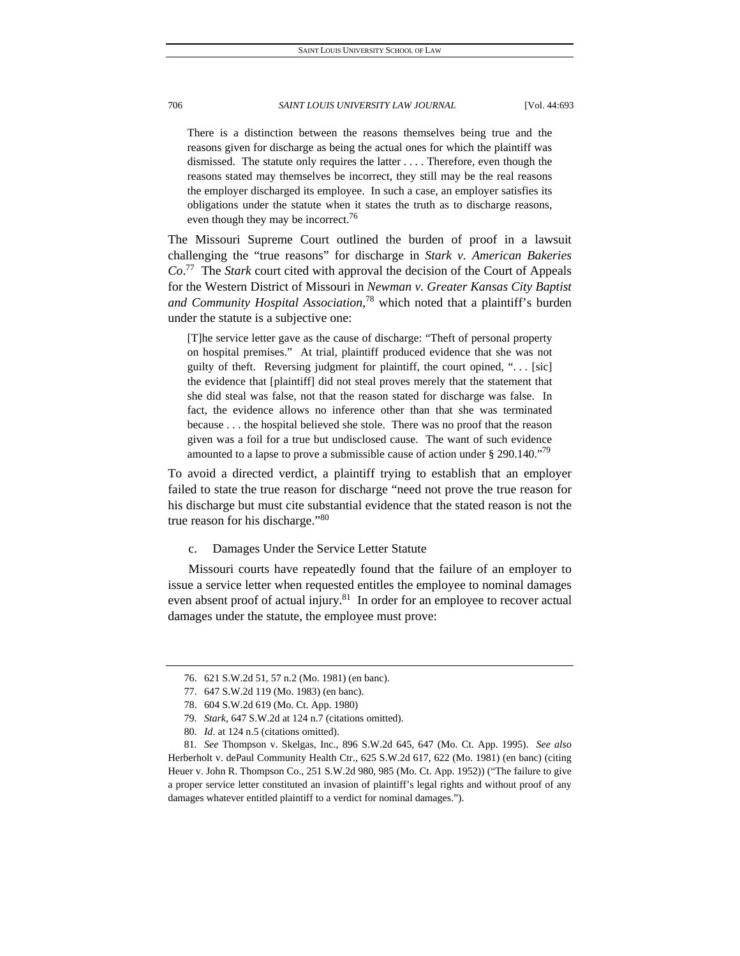There is a distinction between the reasons themselves being true and the reasons given for discharge as being the actual ones for which the plaintiff was dismissed. The statute only requires the latter . . . . Therefore, even though the reasons stated may themselves be incorrect, they still may be the real reasons the employer discharged its employee. In such a case, an employer satisfies its obligations under the statute when it states the truth as to discharge reasons, even though they may be incorrect.<sup>76</sup>

The Missouri Supreme Court outlined the burden of proof in a lawsuit challenging the "true reasons" for discharge in *Stark v. American Bakeries Co*. 77 The *Stark* court cited with approval the decision of the Court of Appeals for the Western District of Missouri in *Newman v. Greater Kansas City Baptist and Community Hospital Association*, 78 which noted that a plaintiff's burden under the statute is a subjective one:

[T]he service letter gave as the cause of discharge: "Theft of personal property on hospital premises." At trial, plaintiff produced evidence that she was not guilty of theft. Reversing judgment for plaintiff, the court opined, "... [sic] the evidence that [plaintiff] did not steal proves merely that the statement that she did steal was false, not that the reason stated for discharge was false. In fact, the evidence allows no inference other than that she was terminated because . . . the hospital believed she stole. There was no proof that the reason given was a foil for a true but undisclosed cause. The want of such evidence amounted to a lapse to prove a submissible cause of action under  $\S 290.140.^{079}$ 

To avoid a directed verdict, a plaintiff trying to establish that an employer failed to state the true reason for discharge "need not prove the true reason for his discharge but must cite substantial evidence that the stated reason is not the true reason for his discharge."<sup>80</sup>

c. Damages Under the Service Letter Statute

Missouri courts have repeatedly found that the failure of an employer to issue a service letter when requested entitles the employee to nominal damages even absent proof of actual injury.<sup>81</sup> In order for an employee to recover actual damages under the statute, the employee must prove:

 <sup>76. 621</sup> S.W.2d 51, 57 n.2 (Mo. 1981) (en banc).

 <sup>77. 647</sup> S.W.2d 119 (Mo. 1983) (en banc).

 <sup>78. 604</sup> S.W.2d 619 (Mo. Ct. App. 1980)

<sup>79</sup>*. Stark*, 647 S.W.2d at 124 n.7 (citations omitted).

<sup>80</sup>*. Id*. at 124 n.5 (citations omitted).

<sup>81</sup>*. See* Thompson v. Skelgas, Inc., 896 S.W.2d 645, 647 (Mo. Ct. App. 1995). *See also* Herberholt v. dePaul Community Health Ctr., 625 S.W.2d 617, 622 (Mo. 1981) (en banc) (citing Heuer v. John R. Thompson Co., 251 S.W.2d 980, 985 (Mo. Ct. App. 1952)) ("The failure to give a proper service letter constituted an invasion of plaintiff's legal rights and without proof of any damages whatever entitled plaintiff to a verdict for nominal damages.").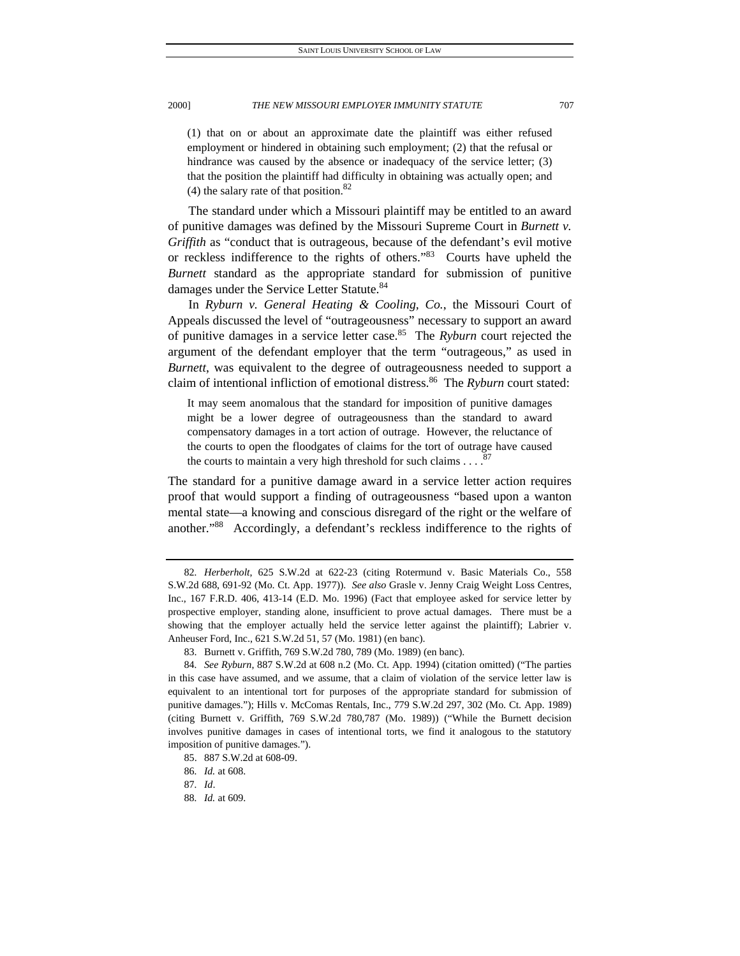(1) that on or about an approximate date the plaintiff was either refused employment or hindered in obtaining such employment; (2) that the refusal or hindrance was caused by the absence or inadequacy of the service letter; (3) that the position the plaintiff had difficulty in obtaining was actually open; and (4) the salary rate of that position.<sup>82</sup>

The standard under which a Missouri plaintiff may be entitled to an award of punitive damages was defined by the Missouri Supreme Court in *Burnett v. Griffith* as "conduct that is outrageous, because of the defendant's evil motive or reckless indifference to the rights of others."83 Courts have upheld the *Burnett* standard as the appropriate standard for submission of punitive damages under the Service Letter Statute.<sup>84</sup>

In *Ryburn v. General Heating & Cooling, Co.*, the Missouri Court of Appeals discussed the level of "outrageousness" necessary to support an award of punitive damages in a service letter case.85 The *Ryburn* court rejected the argument of the defendant employer that the term "outrageous," as used in *Burnett*, was equivalent to the degree of outrageousness needed to support a claim of intentional infliction of emotional distress.86 The *Ryburn* court stated:

It may seem anomalous that the standard for imposition of punitive damages might be a lower degree of outrageousness than the standard to award compensatory damages in a tort action of outrage. However, the reluctance of the courts to open the floodgates of claims for the tort of outrage have caused the courts to maintain a very high threshold for such claims . . . .

The standard for a punitive damage award in a service letter action requires proof that would support a finding of outrageousness "based upon a wanton mental state—a knowing and conscious disregard of the right or the welfare of another."88 Accordingly, a defendant's reckless indifference to the rights of

<sup>82</sup>*. Herberholt*, 625 S.W.2d at 622-23 (citing Rotermund v. Basic Materials Co., 558 S.W.2d 688, 691-92 (Mo. Ct. App. 1977)). *See also* Grasle v. Jenny Craig Weight Loss Centres, Inc., 167 F.R.D. 406, 413-14 (E.D. Mo. 1996) (Fact that employee asked for service letter by prospective employer, standing alone, insufficient to prove actual damages. There must be a showing that the employer actually held the service letter against the plaintiff); Labrier v. Anheuser Ford, Inc., 621 S.W.2d 51, 57 (Mo. 1981) (en banc).

 <sup>83.</sup> Burnett v. Griffith, 769 S.W.2d 780, 789 (Mo. 1989) (en banc).

<sup>84</sup>*. See Ryburn*, 887 S.W.2d at 608 n.2 (Mo. Ct. App. 1994) (citation omitted) ("The parties in this case have assumed, and we assume, that a claim of violation of the service letter law is equivalent to an intentional tort for purposes of the appropriate standard for submission of punitive damages."); Hills v. McComas Rentals, Inc., 779 S.W.2d 297, 302 (Mo. Ct. App. 1989) (citing Burnett v. Griffith, 769 S.W.2d 780,787 (Mo. 1989)) ("While the Burnett decision involves punitive damages in cases of intentional torts, we find it analogous to the statutory imposition of punitive damages.").

 <sup>85. 887</sup> S.W.2d at 608-09.

<sup>86</sup>*. Id.* at 608.

<sup>87</sup>*. Id*.

<sup>88</sup>*. Id.* at 609.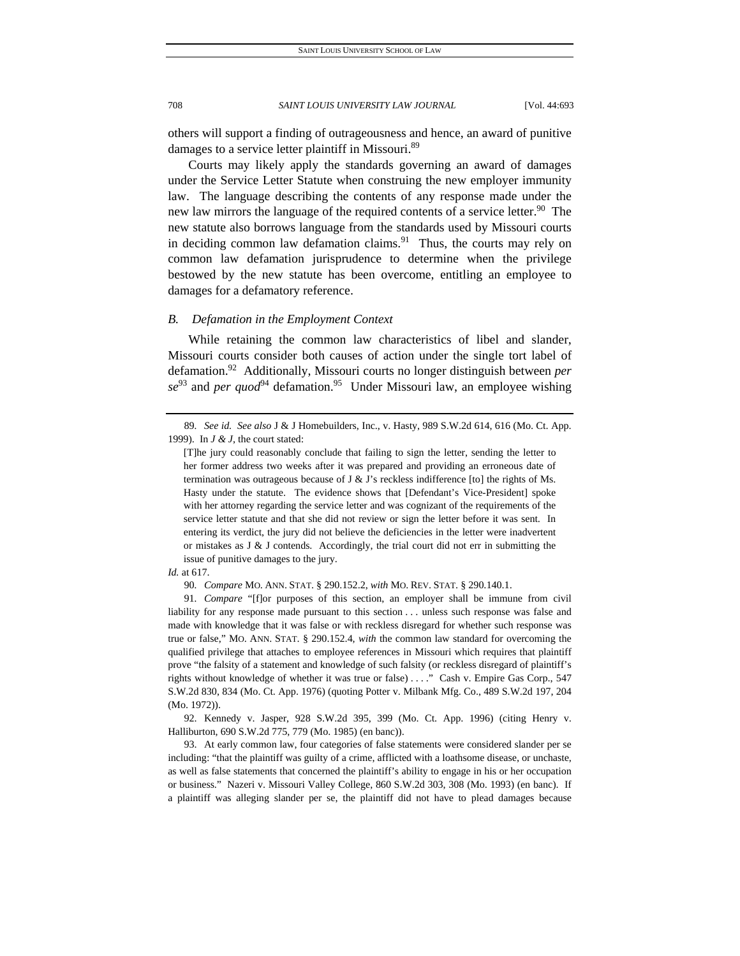others will support a finding of outrageousness and hence, an award of punitive damages to a service letter plaintiff in Missouri.<sup>89</sup>

Courts may likely apply the standards governing an award of damages under the Service Letter Statute when construing the new employer immunity law. The language describing the contents of any response made under the new law mirrors the language of the required contents of a service letter.<sup>90</sup> The new statute also borrows language from the standards used by Missouri courts in deciding common law defamation claims. $91$  Thus, the courts may rely on common law defamation jurisprudence to determine when the privilege bestowed by the new statute has been overcome, entitling an employee to damages for a defamatory reference.

## *B. Defamation in the Employment Context*

While retaining the common law characteristics of libel and slander, Missouri courts consider both causes of action under the single tort label of defamation.92 Additionally, Missouri courts no longer distinguish between *per se*<sup>93</sup> and *per quod*<sup>94</sup> defamation.<sup>95</sup> Under Missouri law, an employee wishing

 92. Kennedy v. Jasper, 928 S.W.2d 395, 399 (Mo. Ct. App. 1996) (citing Henry v. Halliburton, 690 S.W.2d 775, 779 (Mo. 1985) (en banc)).

 93. At early common law, four categories of false statements were considered slander per se including: "that the plaintiff was guilty of a crime, afflicted with a loathsome disease, or unchaste, as well as false statements that concerned the plaintiff's ability to engage in his or her occupation or business." Nazeri v. Missouri Valley College, 860 S.W.2d 303, 308 (Mo. 1993) (en banc). If a plaintiff was alleging slander per se, the plaintiff did not have to plead damages because

<sup>89</sup>*. See id. See also* J & J Homebuilders, Inc., v. Hasty, 989 S.W.2d 614, 616 (Mo. Ct. App. 1999). In *J & J*, the court stated:

<sup>[</sup>T]he jury could reasonably conclude that failing to sign the letter, sending the letter to her former address two weeks after it was prepared and providing an erroneous date of termination was outrageous because of  $J \& J$ 's reckless indifference [to] the rights of Ms. Hasty under the statute. The evidence shows that [Defendant's Vice-President] spoke with her attorney regarding the service letter and was cognizant of the requirements of the service letter statute and that she did not review or sign the letter before it was sent. In entering its verdict, the jury did not believe the deficiencies in the letter were inadvertent or mistakes as J & J contends. Accordingly, the trial court did not err in submitting the issue of punitive damages to the jury.

*Id.* at 617.

<sup>90</sup>*. Compare* MO. ANN. STAT. § 290.152.2, *with* MO. REV. STAT. § 290.140.1.

<sup>91</sup>*. Compare* "[f]or purposes of this section, an employer shall be immune from civil liability for any response made pursuant to this section . . . unless such response was false and made with knowledge that it was false or with reckless disregard for whether such response was true or false," MO. ANN. STAT. § 290.152.4, *with* the common law standard for overcoming the qualified privilege that attaches to employee references in Missouri which requires that plaintiff prove "the falsity of a statement and knowledge of such falsity (or reckless disregard of plaintiff's rights without knowledge of whether it was true or false) . . . ." Cash v. Empire Gas Corp., 547 S.W.2d 830, 834 (Mo. Ct. App. 1976) (quoting Potter v. Milbank Mfg. Co., 489 S.W.2d 197, 204 (Mo. 1972)).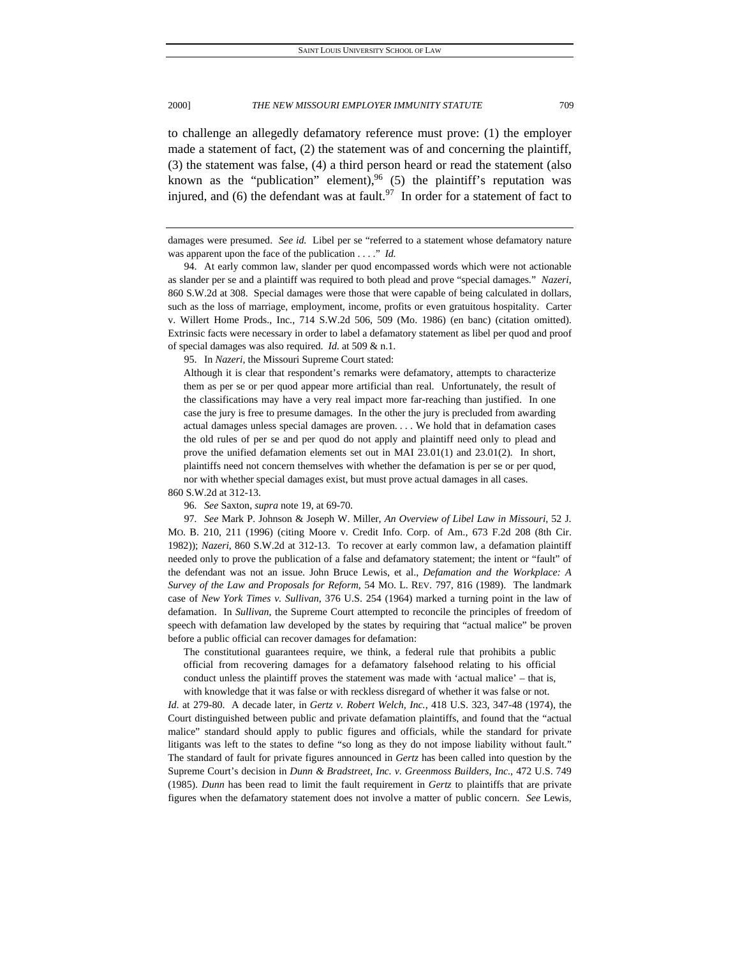to challenge an allegedly defamatory reference must prove: (1) the employer made a statement of fact, (2) the statement was of and concerning the plaintiff, (3) the statement was false, (4) a third person heard or read the statement (also known as the "publication" element),  $96(5)$  the plaintiff's reputation was injured, and (6) the defendant was at fault.<sup>97</sup> In order for a statement of fact to

damages were presumed. *See id.* Libel per se "referred to a statement whose defamatory nature was apparent upon the face of the publication . . . ." *Id.*

 94. At early common law, slander per quod encompassed words which were not actionable as slander per se and a plaintiff was required to both plead and prove "special damages." *Nazeri*, 860 S.W.2d at 308. Special damages were those that were capable of being calculated in dollars, such as the loss of marriage, employment, income, profits or even gratuitous hospitality. Carter v. Willert Home Prods., Inc., 714 S.W.2d 506, 509 (Mo. 1986) (en banc) (citation omitted). Extrinsic facts were necessary in order to label a defamatory statement as libel per quod and proof of special damages was also required. *Id*. at 509 & n.1.

95. In *Nazeri*, the Missouri Supreme Court stated:

Although it is clear that respondent's remarks were defamatory, attempts to characterize them as per se or per quod appear more artificial than real. Unfortunately, the result of the classifications may have a very real impact more far-reaching than justified. In one case the jury is free to presume damages. In the other the jury is precluded from awarding actual damages unless special damages are proven. . . . We hold that in defamation cases the old rules of per se and per quod do not apply and plaintiff need only to plead and prove the unified defamation elements set out in MAI 23.01(1) and 23.01(2). In short, plaintiffs need not concern themselves with whether the defamation is per se or per quod, nor with whether special damages exist, but must prove actual damages in all cases.

860 S.W.2d at 312-13.

96*. See* Saxton, *supra* note 19, at 69-70.

97*. See* Mark P. Johnson & Joseph W. Miller, *An Overview of Libel Law in Missouri*, 52 J. MO. B. 210, 211 (1996) (citing Moore v. Credit Info. Corp. of Am., 673 F.2d 208 (8th Cir. 1982)); *Nazeri*, 860 S.W.2d at 312-13. To recover at early common law, a defamation plaintiff needed only to prove the publication of a false and defamatory statement; the intent or "fault" of the defendant was not an issue. John Bruce Lewis, et al., *Defamation and the Workplace: A Survey of the Law and Proposals for Reform*, 54 MO. L. REV. 797, 816 (1989). The landmark case of *New York Times v. Sullivan*, 376 U.S. 254 (1964) marked a turning point in the law of defamation. In *Sullivan*, the Supreme Court attempted to reconcile the principles of freedom of speech with defamation law developed by the states by requiring that "actual malice" be proven before a public official can recover damages for defamation:

The constitutional guarantees require, we think, a federal rule that prohibits a public official from recovering damages for a defamatory falsehood relating to his official conduct unless the plaintiff proves the statement was made with 'actual malice' – that is, with knowledge that it was false or with reckless disregard of whether it was false or not.

*Id*. at 279-80. A decade later, in *Gertz v. Robert Welch, Inc.*, 418 U.S. 323, 347-48 (1974), the Court distinguished between public and private defamation plaintiffs, and found that the "actual malice" standard should apply to public figures and officials, while the standard for private litigants was left to the states to define "so long as they do not impose liability without fault." The standard of fault for private figures announced in *Gertz* has been called into question by the Supreme Court's decision in *Dunn & Bradstreet, Inc. v. Greenmoss Builders, Inc.*, 472 U.S. 749 (1985). *Dunn* has been read to limit the fault requirement in *Gertz* to plaintiffs that are private figures when the defamatory statement does not involve a matter of public concern. *See* Lewis,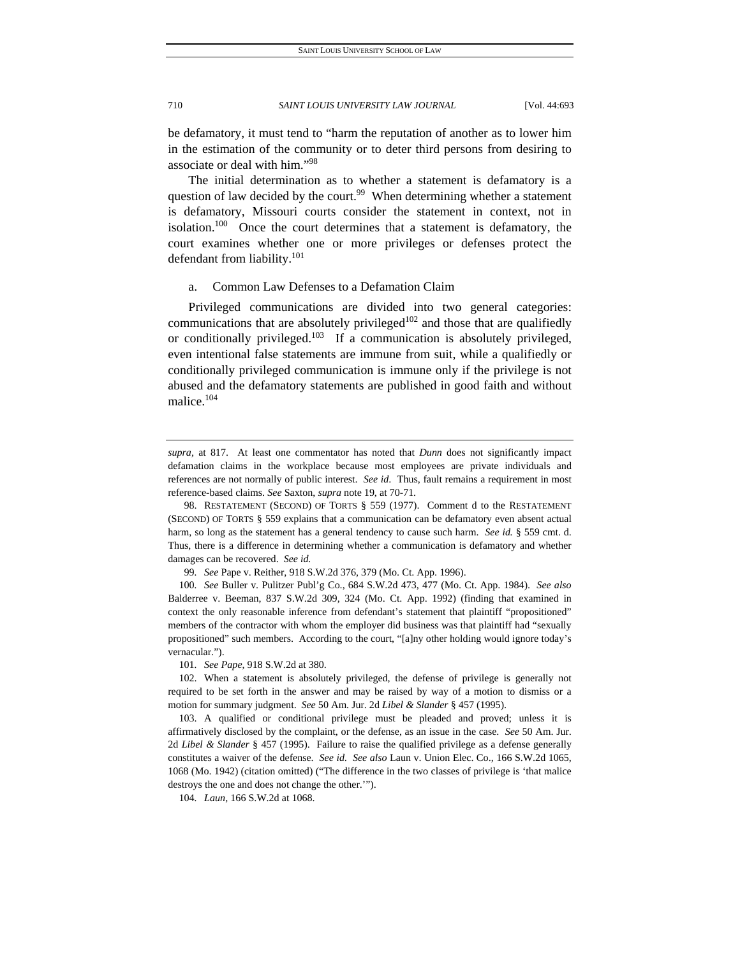be defamatory, it must tend to "harm the reputation of another as to lower him in the estimation of the community or to deter third persons from desiring to associate or deal with him."<sup>98</sup>

The initial determination as to whether a statement is defamatory is a question of law decided by the court.<sup>99</sup> When determining whether a statement is defamatory, Missouri courts consider the statement in context, not in isolation.<sup>100</sup> Once the court determines that a statement is defamatory, the court examines whether one or more privileges or defenses protect the defendant from liability.<sup>101</sup>

# a. Common Law Defenses to a Defamation Claim

Privileged communications are divided into two general categories: communications that are absolutely privileged<sup>102</sup> and those that are qualifiedly or conditionally privileged.103 If a communication is absolutely privileged, even intentional false statements are immune from suit, while a qualifiedly or conditionally privileged communication is immune only if the privilege is not abused and the defamatory statements are published in good faith and without malice.104

*supra,* at 817. At least one commentator has noted that *Dunn* does not significantly impact defamation claims in the workplace because most employees are private individuals and references are not normally of public interest. *See id*. Thus, fault remains a requirement in most reference-based claims. *See* Saxton, *supra* note 19, at 70-71.

 <sup>98.</sup> RESTATEMENT (SECOND) OF TORTS § 559 (1977). Comment d to the RESTATEMENT (SECOND) OF TORTS § 559 explains that a communication can be defamatory even absent actual harm, so long as the statement has a general tendency to cause such harm. *See id.* § 559 cmt. d. Thus, there is a difference in determining whether a communication is defamatory and whether damages can be recovered. *See id.*

<sup>99</sup>*. See* Pape v. Reither, 918 S.W.2d 376, 379 (Mo. Ct. App. 1996).

<sup>100</sup>*. See* Buller v. Pulitzer Publ'g Co., 684 S.W.2d 473, 477 (Mo. Ct. App. 1984). *See also* Balderree v. Beeman, 837 S.W.2d 309, 324 (Mo. Ct. App. 1992) (finding that examined in context the only reasonable inference from defendant's statement that plaintiff "propositioned" members of the contractor with whom the employer did business was that plaintiff had "sexually propositioned" such members. According to the court, "[a]ny other holding would ignore today's vernacular.").

<sup>101</sup>*. See Pape*, 918 S.W.2d at 380.

 <sup>102.</sup> When a statement is absolutely privileged, the defense of privilege is generally not required to be set forth in the answer and may be raised by way of a motion to dismiss or a motion for summary judgment. *See* 50 Am. Jur. 2d *Libel & Slander* § 457 (1995).

 <sup>103.</sup> A qualified or conditional privilege must be pleaded and proved; unless it is affirmatively disclosed by the complaint, or the defense, as an issue in the case. *See* 50 Am. Jur. 2d *Libel & Slander* § 457 (1995). Failure to raise the qualified privilege as a defense generally constitutes a waiver of the defense. *See id*. *See also* Laun v. Union Elec. Co., 166 S.W.2d 1065, 1068 (Mo. 1942) (citation omitted) ("The difference in the two classes of privilege is 'that malice destroys the one and does not change the other.'").

<sup>104</sup>*. Laun*, 166 S.W.2d at 1068.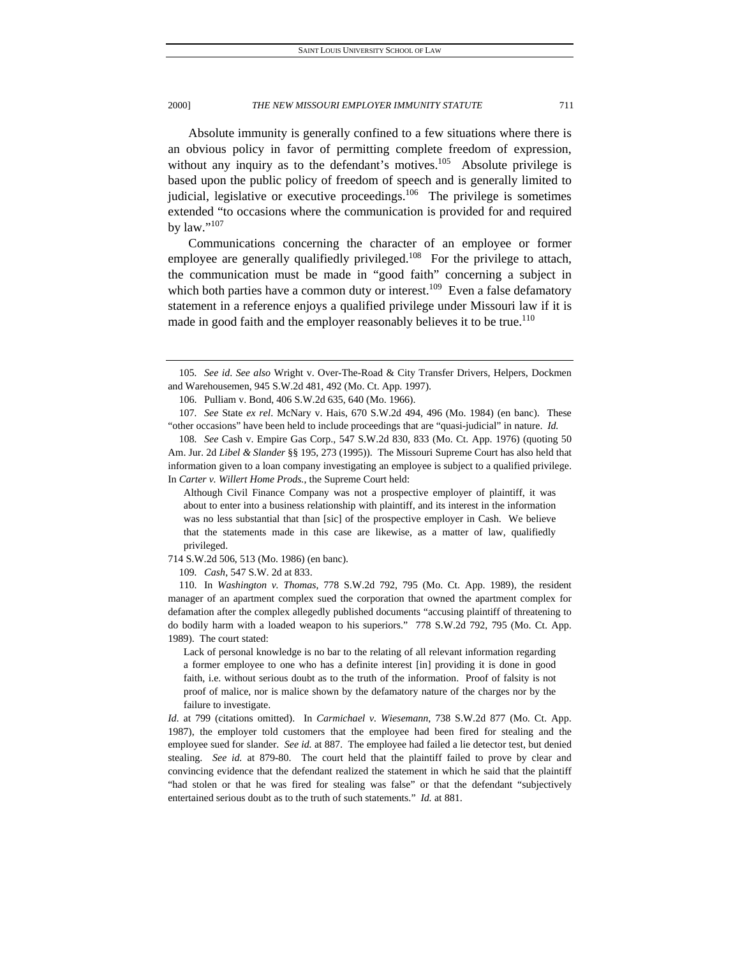Absolute immunity is generally confined to a few situations where there is an obvious policy in favor of permitting complete freedom of expression, without any inquiry as to the defendant's motives.<sup>105</sup> Absolute privilege is based upon the public policy of freedom of speech and is generally limited to judicial, legislative or executive proceedings.<sup>106</sup> The privilege is sometimes extended "to occasions where the communication is provided for and required by law." $107$ 

Communications concerning the character of an employee or former employee are generally qualifiedly privileged.<sup>108</sup> For the privilege to attach, the communication must be made in "good faith" concerning a subject in which both parties have a common duty or interest.<sup>109</sup> Even a false defamatory statement in a reference enjoys a qualified privilege under Missouri law if it is made in good faith and the employer reasonably believes it to be true.<sup>110</sup>

106. Pulliam v. Bond, 406 S.W.2d 635, 640 (Mo. 1966).

107*. See* State *ex rel*. McNary v. Hais, 670 S.W.2d 494, 496 (Mo. 1984) (en banc). These "other occasions" have been held to include proceedings that are "quasi-judicial" in nature. *Id.*

108*. See* Cash v. Empire Gas Corp., 547 S.W.2d 830, 833 (Mo. Ct. App. 1976) (quoting 50 Am. Jur. 2d *Libel & Slander* §§ 195, 273 (1995)). The Missouri Supreme Court has also held that information given to a loan company investigating an employee is subject to a qualified privilege. In *Carter v. Willert Home Prods.*, the Supreme Court held:

Although Civil Finance Company was not a prospective employer of plaintiff, it was about to enter into a business relationship with plaintiff, and its interest in the information was no less substantial that than [sic] of the prospective employer in Cash. We believe that the statements made in this case are likewise, as a matter of law, qualifiedly privileged.

714 S.W.2d 506, 513 (Mo. 1986) (en banc).

109*. Cash*, 547 S.W. 2d at 833.

 110. In *Washington v. Thomas*, 778 S.W.2d 792, 795 (Mo. Ct. App. 1989), the resident manager of an apartment complex sued the corporation that owned the apartment complex for defamation after the complex allegedly published documents "accusing plaintiff of threatening to do bodily harm with a loaded weapon to his superiors." 778 S.W.2d 792, 795 (Mo. Ct. App. 1989). The court stated:

Lack of personal knowledge is no bar to the relating of all relevant information regarding a former employee to one who has a definite interest [in] providing it is done in good faith, i.e. without serious doubt as to the truth of the information. Proof of falsity is not proof of malice, nor is malice shown by the defamatory nature of the charges nor by the failure to investigate.

*Id*. at 799 (citations omitted). In *Carmichael v. Wiesemann*, 738 S.W.2d 877 (Mo. Ct. App. 1987), the employer told customers that the employee had been fired for stealing and the employee sued for slander. *See id.* at 887. The employee had failed a lie detector test, but denied stealing. *See id.* at 879-80. The court held that the plaintiff failed to prove by clear and convincing evidence that the defendant realized the statement in which he said that the plaintiff "had stolen or that he was fired for stealing was false" or that the defendant "subjectively entertained serious doubt as to the truth of such statements." *Id.* at 881.

<sup>105</sup>*. See id*. *See also* Wright v. Over-The-Road & City Transfer Drivers, Helpers, Dockmen and Warehousemen, 945 S.W.2d 481, 492 (Mo. Ct. App. 1997).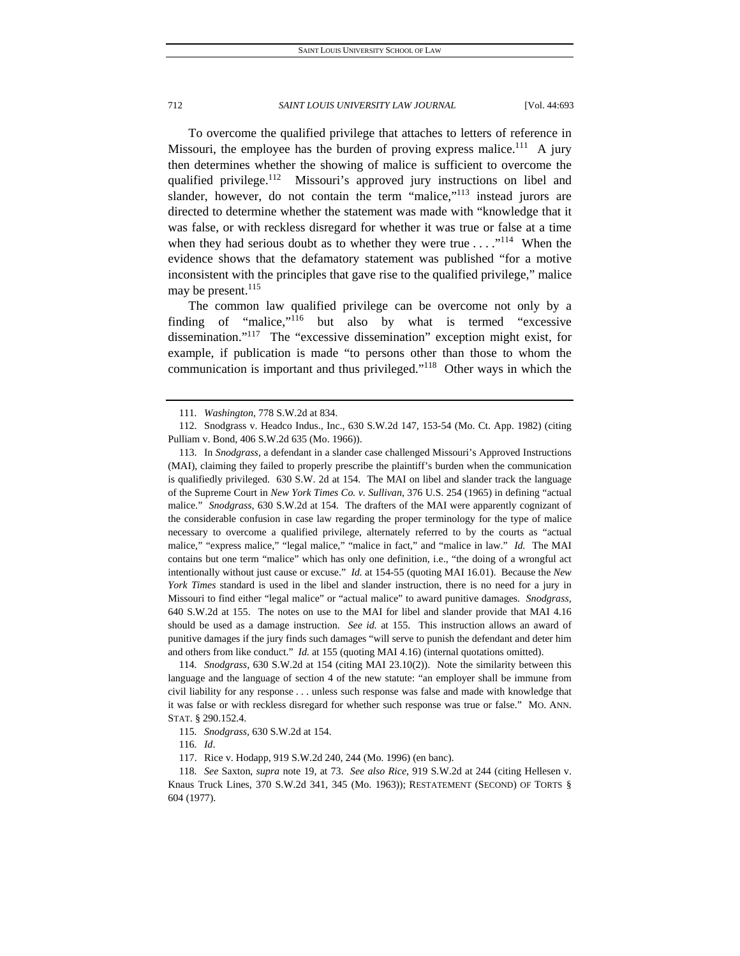To overcome the qualified privilege that attaches to letters of reference in Missouri, the employee has the burden of proving express malice.<sup>111</sup> A jury then determines whether the showing of malice is sufficient to overcome the qualified privilege.<sup>112</sup> Missouri's approved jury instructions on libel and slander, however, do not contain the term "malice, $v^{113}$  instead jurors are directed to determine whether the statement was made with "knowledge that it was false, or with reckless disregard for whether it was true or false at a time when they had serious doubt as to whether they were true  $\dots$ ."<sup>114</sup> When the evidence shows that the defamatory statement was published "for a motive inconsistent with the principles that gave rise to the qualified privilege," malice may be present.<sup>115</sup>

The common law qualified privilege can be overcome not only by a finding of "malice,"<sup>116</sup> but also by what is termed "excessive dissemination."117 The "excessive dissemination" exception might exist, for example, if publication is made "to persons other than those to whom the communication is important and thus privileged."118 Other ways in which the

114*. Snodgrass*, 630 S.W.2d at 154 (citing MAI 23.10(2)). Note the similarity between this language and the language of section 4 of the new statute: "an employer shall be immune from civil liability for any response . . . unless such response was false and made with knowledge that it was false or with reckless disregard for whether such response was true or false." MO. ANN. STAT. § 290.152.4.

116*. Id*.

<sup>111</sup>*. Washington,* 778 S.W.2d at 834.

 <sup>112.</sup> Snodgrass v. Headco Indus., Inc., 630 S.W.2d 147, 153-54 (Mo. Ct. App. 1982) (citing Pulliam v. Bond, 406 S.W.2d 635 (Mo. 1966)).

 <sup>113.</sup> In *Snodgrass*, a defendant in a slander case challenged Missouri's Approved Instructions (MAI), claiming they failed to properly prescribe the plaintiff's burden when the communication is qualifiedly privileged. 630 S.W. 2d at 154. The MAI on libel and slander track the language of the Supreme Court in *New York Times Co. v. Sullivan*, 376 U.S. 254 (1965) in defining "actual malice." *Snodgrass,* 630 S.W.2d at 154*.* The drafters of the MAI were apparently cognizant of the considerable confusion in case law regarding the proper terminology for the type of malice necessary to overcome a qualified privilege, alternately referred to by the courts as "actual malice," "express malice," "legal malice," "malice in fact," and "malice in law." *Id.* The MAI contains but one term "malice" which has only one definition, i.e., "the doing of a wrongful act intentionally without just cause or excuse." *Id.* at 154-55 (quoting MAI 16.01). Because the *New York Times* standard is used in the libel and slander instruction, there is no need for a jury in Missouri to find either "legal malice" or "actual malice" to award punitive damages. *Snodgrass*, 640 S.W.2d at 155. The notes on use to the MAI for libel and slander provide that MAI 4.16 should be used as a damage instruction. *See id.* at 155. This instruction allows an award of punitive damages if the jury finds such damages "will serve to punish the defendant and deter him and others from like conduct." *Id.* at 155 (quoting MAI 4.16) (internal quotations omitted).

<sup>115</sup>*. Snodgrass,* 630 S.W.2d at 154.

 <sup>117.</sup> Rice v. Hodapp, 919 S.W.2d 240, 244 (Mo. 1996) (en banc).

<sup>118</sup>*. See* Saxton, *supra* note 19, at 73. *See also Rice*, 919 S.W.2d at 244 (citing Hellesen v. Knaus Truck Lines, 370 S.W.2d 341, 345 (Mo. 1963)); RESTATEMENT (SECOND) OF TORTS § 604 (1977).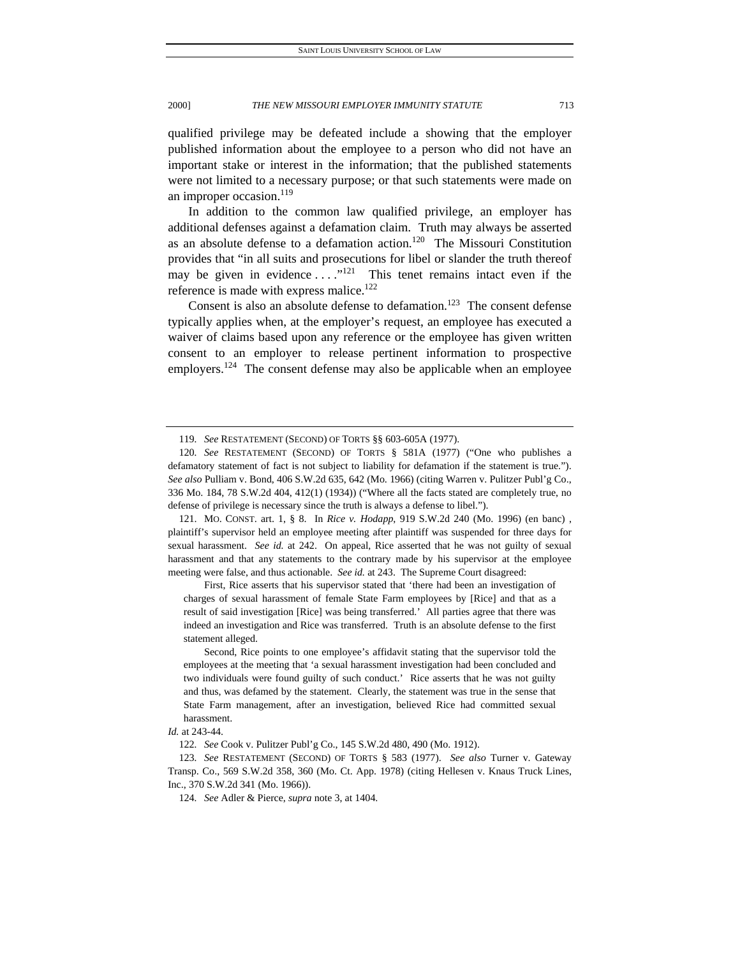qualified privilege may be defeated include a showing that the employer published information about the employee to a person who did not have an important stake or interest in the information; that the published statements were not limited to a necessary purpose; or that such statements were made on an improper occasion.<sup>119</sup>

In addition to the common law qualified privilege, an employer has additional defenses against a defamation claim. Truth may always be asserted as an absolute defense to a defamation action.<sup>120</sup> The Missouri Constitution provides that "in all suits and prosecutions for libel or slander the truth thereof may be given in evidence  $\dots$ <sup>121</sup> This tenet remains intact even if the reference is made with express malice.<sup>122</sup>

Consent is also an absolute defense to defamation.<sup>123</sup> The consent defense typically applies when, at the employer's request, an employee has executed a waiver of claims based upon any reference or the employee has given written consent to an employer to release pertinent information to prospective employers.<sup>124</sup> The consent defense may also be applicable when an employee

 121. MO. CONST. art. 1, § 8. In *Rice v. Hodapp*, 919 S.W.2d 240 (Mo. 1996) (en banc) , plaintiff's supervisor held an employee meeting after plaintiff was suspended for three days for sexual harassment. *See id.* at 242. On appeal, Rice asserted that he was not guilty of sexual harassment and that any statements to the contrary made by his supervisor at the employee meeting were false, and thus actionable. *See id.* at 243. The Supreme Court disagreed:

 First, Rice asserts that his supervisor stated that 'there had been an investigation of charges of sexual harassment of female State Farm employees by [Rice] and that as a result of said investigation [Rice] was being transferred.' All parties agree that there was indeed an investigation and Rice was transferred. Truth is an absolute defense to the first statement alleged.

 Second, Rice points to one employee's affidavit stating that the supervisor told the employees at the meeting that 'a sexual harassment investigation had been concluded and two individuals were found guilty of such conduct.' Rice asserts that he was not guilty and thus, was defamed by the statement. Clearly, the statement was true in the sense that State Farm management, after an investigation, believed Rice had committed sexual harassment.

<sup>119</sup>*. See* RESTATEMENT (SECOND) OF TORTS §§ 603-605A (1977).

<sup>120</sup>*. See* RESTATEMENT (SECOND) OF TORTS § 581A (1977) ("One who publishes a defamatory statement of fact is not subject to liability for defamation if the statement is true."). *See also* Pulliam v. Bond, 406 S.W.2d 635, 642 (Mo. 1966) (citing Warren v. Pulitzer Publ'g Co., 336 Mo. 184, 78 S.W.2d 404, 412(1) (1934)) ("Where all the facts stated are completely true, no defense of privilege is necessary since the truth is always a defense to libel.").

*Id.* at 243-44.

<sup>122</sup>*. See* Cook v. Pulitzer Publ'g Co., 145 S.W.2d 480, 490 (Mo. 1912).

<sup>123</sup>*. See* RESTATEMENT (SECOND) OF TORTS § 583 (1977). *See also* Turner v. Gateway Transp. Co., 569 S.W.2d 358, 360 (Mo. Ct. App. 1978) (citing Hellesen v. Knaus Truck Lines, Inc., 370 S.W.2d 341 (Mo. 1966)).

<sup>124</sup>*. See* Adler & Pierce, *supra* note 3, at 1404.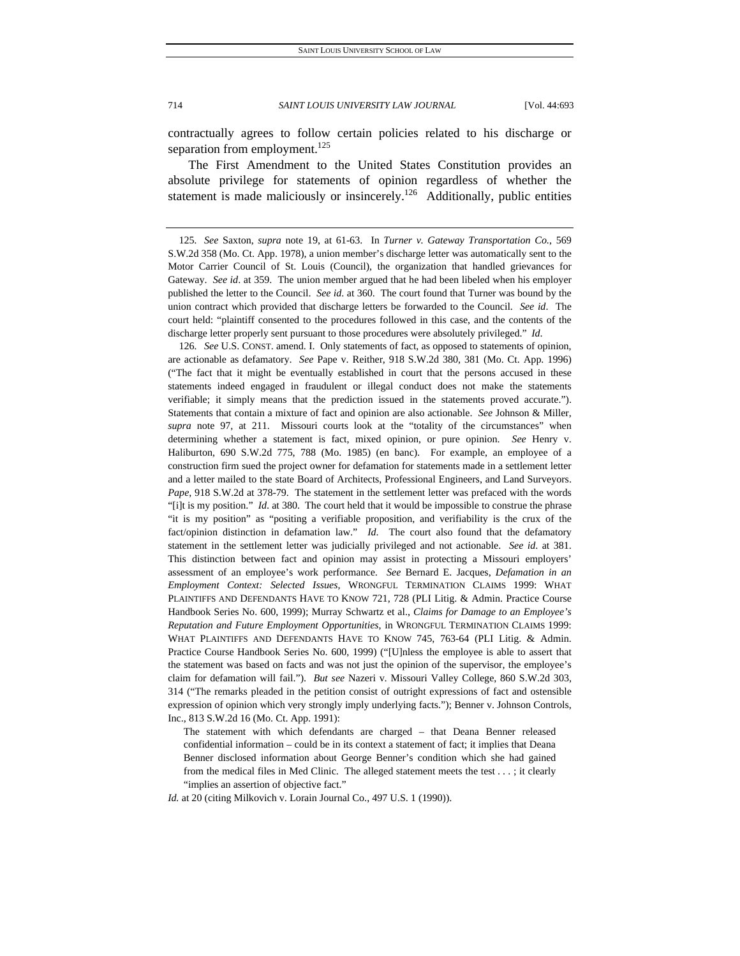contractually agrees to follow certain policies related to his discharge or separation from employment.<sup>125</sup>

The First Amendment to the United States Constitution provides an absolute privilege for statements of opinion regardless of whether the statement is made maliciously or insincerely.<sup>126</sup> Additionally, public entities

126*. See* U.S. CONST. amend. I. Only statements of fact, as opposed to statements of opinion, are actionable as defamatory. *See* Pape v. Reither, 918 S.W.2d 380, 381 (Mo. Ct. App. 1996) ("The fact that it might be eventually established in court that the persons accused in these statements indeed engaged in fraudulent or illegal conduct does not make the statements verifiable; it simply means that the prediction issued in the statements proved accurate."). Statements that contain a mixture of fact and opinion are also actionable. *See* Johnson & Miller, *supra* note 97, at 211. Missouri courts look at the "totality of the circumstances" when determining whether a statement is fact, mixed opinion, or pure opinion. *See* Henry v. Haliburton, 690 S.W.2d 775, 788 (Mo. 1985) (en banc). For example, an employee of a construction firm sued the project owner for defamation for statements made in a settlement letter and a letter mailed to the state Board of Architects, Professional Engineers, and Land Surveyors. *Pape*, 918 S.W.2d at 378-79. The statement in the settlement letter was prefaced with the words "[i]t is my position." *Id*. at 380. The court held that it would be impossible to construe the phrase "it is my position" as "positing a verifiable proposition, and verifiability is the crux of the fact/opinion distinction in defamation law." *Id*. The court also found that the defamatory statement in the settlement letter was judicially privileged and not actionable. *See id*. at 381. This distinction between fact and opinion may assist in protecting a Missouri employers' assessment of an employee's work performance. *See* Bernard E. Jacques, *Defamation in an Employment Context: Selected Issues*, WRONGFUL TERMINATION CLAIMS 1999: WHAT PLAINTIFFS AND DEFENDANTS HAVE TO KNOW 721, 728 (PLI Litig. & Admin. Practice Course Handbook Series No. 600, 1999); Murray Schwartz et al., *Claims for Damage to an Employee's Reputation and Future Employment Opportunities*, in WRONGFUL TERMINATION CLAIMS 1999: WHAT PLAINTIFFS AND DEFENDANTS HAVE TO KNOW 745, 763-64 (PLI Litig. & Admin. Practice Course Handbook Series No. 600, 1999) ("[U]nless the employee is able to assert that the statement was based on facts and was not just the opinion of the supervisor, the employee's claim for defamation will fail."). *But see* Nazeri v. Missouri Valley College, 860 S.W.2d 303, 314 ("The remarks pleaded in the petition consist of outright expressions of fact and ostensible expression of opinion which very strongly imply underlying facts."); Benner v. Johnson Controls, Inc., 813 S.W.2d 16 (Mo. Ct. App. 1991):

The statement with which defendants are charged – that Deana Benner released confidential information – could be in its context a statement of fact; it implies that Deana Benner disclosed information about George Benner's condition which she had gained from the medical files in Med Clinic. The alleged statement meets the test . . . ; it clearly "implies an assertion of objective fact."

*Id.* at 20 (citing Milkovich v. Lorain Journal Co., 497 U.S. 1 (1990)).

<sup>125</sup>*. See* Saxton, *supra* note 19, at 61-63. In *Turner v. Gateway Transportation Co.*, 569 S.W.2d 358 (Mo. Ct. App. 1978), a union member's discharge letter was automatically sent to the Motor Carrier Council of St. Louis (Council), the organization that handled grievances for Gateway. *See id*. at 359. The union member argued that he had been libeled when his employer published the letter to the Council. *See id*. at 360. The court found that Turner was bound by the union contract which provided that discharge letters be forwarded to the Council. *See id*. The court held: "plaintiff consented to the procedures followed in this case, and the contents of the discharge letter properly sent pursuant to those procedures were absolutely privileged." *Id*.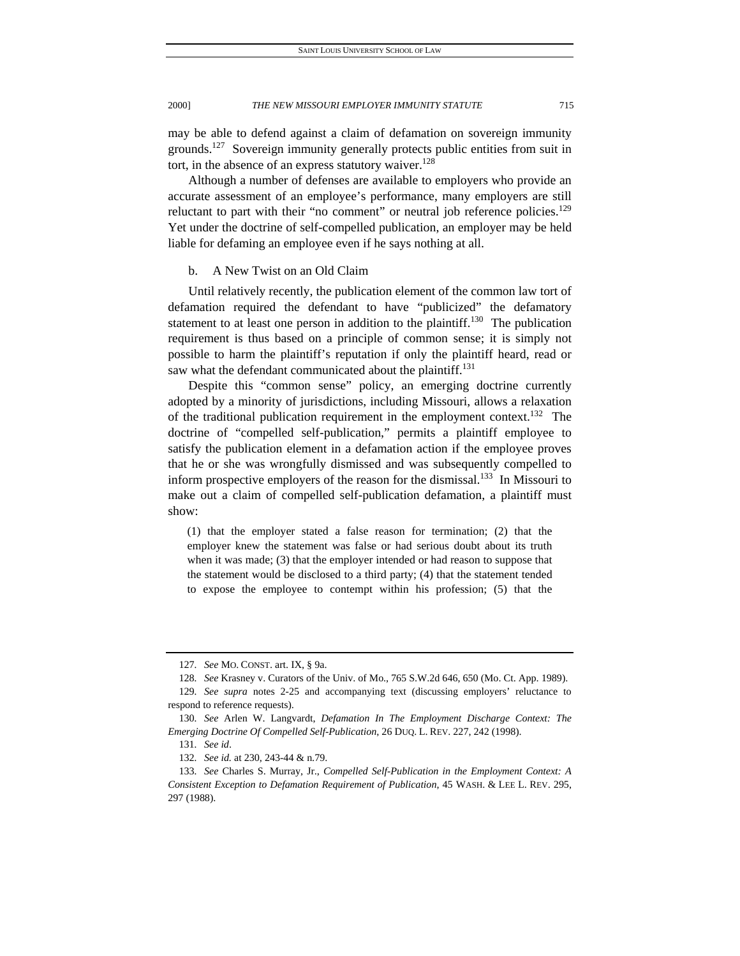may be able to defend against a claim of defamation on sovereign immunity grounds.<sup>127</sup> Sovereign immunity generally protects public entities from suit in tort, in the absence of an express statutory waiver.<sup>128</sup>

Although a number of defenses are available to employers who provide an accurate assessment of an employee's performance, many employers are still reluctant to part with their "no comment" or neutral job reference policies. $^{129}$ Yet under the doctrine of self-compelled publication, an employer may be held liable for defaming an employee even if he says nothing at all.

# b. A New Twist on an Old Claim

Until relatively recently, the publication element of the common law tort of defamation required the defendant to have "publicized" the defamatory statement to at least one person in addition to the plaintiff.<sup>130</sup> The publication requirement is thus based on a principle of common sense; it is simply not possible to harm the plaintiff's reputation if only the plaintiff heard, read or saw what the defendant communicated about the plaintiff.<sup>131</sup>

Despite this "common sense" policy, an emerging doctrine currently adopted by a minority of jurisdictions, including Missouri, allows a relaxation of the traditional publication requirement in the employment context.<sup>132</sup> The doctrine of "compelled self-publication," permits a plaintiff employee to satisfy the publication element in a defamation action if the employee proves that he or she was wrongfully dismissed and was subsequently compelled to inform prospective employers of the reason for the dismissal.<sup>133</sup> In Missouri to make out a claim of compelled self-publication defamation, a plaintiff must show:

(1) that the employer stated a false reason for termination; (2) that the employer knew the statement was false or had serious doubt about its truth when it was made; (3) that the employer intended or had reason to suppose that the statement would be disclosed to a third party; (4) that the statement tended to expose the employee to contempt within his profession; (5) that the

<sup>127</sup>*. See* MO. CONST. art. IX, § 9a.

<sup>128</sup>*. See* Krasney v. Curators of the Univ. of Mo., 765 S.W.2d 646, 650 (Mo. Ct. App. 1989).

<sup>129</sup>*. See supra* notes 2-25 and accompanying text (discussing employers' reluctance to respond to reference requests).

<sup>130</sup>*. See* Arlen W. Langvardt, *Defamation In The Employment Discharge Context: The Emerging Doctrine Of Compelled Self-Publication*, 26 DUQ. L. REV. 227, 242 (1998).

<sup>131</sup>*. See id*.

<sup>132</sup>*. See id.* at 230, 243-44 & n.79.

<sup>133</sup>*. See* Charles S. Murray, Jr., *Compelled Self-Publication in the Employment Context: A Consistent Exception to Defamation Requirement of Publication*, 45 WASH. & LEE L. REV. 295, 297 (1988).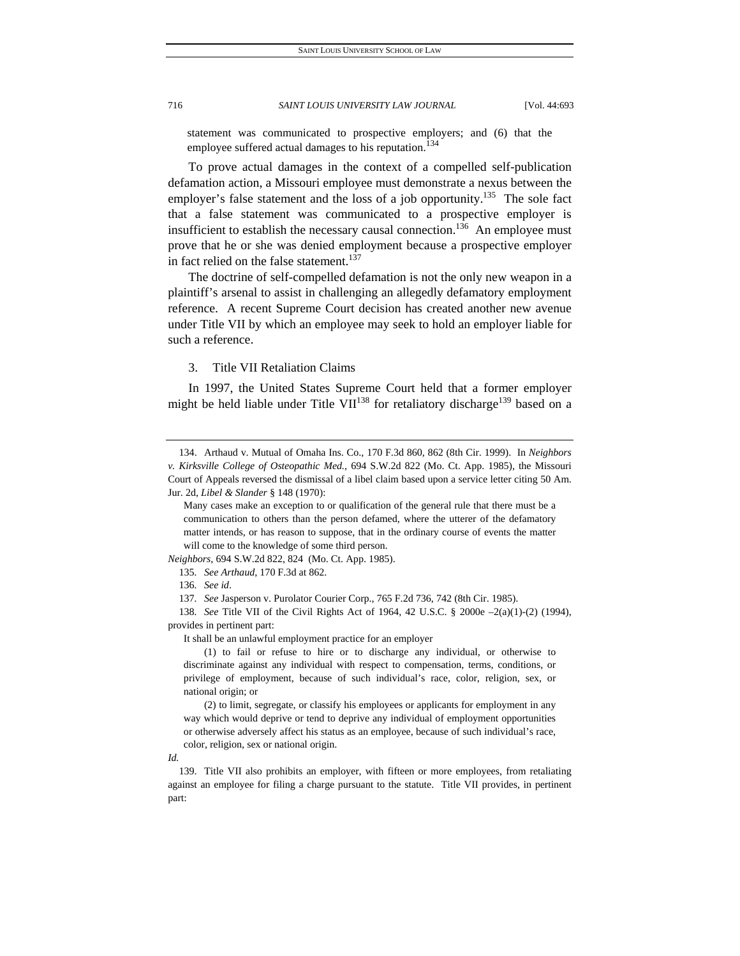statement was communicated to prospective employers; and (6) that the employee suffered actual damages to his reputation.<sup>134</sup>

To prove actual damages in the context of a compelled self-publication defamation action, a Missouri employee must demonstrate a nexus between the employer's false statement and the loss of a job opportunity.<sup>135</sup> The sole fact that a false statement was communicated to a prospective employer is insufficient to establish the necessary causal connection.<sup>136</sup> An employee must prove that he or she was denied employment because a prospective employer in fact relied on the false statement.<sup>137</sup>

The doctrine of self-compelled defamation is not the only new weapon in a plaintiff's arsenal to assist in challenging an allegedly defamatory employment reference. A recent Supreme Court decision has created another new avenue under Title VII by which an employee may seek to hold an employer liable for such a reference.

# 3. Title VII Retaliation Claims

In 1997, the United States Supreme Court held that a former employer might be held liable under Title VII<sup>138</sup> for retaliatory discharge<sup>139</sup> based on a

*Neighbors*, 694 S.W.2d 822, 824 (Mo. Ct. App. 1985).

138*. See* Title VII of the Civil Rights Act of 1964, 42 U.S.C. § 2000e –2(a)(1)-(2) (1994), provides in pertinent part:

It shall be an unlawful employment practice for an employer

 (1) to fail or refuse to hire or to discharge any individual, or otherwise to discriminate against any individual with respect to compensation, terms, conditions, or privilege of employment, because of such individual's race, color, religion, sex, or national origin; or

 (2) to limit, segregate, or classify his employees or applicants for employment in any way which would deprive or tend to deprive any individual of employment opportunities or otherwise adversely affect his status as an employee, because of such individual's race, color, religion, sex or national origin.

*Id.*

 139. Title VII also prohibits an employer, with fifteen or more employees, from retaliating against an employee for filing a charge pursuant to the statute. Title VII provides, in pertinent part:

 <sup>134.</sup> Arthaud v. Mutual of Omaha Ins. Co., 170 F.3d 860, 862 (8th Cir. 1999). In *Neighbors v. Kirksville College of Osteopathic Med.*, 694 S.W.2d 822 (Mo. Ct. App. 1985), the Missouri Court of Appeals reversed the dismissal of a libel claim based upon a service letter citing 50 Am. Jur. 2d, *Libel & Slander* § 148 (1970):

Many cases make an exception to or qualification of the general rule that there must be a communication to others than the person defamed, where the utterer of the defamatory matter intends, or has reason to suppose, that in the ordinary course of events the matter will come to the knowledge of some third person.

<sup>135</sup>*. See Arthaud*, 170 F.3d at 862.

<sup>136</sup>*. See id*.

<sup>137</sup>*. See* Jasperson v. Purolator Courier Corp., 765 F.2d 736, 742 (8th Cir. 1985).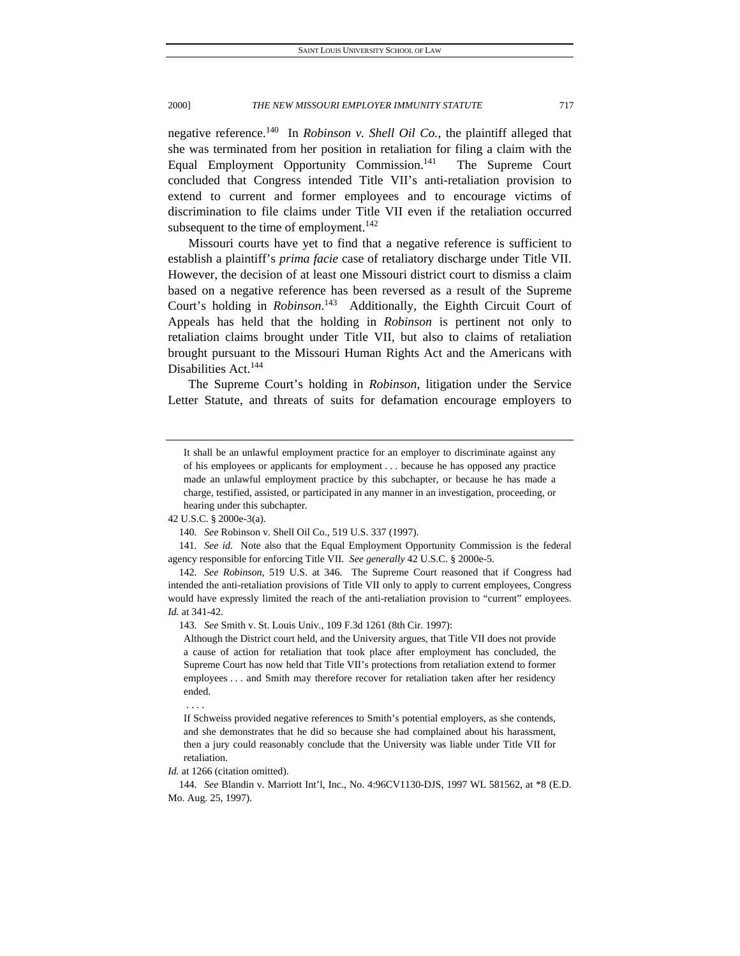negative reference.140 In *Robinson v. Shell Oil Co.*, the plaintiff alleged that she was terminated from her position in retaliation for filing a claim with the Equal Employment Opportunity Commission.<sup>141</sup> The Supreme Court concluded that Congress intended Title VII's anti-retaliation provision to extend to current and former employees and to encourage victims of discrimination to file claims under Title VII even if the retaliation occurred subsequent to the time of employment.<sup>142</sup>

Missouri courts have yet to find that a negative reference is sufficient to establish a plaintiff's *prima facie* case of retaliatory discharge under Title VII. However, the decision of at least one Missouri district court to dismiss a claim based on a negative reference has been reversed as a result of the Supreme Court's holding in *Robinson*. 143 Additionally, the Eighth Circuit Court of Appeals has held that the holding in *Robinson* is pertinent not only to retaliation claims brought under Title VII, but also to claims of retaliation brought pursuant to the Missouri Human Rights Act and the Americans with Disabilities Act.<sup>144</sup>

The Supreme Court's holding in *Robinson*, litigation under the Service Letter Statute, and threats of suits for defamation encourage employers to

141*. See id.* Note also that the Equal Employment Opportunity Commission is the federal agency responsible for enforcing Title VII. *See generally* 42 U.S.C. § 2000e-5.

. . . .

It shall be an unlawful employment practice for an employer to discriminate against any of his employees or applicants for employment . . . because he has opposed any practice made an unlawful employment practice by this subchapter, or because he has made a charge, testified, assisted, or participated in any manner in an investigation, proceeding, or hearing under this subchapter.

<sup>42</sup> U.S.C. § 2000e-3(a).

<sup>140</sup>*. See* Robinson v. Shell Oil Co., 519 U.S. 337 (1997).

<sup>142</sup>*. See Robinson*, 519 U.S. at 346. The Supreme Court reasoned that if Congress had intended the anti-retaliation provisions of Title VII only to apply to current employees, Congress would have expressly limited the reach of the anti-retaliation provision to "current" employees. *Id.* at 341-42.

<sup>143</sup>*. See* Smith v. St. Louis Univ., 109 F.3d 1261 (8th Cir. 1997):

Although the District court held, and the University argues, that Title VII does not provide a cause of action for retaliation that took place after employment has concluded, the Supreme Court has now held that Title VII's protections from retaliation extend to former employees . . . and Smith may therefore recover for retaliation taken after her residency ended.

If Schweiss provided negative references to Smith's potential employers, as she contends, and she demonstrates that he did so because she had complained about his harassment, then a jury could reasonably conclude that the University was liable under Title VII for retaliation.

*Id.* at 1266 (citation omitted).

<sup>144</sup>*. See* Blandin v. Marriott Int'l, Inc., No. 4:96CV1130-DJS, 1997 WL 581562, at \*8 (E.D. Mo. Aug. 25, 1997).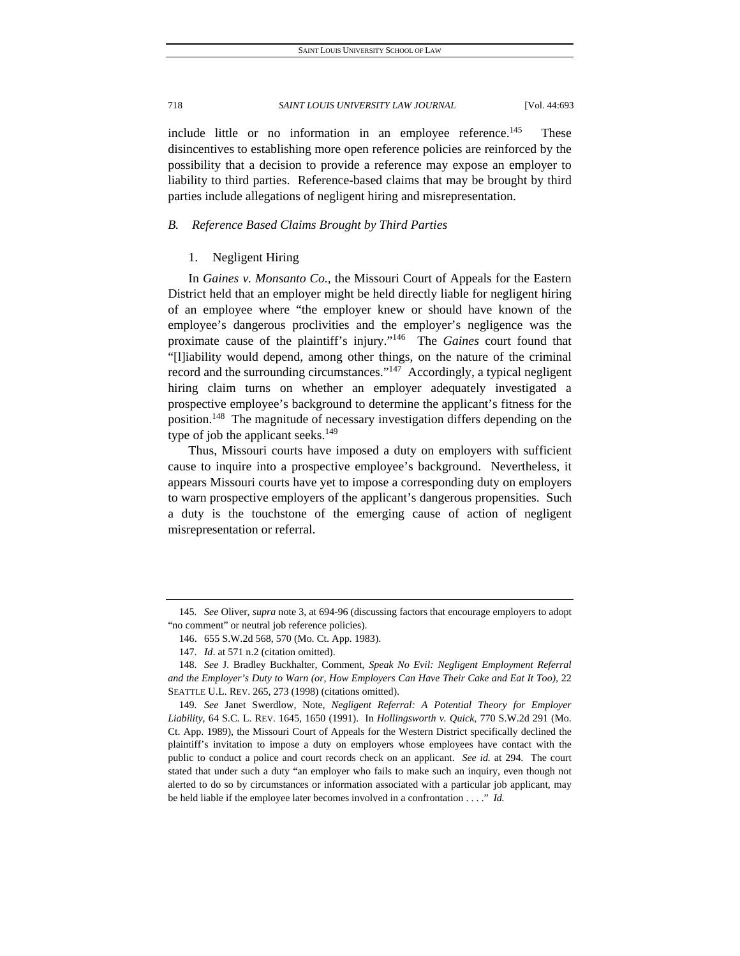include little or no information in an employee reference.<sup>145</sup> These disincentives to establishing more open reference policies are reinforced by the possibility that a decision to provide a reference may expose an employer to liability to third parties. Reference-based claims that may be brought by third parties include allegations of negligent hiring and misrepresentation.

# *B. Reference Based Claims Brought by Third Parties*

# 1. Negligent Hiring

In *Gaines v. Monsanto Co.,* the Missouri Court of Appeals for the Eastern District held that an employer might be held directly liable for negligent hiring of an employee where "the employer knew or should have known of the employee's dangerous proclivities and the employer's negligence was the proximate cause of the plaintiff's injury."146 The *Gaines* court found that "[l]iability would depend, among other things, on the nature of the criminal record and the surrounding circumstances." $147$  Accordingly, a typical negligent hiring claim turns on whether an employer adequately investigated a prospective employee's background to determine the applicant's fitness for the position.<sup>148</sup> The magnitude of necessary investigation differs depending on the type of job the applicant seeks.<sup>149</sup>

Thus, Missouri courts have imposed a duty on employers with sufficient cause to inquire into a prospective employee's background. Nevertheless, it appears Missouri courts have yet to impose a corresponding duty on employers to warn prospective employers of the applicant's dangerous propensities. Such a duty is the touchstone of the emerging cause of action of negligent misrepresentation or referral.

<sup>145</sup>*. See* Oliver, *supra* note 3, at 694-96 (discussing factors that encourage employers to adopt "no comment" or neutral job reference policies).

 <sup>146. 655</sup> S.W.2d 568, 570 (Mo. Ct. App. 1983).

<sup>147</sup>*. Id*. at 571 n.2 (citation omitted).

<sup>148</sup>*. See* J. Bradley Buckhalter, Comment, *Speak No Evil: Negligent Employment Referral and the Employer's Duty to Warn (or, How Employers Can Have Their Cake and Eat It Too),* 22 SEATTLE U.L. REV. 265, 273 (1998) (citations omitted).

<sup>149</sup>*. See* Janet Swerdlow, Note, *Negligent Referral: A Potential Theory for Employer Liability,* 64 S.C. L. REV. 1645, 1650 (1991). In *Hollingsworth v. Quick*, 770 S.W.2d 291 (Mo. Ct. App. 1989), the Missouri Court of Appeals for the Western District specifically declined the plaintiff's invitation to impose a duty on employers whose employees have contact with the public to conduct a police and court records check on an applicant. *See id.* at 294. The court stated that under such a duty "an employer who fails to make such an inquiry, even though not alerted to do so by circumstances or information associated with a particular job applicant, may be held liable if the employee later becomes involved in a confrontation . . . ." *Id.*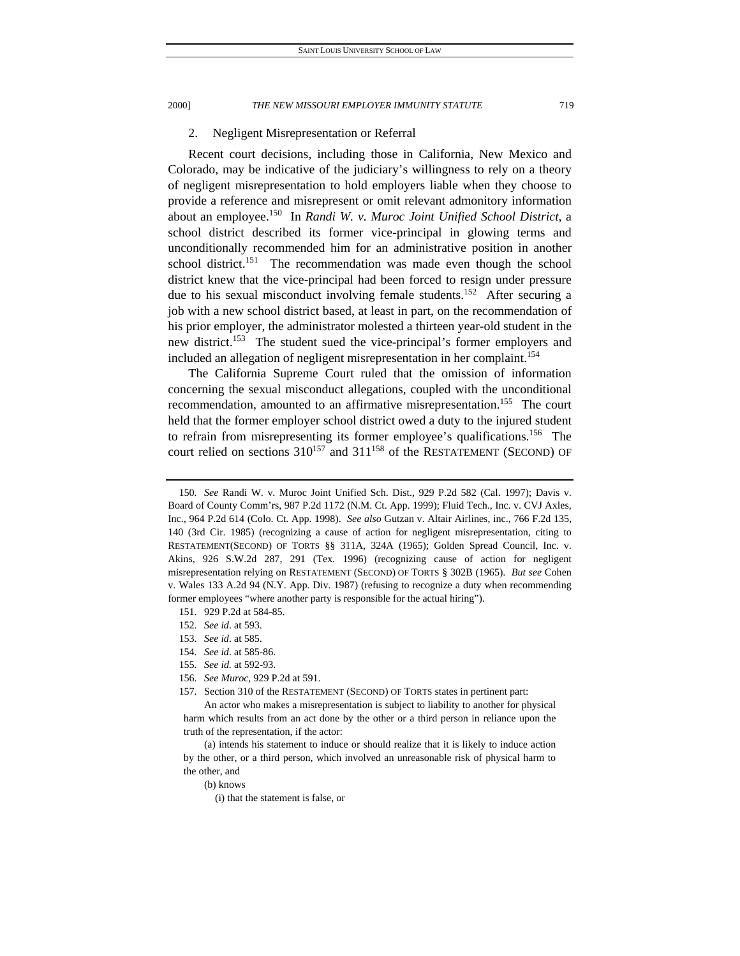# 2. Negligent Misrepresentation or Referral

Recent court decisions, including those in California, New Mexico and Colorado, may be indicative of the judiciary's willingness to rely on a theory of negligent misrepresentation to hold employers liable when they choose to provide a reference and misrepresent or omit relevant admonitory information about an employee.150 In *Randi W. v. Muroc Joint Unified School District*, a school district described its former vice-principal in glowing terms and unconditionally recommended him for an administrative position in another school district.<sup>151</sup> The recommendation was made even though the school district knew that the vice-principal had been forced to resign under pressure due to his sexual misconduct involving female students.<sup>152</sup> After securing a job with a new school district based, at least in part, on the recommendation of his prior employer, the administrator molested a thirteen year-old student in the new district.<sup>153</sup> The student sued the vice-principal's former employers and included an allegation of negligent misrepresentation in her complaint.<sup>154</sup>

The California Supreme Court ruled that the omission of information concerning the sexual misconduct allegations, coupled with the unconditional recommendation, amounted to an affirmative misrepresentation.<sup>155</sup> The court held that the former employer school district owed a duty to the injured student to refrain from misrepresenting its former employee's qualifications.<sup>156</sup> The court relied on sections  $310^{157}$  and  $311^{158}$  of the RESTATEMENT (SECOND) OF

- 152*. See id*. at 593.
- 153*. See id*. at 585.
- 154*. See id*. at 585-86.
- 155*. See id.* at 592-93.
- 156*. See Muroc,* 929 P.2d at 591.
- 157. Section 310 of the RESTATEMENT (SECOND) OF TORTS states in pertinent part:

<sup>150</sup>*. See* Randi W. v. Muroc Joint Unified Sch. Dist., 929 P.2d 582 (Cal. 1997); Davis v. Board of County Comm'rs, 987 P.2d 1172 (N.M. Ct. App. 1999); Fluid Tech., Inc. v. CVJ Axles, Inc., 964 P.2d 614 (Colo. Ct. App. 1998). *See also* Gutzan v. Altair Airlines, inc., 766 F.2d 135, 140 (3rd Cir. 1985) (recognizing a cause of action for negligent misrepresentation, citing to RESTATEMENT(SECOND) OF TORTS §§ 311A, 324A (1965); Golden Spread Council, Inc. v. Akins, 926 S.W.2d 287, 291 (Tex. 1996) (recognizing cause of action for negligent misrepresentation relying on RESTATEMENT (SECOND) OF TORTS § 302B (1965). *But see* Cohen v. Wales 133 A.2d 94 (N.Y. App. Div. 1987) (refusing to recognize a duty when recommending former employees "where another party is responsible for the actual hiring").

 <sup>151. 929</sup> P.2d at 584-85.

An actor who makes a misrepresentation is subject to liability to another for physical harm which results from an act done by the other or a third person in reliance upon the truth of the representation, if the actor:

 <sup>(</sup>a) intends his statement to induce or should realize that it is likely to induce action by the other, or a third person, which involved an unreasonable risk of physical harm to the other, and

 <sup>(</sup>b) knows

<sup>(</sup>i) that the statement is false, or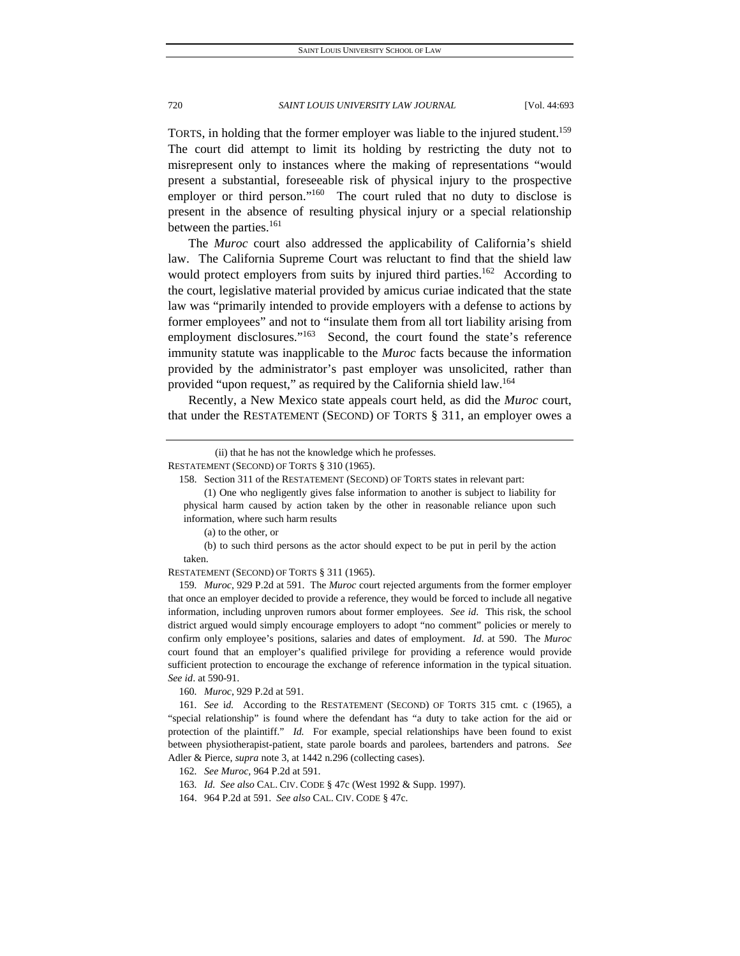TORTS, in holding that the former employer was liable to the injured student.<sup>159</sup> The court did attempt to limit its holding by restricting the duty not to misrepresent only to instances where the making of representations "would present a substantial, foreseeable risk of physical injury to the prospective employer or third person."<sup>160</sup> The court ruled that no duty to disclose is present in the absence of resulting physical injury or a special relationship between the parties.<sup>161</sup>

The *Muroc* court also addressed the applicability of California's shield law. The California Supreme Court was reluctant to find that the shield law would protect employers from suits by injured third parties.<sup>162</sup> According to the court, legislative material provided by amicus curiae indicated that the state law was "primarily intended to provide employers with a defense to actions by former employees" and not to "insulate them from all tort liability arising from employment disclosures."<sup>163</sup> Second, the court found the state's reference immunity statute was inapplicable to the *Muroc* facts because the information provided by the administrator's past employer was unsolicited, rather than provided "upon request," as required by the California shield law.<sup>164</sup>

Recently, a New Mexico state appeals court held, as did the *Muroc* court, that under the RESTATEMENT (SECOND) OF TORTS § 311, an employer owes a

 (b) to such third persons as the actor should expect to be put in peril by the action taken.

RESTATEMENT (SECOND) OF TORTS § 311 (1965).

159*. Muroc*, 929 P.2d at 591. The *Muroc* court rejected arguments from the former employer that once an employer decided to provide a reference, they would be forced to include all negative information, including unproven rumors about former employees. *See id*. This risk, the school district argued would simply encourage employers to adopt "no comment" policies or merely to confirm only employee's positions, salaries and dates of employment. *Id*. at 590. The *Muroc* court found that an employer's qualified privilege for providing a reference would provide sufficient protection to encourage the exchange of reference information in the typical situation. *See id*. at 590-91.

160*. Muroc*, 929 P.2d at 591.

161*. See* i*d.* According to the RESTATEMENT (SECOND) OF TORTS 315 cmt. c (1965), a "special relationship" is found where the defendant has "a duty to take action for the aid or protection of the plaintiff." *Id.* For example, special relationships have been found to exist between physiotherapist-patient, state parole boards and parolees, bartenders and patrons. *See* Adler & Pierce, *supra* note 3, at 1442 n.296 (collecting cases).

164. 964 P.2d at 591. *See also* CAL. CIV. CODE § 47c.

<sup>(</sup>ii) that he has not the knowledge which he professes.

RESTATEMENT (SECOND) OF TORTS § 310 (1965).

 <sup>158.</sup> Section 311 of the RESTATEMENT (SECOND) OF TORTS states in relevant part:

 <sup>(1)</sup> One who negligently gives false information to another is subject to liability for physical harm caused by action taken by the other in reasonable reliance upon such information, where such harm results

 <sup>(</sup>a) to the other, or

<sup>162</sup>*. See Muroc,* 964 P.2d at 591.

<sup>163</sup>*. Id. See also* CAL. CIV. CODE § 47c (West 1992 & Supp. 1997).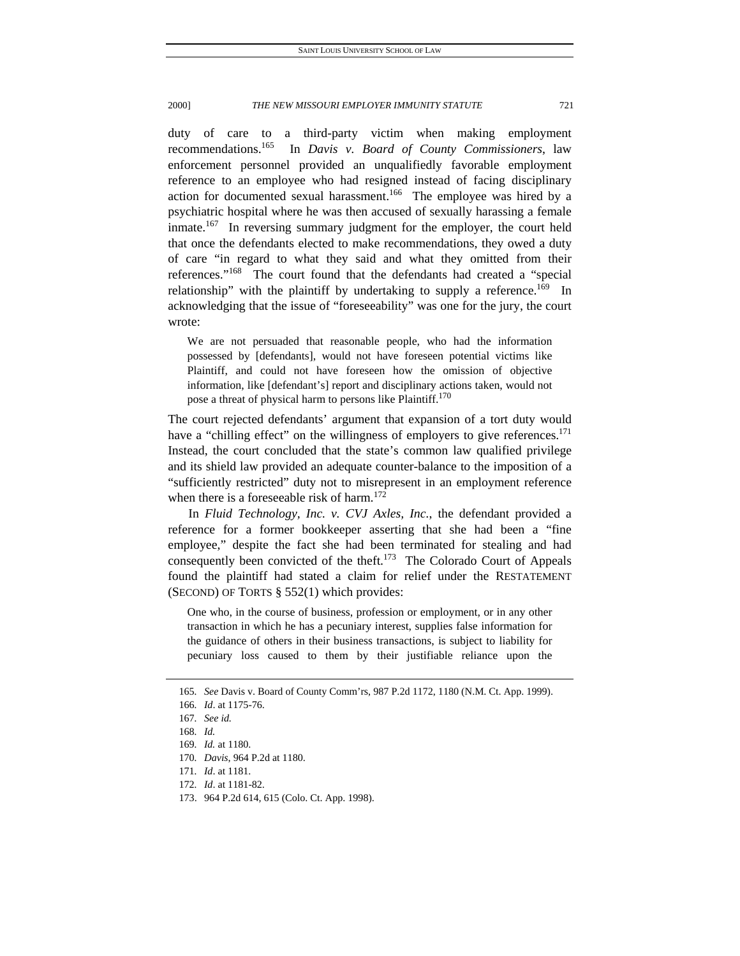duty of care to a third-party victim when making employment recommendations.165 In *Davis v. Board of County Commissioners*, law enforcement personnel provided an unqualifiedly favorable employment reference to an employee who had resigned instead of facing disciplinary action for documented sexual harassment.<sup>166</sup> The employee was hired by a psychiatric hospital where he was then accused of sexually harassing a female inmate.<sup>167</sup> In reversing summary judgment for the employer, the court held that once the defendants elected to make recommendations, they owed a duty of care "in regard to what they said and what they omitted from their references."168 The court found that the defendants had created a "special relationship" with the plaintiff by undertaking to supply a reference.<sup>169</sup> In acknowledging that the issue of "foreseeability" was one for the jury, the court wrote:

We are not persuaded that reasonable people, who had the information possessed by [defendants], would not have foreseen potential victims like Plaintiff, and could not have foreseen how the omission of objective information, like [defendant's] report and disciplinary actions taken, would not pose a threat of physical harm to persons like Plaintiff.<sup>170</sup>

The court rejected defendants' argument that expansion of a tort duty would have a "chilling effect" on the willingness of employers to give references.<sup>171</sup> Instead, the court concluded that the state's common law qualified privilege and its shield law provided an adequate counter-balance to the imposition of a "sufficiently restricted" duty not to misrepresent in an employment reference when there is a foreseeable risk of harm.<sup>172</sup>

In *Fluid Technology, Inc. v. CVJ Axles, Inc.*, the defendant provided a reference for a former bookkeeper asserting that she had been a "fine employee," despite the fact she had been terminated for stealing and had consequently been convicted of the theft.<sup>173</sup> The Colorado Court of Appeals found the plaintiff had stated a claim for relief under the RESTATEMENT (SECOND) OF TORTS  $\S$  552(1) which provides:

One who, in the course of business, profession or employment, or in any other transaction in which he has a pecuniary interest, supplies false information for the guidance of others in their business transactions, is subject to liability for pecuniary loss caused to them by their justifiable reliance upon the

173. 964 P.2d 614*,* 615 (Colo. Ct. App. 1998).

<sup>165</sup>*. See* Davis v. Board of County Comm'rs, 987 P.2d 1172, 1180 (N.M. Ct. App. 1999).

<sup>166</sup>*. Id*. at 1175-76.

<sup>167</sup>*. See id.*

<sup>168</sup>*. Id.*

<sup>169</sup>*. Id.* at 1180.

<sup>170</sup>*. Davis*, 964 P.2d at 1180.

<sup>171</sup>*. Id*. at 1181.

<sup>172</sup>*. Id*. at 1181-82.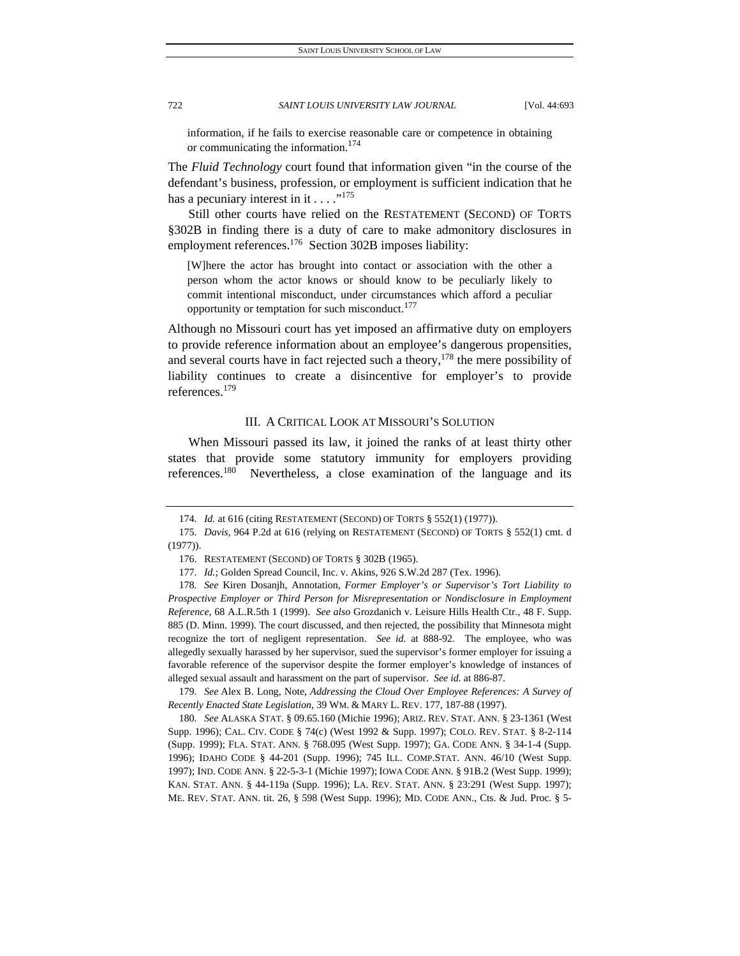information, if he fails to exercise reasonable care or competence in obtaining or communicating the information.<sup>174</sup>

The *Fluid Technology* court found that information given "in the course of the defendant's business, profession, or employment is sufficient indication that he has a pecuniary interest in it  $\dots$  ."<sup>175</sup>

Still other courts have relied on the RESTATEMENT (SECOND) OF TORTS §302B in finding there is a duty of care to make admonitory disclosures in employment references.<sup>176</sup> Section 302B imposes liability:

[W]here the actor has brought into contact or association with the other a person whom the actor knows or should know to be peculiarly likely to commit intentional misconduct, under circumstances which afford a peculiar opportunity or temptation for such misconduct.<sup>177</sup>

Although no Missouri court has yet imposed an affirmative duty on employers to provide reference information about an employee's dangerous propensities, and several courts have in fact rejected such a theory,  $178$  the mere possibility of liability continues to create a disincentive for employer's to provide references.179

# III. A CRITICAL LOOK AT MISSOURI'S SOLUTION

When Missouri passed its law, it joined the ranks of at least thirty other states that provide some statutory immunity for employers providing references.<sup>180</sup> Nevertheless, a close examination of the language and its

<sup>174</sup>*. Id.* at 616 (citing RESTATEMENT (SECOND) OF TORTS § 552(1) (1977)).

<sup>175</sup>*. Davis,* 964 P.2d at 616 (relying on RESTATEMENT (SECOND) OF TORTS § 552(1) cmt. d (1977)).

 <sup>176.</sup> RESTATEMENT (SECOND) OF TORTS § 302B (1965).

<sup>177</sup>*. Id.*; Golden Spread Council, Inc. v. Akins, 926 S.W.2d 287 (Tex. 1996).

<sup>178</sup>*. See* Kiren Dosanjh, Annotation, *Former Employer's or Supervisor's Tort Liability to Prospective Employer or Third Person for Misrepresentation or Nondisclosure in Employment Reference*, 68 A.L.R.5th 1 (1999). *See also* Grozdanich v. Leisure Hills Health Ctr., 48 F. Supp. 885 (D. Minn. 1999). The court discussed, and then rejected, the possibility that Minnesota might recognize the tort of negligent representation. *See id.* at 888-92. The employee, who was allegedly sexually harassed by her supervisor, sued the supervisor's former employer for issuing a favorable reference of the supervisor despite the former employer's knowledge of instances of alleged sexual assault and harassment on the part of supervisor. *See id.* at 886-87.

<sup>179</sup>*. See* Alex B. Long, Note, *Addressing the Cloud Over Employee References: A Survey of Recently Enacted State Legislation*, 39 WM. & MARY L. REV. 177, 187-88 (1997).

<sup>180</sup>*. See* ALASKA STAT. § 09.65.160 (Michie 1996); ARIZ. REV. STAT. ANN. § 23-1361 (West Supp. 1996); CAL. CIV. CODE § 74(c) (West 1992 & Supp. 1997); COLO. REV. STAT. § 8-2-114 (Supp. 1999); FLA. STAT. ANN. § 768.095 (West Supp. 1997); GA. CODE ANN. § 34-1-4 (Supp. 1996); IDAHO CODE § 44-201 (Supp. 1996); 745 ILL. COMP.STAT. ANN. 46/10 (West Supp. 1997); IND. CODE ANN. § 22-5-3-1 (Michie 1997); IOWA CODE ANN. § 91B.2 (West Supp. 1999); KAN. STAT. ANN. § 44-119a (Supp. 1996); LA. REV. STAT. ANN. § 23:291 (West Supp. 1997); ME. REV. STAT. ANN. tit. 26, § 598 (West Supp. 1996); MD. CODE ANN., Cts. & Jud. Proc. § 5-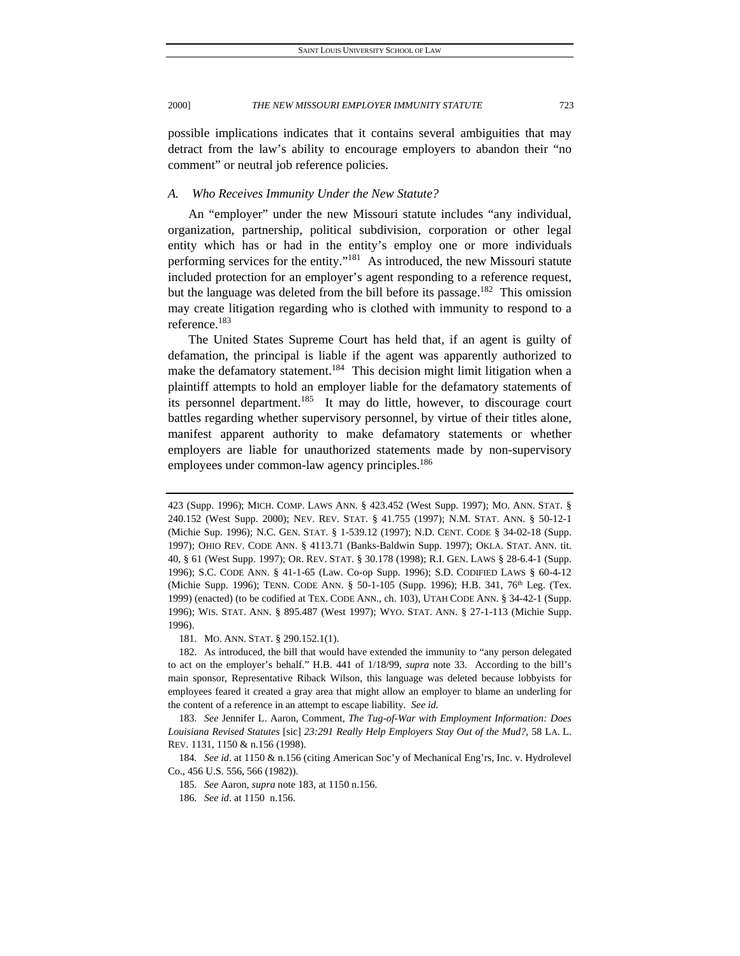possible implications indicates that it contains several ambiguities that may detract from the law's ability to encourage employers to abandon their "no comment" or neutral job reference policies.

# *A. Who Receives Immunity Under the New Statute?*

An "employer" under the new Missouri statute includes "any individual, organization, partnership, political subdivision, corporation or other legal entity which has or had in the entity's employ one or more individuals performing services for the entity."181 As introduced, the new Missouri statute included protection for an employer's agent responding to a reference request, but the language was deleted from the bill before its passage.<sup>182</sup> This omission may create litigation regarding who is clothed with immunity to respond to a reference.183

The United States Supreme Court has held that, if an agent is guilty of defamation, the principal is liable if the agent was apparently authorized to make the defamatory statement.<sup>184</sup> This decision might limit litigation when a plaintiff attempts to hold an employer liable for the defamatory statements of its personnel department.<sup>185</sup> It may do little, however, to discourage court battles regarding whether supervisory personnel, by virtue of their titles alone, manifest apparent authority to make defamatory statements or whether employers are liable for unauthorized statements made by non-supervisory employees under common-law agency principles.<sup>186</sup>

181. MO. ANN. STAT. § 290.152.1(1).

- 185*. See* Aaron, *supra* note 183, at 1150 n.156.
- 186*. See id*. at 1150 n.156.

<sup>423 (</sup>Supp. 1996); MICH. COMP. LAWS ANN. § 423.452 (West Supp. 1997); MO. ANN. STAT. § 240.152 (West Supp. 2000); NEV. REV. STAT. § 41.755 (1997); N.M. STAT. ANN. § 50-12-1 (Michie Sup. 1996); N.C. GEN. STAT. § 1-539.12 (1997); N.D. CENT. CODE § 34-02-18 (Supp. 1997); OHIO REV. CODE ANN. § 4113.71 (Banks-Baldwin Supp. 1997); OKLA. STAT. ANN. tit. 40, § 61 (West Supp. 1997); OR. REV. STAT. § 30.178 (1998); R.I. GEN. LAWS § 28-6.4-1 (Supp. 1996); S.C. CODE ANN. § 41-1-65 (Law. Co-op Supp. 1996); S.D. CODIFIED LAWS § 60-4-12 (Michie Supp. 1996); TENN. CODE ANN. § 50-1-105 (Supp. 1996); H.B. 341, 76<sup>th</sup> Leg. (Tex. 1999) (enacted) (to be codified at TEX. CODE ANN., ch. 103), UTAH CODE ANN. § 34-42-1 (Supp. 1996); WIS. STAT. ANN. § 895.487 (West 1997); WYO. STAT. ANN. § 27-1-113 (Michie Supp. 1996).

 <sup>182.</sup> As introduced, the bill that would have extended the immunity to "any person delegated to act on the employer's behalf." H.B. 441 of 1/18/99, *supra* note 33. According to the bill's main sponsor, Representative Riback Wilson, this language was deleted because lobbyists for employees feared it created a gray area that might allow an employer to blame an underling for the content of a reference in an attempt to escape liability. *See id.* 

<sup>183</sup>*. See* Jennifer L. Aaron, Comment, *The Tug-of-War with Employment Information: Does Louisiana Revised Statutes* [sic] *23:291 Really Help Employers Stay Out of the Mud?*, 58 LA. L. REV. 1131, 1150 & n.156 (1998).

<sup>184</sup>*. See id*. at 1150 & n.156 (citing American Soc'y of Mechanical Eng'rs, Inc. v. Hydrolevel Co., 456 U.S. 556, 566 (1982)).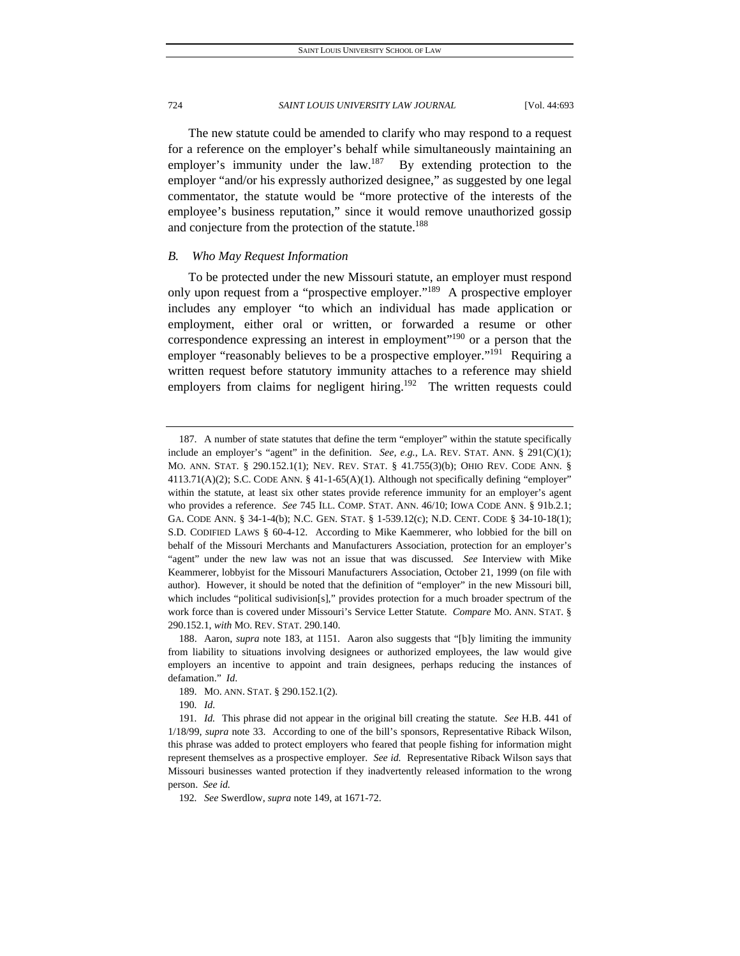The new statute could be amended to clarify who may respond to a request for a reference on the employer's behalf while simultaneously maintaining an employer's immunity under the law.<sup>187</sup> By extending protection to the employer "and/or his expressly authorized designee," as suggested by one legal commentator, the statute would be "more protective of the interests of the employee's business reputation," since it would remove unauthorized gossip and conjecture from the protection of the statute.<sup>188</sup>

# *B. Who May Request Information*

To be protected under the new Missouri statute, an employer must respond only upon request from a "prospective employer."<sup>189</sup> A prospective employer includes any employer "to which an individual has made application or employment, either oral or written, or forwarded a resume or other correspondence expressing an interest in employment"<sup>190</sup> or a person that the employer "reasonably believes to be a prospective employer."<sup>191</sup> Requiring a written request before statutory immunity attaches to a reference may shield employers from claims for negligent hiring.<sup>192</sup> The written requests could

190*. Id.*

 <sup>187.</sup> A number of state statutes that define the term "employer" within the statute specifically include an employer's "agent" in the definition. *See, e.g.*, LA. REV. STAT. ANN. § 291(C)(1); MO. ANN. STAT. § 290.152.1(1); NEV. REV. STAT. § 41.755(3)(b); OHIO REV. CODE ANN. §  $4113.71(A)(2)$ ; S.C. CODE ANN. §  $41-1-65(A)(1)$ . Although not specifically defining "employer" within the statute, at least six other states provide reference immunity for an employer's agent who provides a reference. *See* 745 ILL. COMP. STAT. ANN. 46/10; IOWA CODE ANN. § 91b.2.1; GA. CODE ANN. § 34-1-4(b); N.C. GEN. STAT. § 1-539.12(c); N.D. CENT. CODE § 34-10-18(1); S.D. CODIFIED LAWS § 60-4-12. According to Mike Kaemmerer, who lobbied for the bill on behalf of the Missouri Merchants and Manufacturers Association, protection for an employer's "agent" under the new law was not an issue that was discussed. *See* Interview with Mike Keammerer, lobbyist for the Missouri Manufacturers Association, October 21, 1999 (on file with author). However, it should be noted that the definition of "employer" in the new Missouri bill, which includes "political sudivision[s]," provides protection for a much broader spectrum of the work force than is covered under Missouri's Service Letter Statute. *Compare* MO. ANN. STAT. § 290.152.1, *with* MO. REV. STAT. 290.140.

 <sup>188.</sup> Aaron, *supra* note 183, at 1151. Aaron also suggests that "[b]y limiting the immunity from liability to situations involving designees or authorized employees, the law would give employers an incentive to appoint and train designees, perhaps reducing the instances of defamation." *Id*.

 <sup>189.</sup> MO. ANN. STAT. § 290.152.1(2).

<sup>191</sup>*. Id.* This phrase did not appear in the original bill creating the statute. *See* H.B. 441 of 1/18/99, *supra* note 33. According to one of the bill's sponsors, Representative Riback Wilson, this phrase was added to protect employers who feared that people fishing for information might represent themselves as a prospective employer. *See id.* Representative Riback Wilson says that Missouri businesses wanted protection if they inadvertently released information to the wrong person. *See id.* 

<sup>192</sup>*. See* Swerdlow, *supra* note 149, at 1671-72.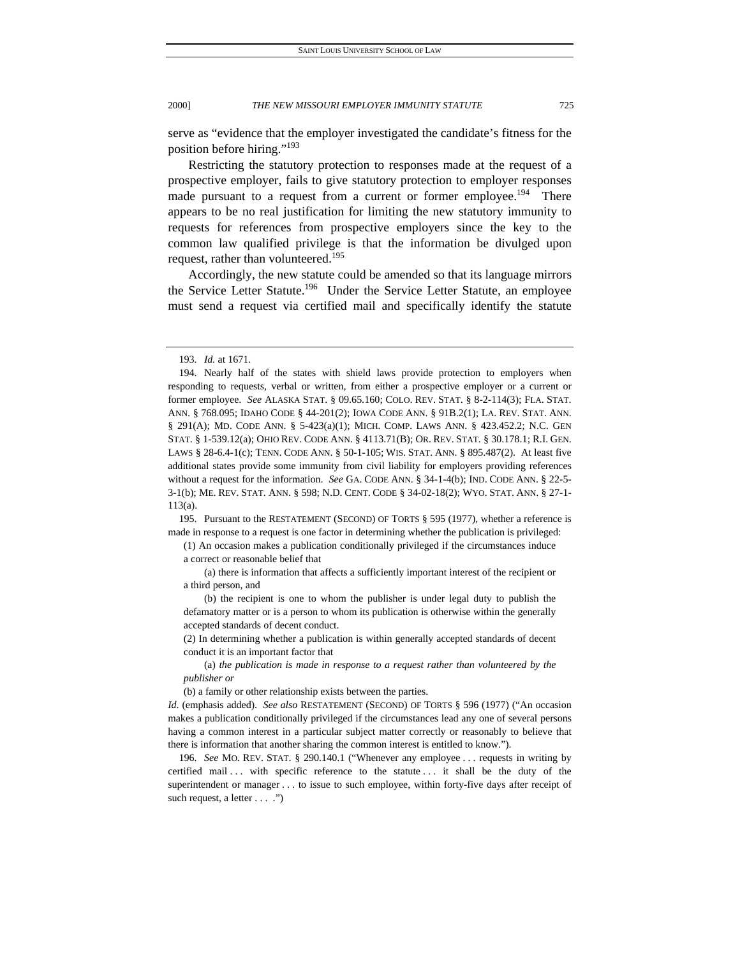serve as "evidence that the employer investigated the candidate's fitness for the position before hiring."193

Restricting the statutory protection to responses made at the request of a prospective employer, fails to give statutory protection to employer responses made pursuant to a request from a current or former employee.<sup>194</sup> There appears to be no real justification for limiting the new statutory immunity to requests for references from prospective employers since the key to the common law qualified privilege is that the information be divulged upon request, rather than volunteered.<sup>195</sup>

Accordingly, the new statute could be amended so that its language mirrors the Service Letter Statute.<sup>196</sup> Under the Service Letter Statute, an employee must send a request via certified mail and specifically identify the statute

 195. Pursuant to the RESTATEMENT (SECOND) OF TORTS § 595 (1977), whether a reference is made in response to a request is one factor in determining whether the publication is privileged:

(1) An occasion makes a publication conditionally privileged if the circumstances induce a correct or reasonable belief that

 (a) there is information that affects a sufficiently important interest of the recipient or a third person, and

 (b) the recipient is one to whom the publisher is under legal duty to publish the defamatory matter or is a person to whom its publication is otherwise within the generally accepted standards of decent conduct.

(2) In determining whether a publication is within generally accepted standards of decent conduct it is an important factor that

 (a) *the publication is made in response to a request rather than volunteered by the publisher or*

(b) a family or other relationship exists between the parties.

196*. See* MO. REV. STAT. § 290.140.1 ("Whenever any employee . . . requests in writing by certified mail ... with specific reference to the statute ... it shall be the duty of the superintendent or manager . . . to issue to such employee, within forty-five days after receipt of such request, a letter . . . .")

<sup>193</sup>*. Id.* at 1671.

 <sup>194.</sup> Nearly half of the states with shield laws provide protection to employers when responding to requests, verbal or written, from either a prospective employer or a current or former employee. *See* ALASKA STAT. § 09.65.160; COLO. REV. STAT. § 8-2-114(3); FLA. STAT. ANN. § 768.095; IDAHO CODE § 44-201(2); IOWA CODE ANN. § 91B.2(1); LA. REV. STAT. ANN. § 291(A); MD. CODE ANN. § 5-423(a)(1); MICH. COMP. LAWS ANN. § 423.452.2; N.C. GEN STAT. § 1-539.12(a); OHIO REV. CODE ANN. § 4113.71(B); OR. REV. STAT. § 30.178.1; R.I. GEN. LAWS § 28-6.4-1(c); TENN. CODE ANN. § 50-1-105; WIS. STAT. ANN. § 895.487(2). At least five additional states provide some immunity from civil liability for employers providing references without a request for the information. *See* GA. CODE ANN. § 34-1-4(b); IND. CODE ANN. § 22-5- 3-1(b); ME. REV. STAT. ANN. § 598; N.D. CENT. CODE § 34-02-18(2); WYO. STAT. ANN. § 27-1- 113(a).

*Id*. (emphasis added). *See also* RESTATEMENT (SECOND) OF TORTS § 596 (1977) ("An occasion makes a publication conditionally privileged if the circumstances lead any one of several persons having a common interest in a particular subject matter correctly or reasonably to believe that there is information that another sharing the common interest is entitled to know.").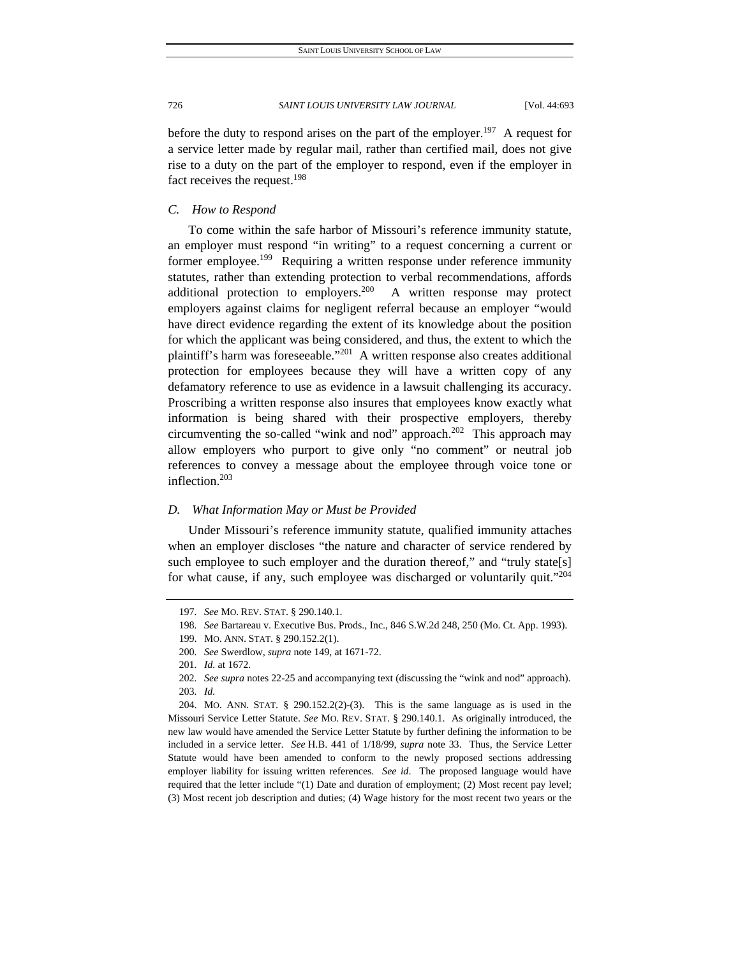before the duty to respond arises on the part of the employer.<sup>197</sup> A request for a service letter made by regular mail, rather than certified mail, does not give rise to a duty on the part of the employer to respond, even if the employer in fact receives the request.<sup>198</sup>

*C. How to Respond* 

To come within the safe harbor of Missouri's reference immunity statute, an employer must respond "in writing" to a request concerning a current or former employee.<sup>199</sup> Requiring a written response under reference immunity statutes, rather than extending protection to verbal recommendations, affords additional protection to employers.<sup>200</sup> A written response may protect employers against claims for negligent referral because an employer "would have direct evidence regarding the extent of its knowledge about the position for which the applicant was being considered, and thus, the extent to which the plaintiff's harm was foreseeable."201 A written response also creates additional protection for employees because they will have a written copy of any defamatory reference to use as evidence in a lawsuit challenging its accuracy. Proscribing a written response also insures that employees know exactly what information is being shared with their prospective employers, thereby circumventing the so-called "wink and nod" approach.<sup>202</sup> This approach may allow employers who purport to give only "no comment" or neutral job references to convey a message about the employee through voice tone or inflection.203

# *D. What Information May or Must be Provided*

Under Missouri's reference immunity statute, qualified immunity attaches when an employer discloses "the nature and character of service rendered by such employee to such employer and the duration thereof," and "truly state[s] for what cause, if any, such employee was discharged or voluntarily quit."204

<sup>197</sup>*. See* MO. REV. STAT. § 290.140.1.

<sup>198</sup>*. See* Bartareau v. Executive Bus. Prods., Inc., 846 S.W.2d 248, 250 (Mo. Ct. App. 1993).

 <sup>199.</sup> MO. ANN. STAT. § 290.152.2(1).

<sup>200</sup>*. See* Swerdlow, *supra* note 149, at 1671-72.

<sup>201</sup>*. Id.* at 1672.

<sup>202</sup>*. See supra* notes 22-25 and accompanying text (discussing the "wink and nod" approach). 203*. Id.*

 <sup>204.</sup> MO. ANN. STAT. § 290.152.2(2)-(3).This is the same language as is used in the Missouri Service Letter Statute. *See* MO. REV. STAT. § 290.140.1. As originally introduced, the new law would have amended the Service Letter Statute by further defining the information to be included in a service letter. *See* H.B. 441 of 1/18/99, *supra* note 33. Thus, the Service Letter Statute would have been amended to conform to the newly proposed sections addressing employer liability for issuing written references. *See id*. The proposed language would have required that the letter include "(1) Date and duration of employment; (2) Most recent pay level; (3) Most recent job description and duties; (4) Wage history for the most recent two years or the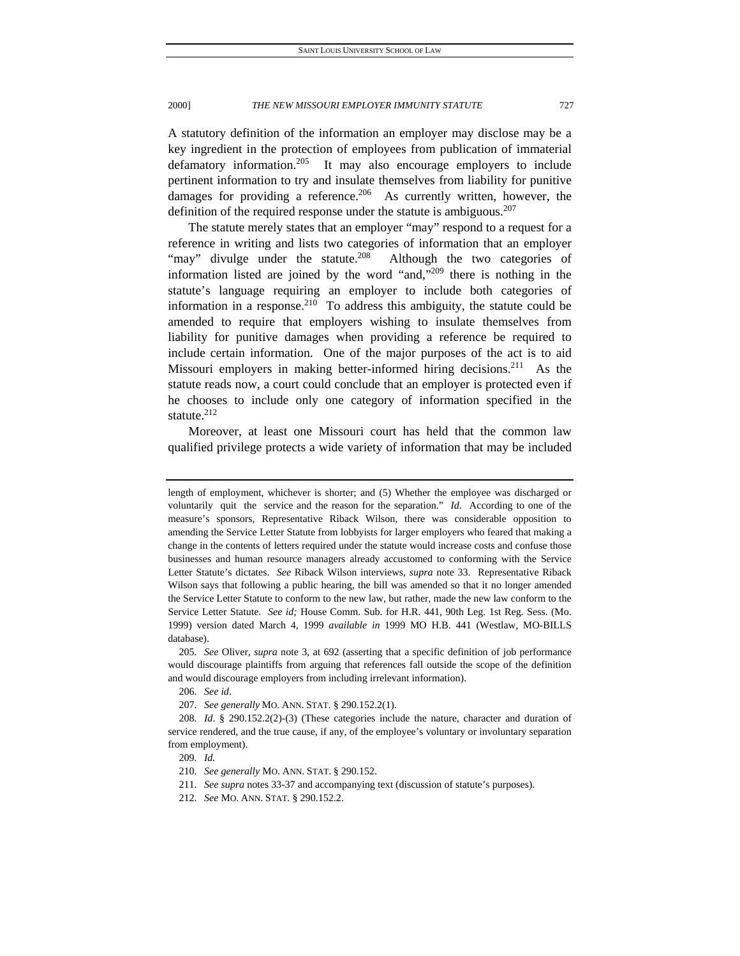A statutory definition of the information an employer may disclose may be a key ingredient in the protection of employees from publication of immaterial defamatory information.<sup>205</sup> It may also encourage employers to include pertinent information to try and insulate themselves from liability for punitive damages for providing a reference.<sup>206</sup> As currently written, however, the definition of the required response under the statute is ambiguous. $207$ 

The statute merely states that an employer "may" respond to a request for a reference in writing and lists two categories of information that an employer "may" divulge under the statute.<sup>208</sup> Although the two categories of information listed are joined by the word "and,"209 there is nothing in the statute's language requiring an employer to include both categories of information in a response. $210$  To address this ambiguity, the statute could be amended to require that employers wishing to insulate themselves from liability for punitive damages when providing a reference be required to include certain information. One of the major purposes of the act is to aid Missouri employers in making better-informed hiring decisions.<sup>211</sup> As the statute reads now, a court could conclude that an employer is protected even if he chooses to include only one category of information specified in the statute.<sup>212</sup>

Moreover, at least one Missouri court has held that the common law qualified privilege protects a wide variety of information that may be included

205*. See* Oliver, *supra* note 3, at 692 (asserting that a specific definition of job performance would discourage plaintiffs from arguing that references fall outside the scope of the definition and would discourage employers from including irrelevant information).

206*. See id*.

207*. See generally* MO. ANN. STAT. § 290.152.2(1).

length of employment, whichever is shorter; and (5) Whether the employee was discharged or voluntarily quit the service and the reason for the separation." *Id*. According to one of the measure's sponsors, Representative Riback Wilson, there was considerable opposition to amending the Service Letter Statute from lobbyists for larger employers who feared that making a change in the contents of letters required under the statute would increase costs and confuse those businesses and human resource managers already accustomed to conforming with the Service Letter Statute's dictates. *See* Riback Wilson interviews, *supra* note 33. Representative Riback Wilson says that following a public hearing, the bill was amended so that it no longer amended the Service Letter Statute to conform to the new law, but rather, made the new law conform to the Service Letter Statute. *See id;* House Comm. Sub. for H.R. 441, 90th Leg. 1st Reg. Sess. (Mo. 1999) version dated March 4, 1999 *available in* 1999 MO H.B. 441 (Westlaw, MO-BILLS database).

<sup>208</sup>*. Id*. § 290.152.2(2)-(3) (These categories include the nature, character and duration of service rendered, and the true cause, if any, of the employee's voluntary or involuntary separation from employment).

<sup>209</sup>*. Id.*

<sup>210</sup>*. See generally* MO. ANN. STAT. § 290.152.

<sup>211</sup>*. See supra* notes 33-37 and accompanying text (discussion of statute's purposes).

<sup>212</sup>*. See* MO. ANN. STAT. § 290.152.2.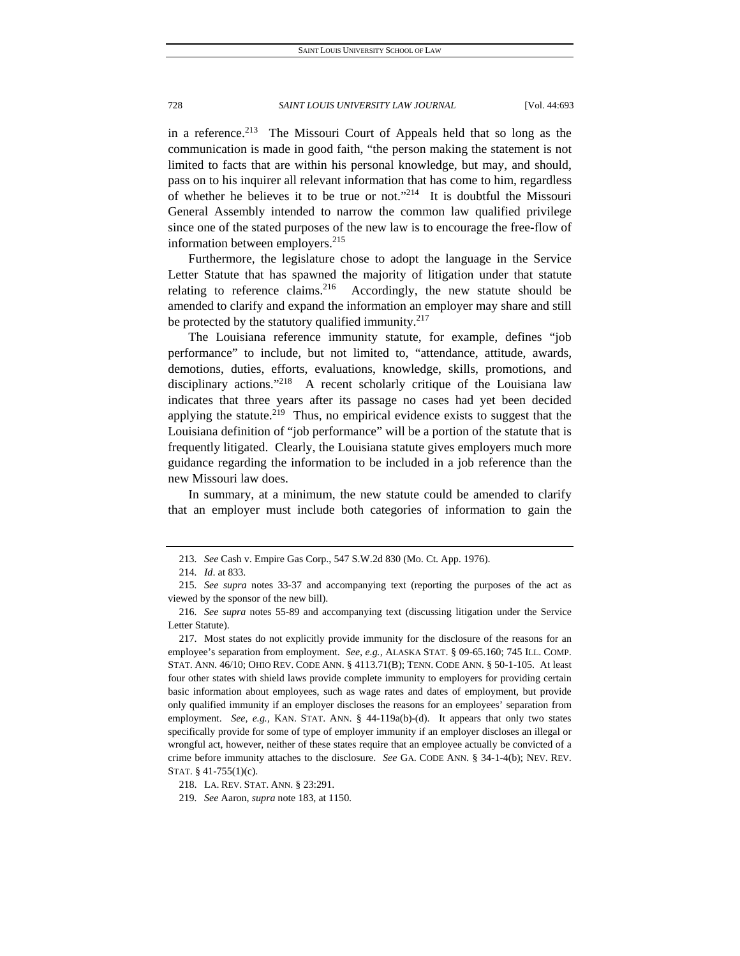in a reference.<sup>213</sup> The Missouri Court of Appeals held that so long as the communication is made in good faith, "the person making the statement is not limited to facts that are within his personal knowledge, but may, and should, pass on to his inquirer all relevant information that has come to him, regardless of whether he believes it to be true or not."<sup>214</sup> It is doubtful the Missouri General Assembly intended to narrow the common law qualified privilege since one of the stated purposes of the new law is to encourage the free-flow of information between employers.<sup>215</sup>

Furthermore, the legislature chose to adopt the language in the Service Letter Statute that has spawned the majority of litigation under that statute relating to reference claims. <sup>216</sup> Accordingly, the new statute should be amended to clarify and expand the information an employer may share and still be protected by the statutory qualified immunity. $217$ 

The Louisiana reference immunity statute, for example, defines "job performance" to include, but not limited to, "attendance, attitude, awards, demotions, duties, efforts, evaluations, knowledge, skills, promotions, and disciplinary actions."<sup>218</sup> A recent scholarly critique of the Louisiana law indicates that three years after its passage no cases had yet been decided applying the statute.<sup>219</sup> Thus, no empirical evidence exists to suggest that the Louisiana definition of "job performance" will be a portion of the statute that is frequently litigated. Clearly, the Louisiana statute gives employers much more guidance regarding the information to be included in a job reference than the new Missouri law does.

In summary, at a minimum, the new statute could be amended to clarify that an employer must include both categories of information to gain the

<sup>213</sup>*. See* Cash v. Empire Gas Corp., 547 S.W.2d 830 (Mo. Ct. App. 1976).

<sup>214</sup>*. Id*. at 833.

<sup>215</sup>*. See supra* notes 33-37 and accompanying text (reporting the purposes of the act as viewed by the sponsor of the new bill).

<sup>216</sup>*. See supra* notes 55-89 and accompanying text (discussing litigation under the Service Letter Statute).

 <sup>217.</sup> Most states do not explicitly provide immunity for the disclosure of the reasons for an employee's separation from employment. *See, e.g.,* ALASKA STAT. § 09-65.160; 745 ILL. COMP. STAT. ANN. 46/10; OHIO REV. CODE ANN. § 4113.71(B); TENN. CODE ANN. § 50-1-105. At least four other states with shield laws provide complete immunity to employers for providing certain basic information about employees, such as wage rates and dates of employment, but provide only qualified immunity if an employer discloses the reasons for an employees' separation from employment. *See, e.g.*, KAN. STAT. ANN. § 44-119a(b)-(d). It appears that only two states specifically provide for some of type of employer immunity if an employer discloses an illegal or wrongful act, however, neither of these states require that an employee actually be convicted of a crime before immunity attaches to the disclosure. *See* GA. CODE ANN. § 34-1-4(b); NEV. REV. STAT. § 41-755(1)(c).

 <sup>218.</sup> LA. REV. STAT. ANN. § 23:291.

<sup>219</sup>*. See* Aaron, *supra* note 183, at 1150.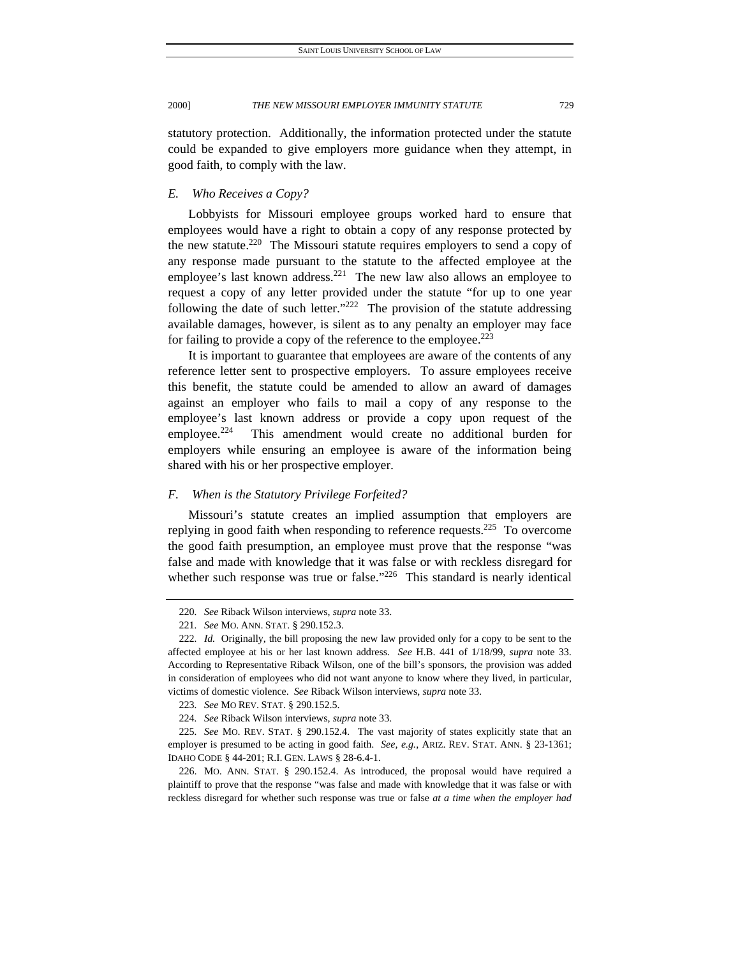statutory protection. Additionally, the information protected under the statute could be expanded to give employers more guidance when they attempt, in good faith, to comply with the law.

# *E. Who Receives a Copy?*

Lobbyists for Missouri employee groups worked hard to ensure that employees would have a right to obtain a copy of any response protected by the new statute.<sup>220</sup> The Missouri statute requires employers to send a copy of any response made pursuant to the statute to the affected employee at the employee's last known address.<sup>221</sup> The new law also allows an employee to request a copy of any letter provided under the statute "for up to one year following the date of such letter."<sup>222</sup> The provision of the statute addressing available damages, however, is silent as to any penalty an employer may face for failing to provide a copy of the reference to the employee.<sup>223</sup>

It is important to guarantee that employees are aware of the contents of any reference letter sent to prospective employers. To assure employees receive this benefit, the statute could be amended to allow an award of damages against an employer who fails to mail a copy of any response to the employee's last known address or provide a copy upon request of the employee.<sup>224</sup> This amendment would create no additional burden for employers while ensuring an employee is aware of the information being shared with his or her prospective employer.

# *F. When is the Statutory Privilege Forfeited?*

Missouri's statute creates an implied assumption that employers are replying in good faith when responding to reference requests.<sup>225</sup> To overcome the good faith presumption, an employee must prove that the response "was false and made with knowledge that it was false or with reckless disregard for whether such response was true or false."<sup>226</sup> This standard is nearly identical

<sup>220</sup>*. See* Riback Wilson interviews, *supra* note 33.

<sup>221</sup>*. See* MO. ANN. STAT. § 290.152.3.

<sup>222</sup>*. Id.* Originally, the bill proposing the new law provided only for a copy to be sent to the affected employee at his or her last known address. *See* H.B. 441 of 1/18/99, *supra* note 33. According to Representative Riback Wilson, one of the bill's sponsors, the provision was added in consideration of employees who did not want anyone to know where they lived, in particular, victims of domestic violence. *See* Riback Wilson interviews, *supra* note 33.

<sup>223</sup>*. See* MO REV. STAT. § 290.152.5.

<sup>224</sup>*. See* Riback Wilson interviews, *supra* note 33.

<sup>225</sup>*. See* MO. REV. STAT. § 290.152.4. The vast majority of states explicitly state that an employer is presumed to be acting in good faith. *See, e.g.*, ARIZ. REV. STAT. ANN. § 23-1361; IDAHO CODE § 44-201; R.I. GEN. LAWS § 28-6.4-1.

 <sup>226.</sup> MO. ANN. STAT. § 290.152.4. As introduced, the proposal would have required a plaintiff to prove that the response "was false and made with knowledge that it was false or with reckless disregard for whether such response was true or false *at a time when the employer had*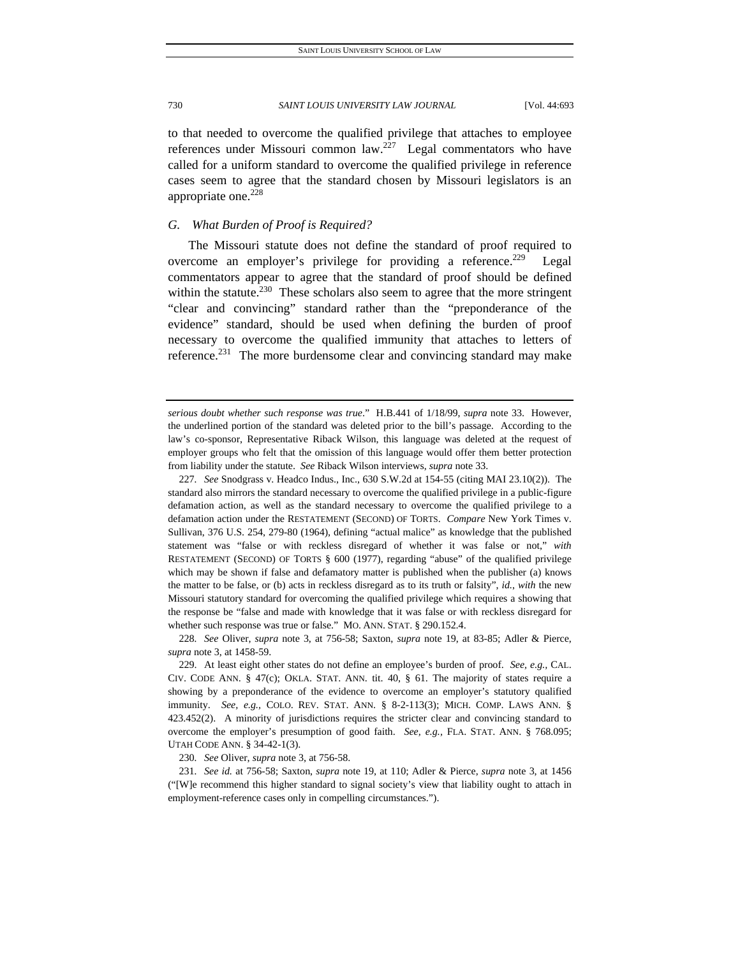to that needed to overcome the qualified privilege that attaches to employee references under Missouri common  $law<sup>227</sup>$  Legal commentators who have called for a uniform standard to overcome the qualified privilege in reference cases seem to agree that the standard chosen by Missouri legislators is an appropriate one. $228$ 

# *G. What Burden of Proof is Required?*

The Missouri statute does not define the standard of proof required to overcome an employer's privilege for providing a reference.<sup>229</sup> Legal commentators appear to agree that the standard of proof should be defined within the statute.<sup>230</sup> These scholars also seem to agree that the more stringent "clear and convincing" standard rather than the "preponderance of the evidence" standard, should be used when defining the burden of proof necessary to overcome the qualified immunity that attaches to letters of reference.<sup>231</sup> The more burdensome clear and convincing standard may make

227*. See* Snodgrass v. Headco Indus., Inc., 630 S.W.2d at 154-55 (citing MAI 23.10(2)). The standard also mirrors the standard necessary to overcome the qualified privilege in a public-figure defamation action, as well as the standard necessary to overcome the qualified privilege to a defamation action under the RESTATEMENT (SECOND) OF TORTS. *Compare* New York Times v. Sullivan, 376 U.S. 254, 279-80 (1964), defining "actual malice" as knowledge that the published statement was "false or with reckless disregard of whether it was false or not," *with* RESTATEMENT (SECOND) OF TORTS § 600 (1977), regarding "abuse" of the qualified privilege which may be shown if false and defamatory matter is published when the publisher (a) knows the matter to be false, or (b) acts in reckless disregard as to its truth or falsity", *id.*, *with* the new Missouri statutory standard for overcoming the qualified privilege which requires a showing that the response be "false and made with knowledge that it was false or with reckless disregard for whether such response was true or false." MO. ANN. STAT. § 290.152.4.

230*. See* Oliver, *supra* note 3, at 756-58.

*serious doubt whether such response was true*." H.B.441 of 1/18/99, *supra* note 33. However, the underlined portion of the standard was deleted prior to the bill's passage. According to the law's co-sponsor, Representative Riback Wilson, this language was deleted at the request of employer groups who felt that the omission of this language would offer them better protection from liability under the statute. *See* Riback Wilson interviews, *supra* note 33.

<sup>228</sup>*. See* Oliver, *supra* note 3, at 756-58; Saxton, *supra* note 19, at 83-85; Adler & Pierce, *supra* note 3, at 1458-59.

 <sup>229.</sup> At least eight other states do not define an employee's burden of proof. *See, e.g.,* CAL. CIV. CODE ANN. § 47(c); OKLA. STAT. ANN. tit. 40, § 61. The majority of states require a showing by a preponderance of the evidence to overcome an employer's statutory qualified immunity. *See, e.g.,* COLO. REV. STAT. ANN. § 8-2-113(3); MICH. COMP. LAWS ANN. § 423.452(2). A minority of jurisdictions requires the stricter clear and convincing standard to overcome the employer's presumption of good faith. *See, e.g.,* FLA. STAT. ANN. § 768.095; UTAH CODE ANN. § 34-42-1(3).

<sup>231</sup>*. See id.* at 756-58; Saxton, *supra* note 19, at 110; Adler & Pierce, *supra* note 3, at 1456 ("[W]e recommend this higher standard to signal society's view that liability ought to attach in employment-reference cases only in compelling circumstances.").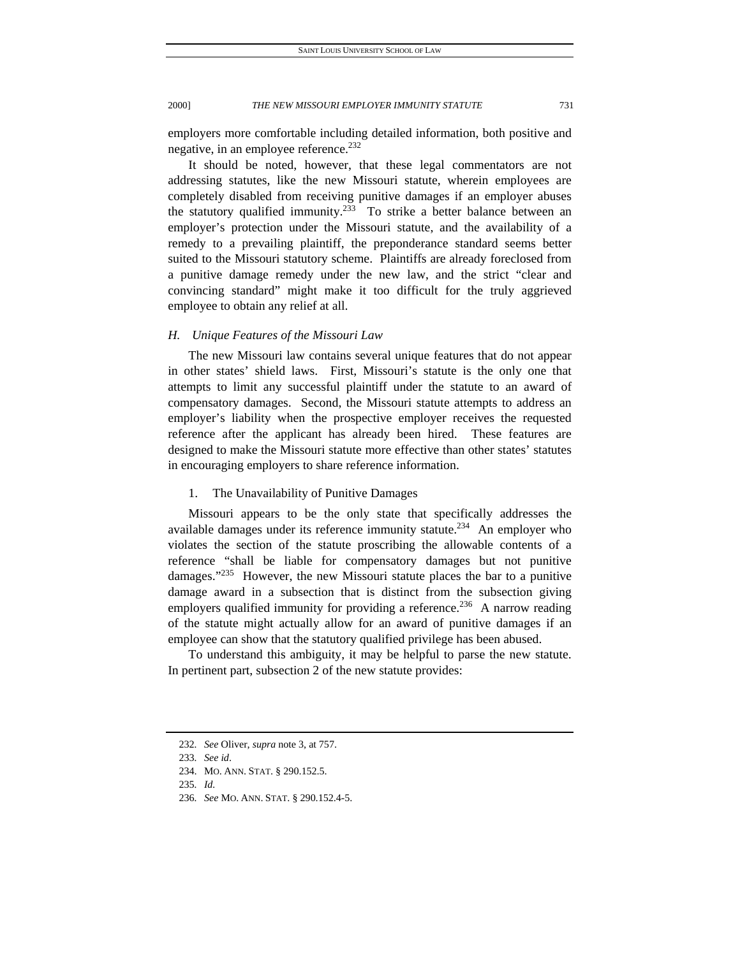employers more comfortable including detailed information, both positive and negative, in an employee reference.<sup>232</sup>

It should be noted, however, that these legal commentators are not addressing statutes, like the new Missouri statute, wherein employees are completely disabled from receiving punitive damages if an employer abuses the statutory qualified immunity.<sup>233</sup> To strike a better balance between an employer's protection under the Missouri statute, and the availability of a remedy to a prevailing plaintiff, the preponderance standard seems better suited to the Missouri statutory scheme. Plaintiffs are already foreclosed from a punitive damage remedy under the new law, and the strict "clear and convincing standard" might make it too difficult for the truly aggrieved employee to obtain any relief at all.

# *H. Unique Features of the Missouri Law*

The new Missouri law contains several unique features that do not appear in other states' shield laws. First, Missouri's statute is the only one that attempts to limit any successful plaintiff under the statute to an award of compensatory damages. Second, the Missouri statute attempts to address an employer's liability when the prospective employer receives the requested reference after the applicant has already been hired. These features are designed to make the Missouri statute more effective than other states' statutes in encouraging employers to share reference information.

# 1. The Unavailability of Punitive Damages

Missouri appears to be the only state that specifically addresses the available damages under its reference immunity statute.<sup>234</sup> An employer who violates the section of the statute proscribing the allowable contents of a reference "shall be liable for compensatory damages but not punitive damages." $^{235}$  However, the new Missouri statute places the bar to a punitive damage award in a subsection that is distinct from the subsection giving employers qualified immunity for providing a reference.<sup>236</sup> A narrow reading of the statute might actually allow for an award of punitive damages if an employee can show that the statutory qualified privilege has been abused.

To understand this ambiguity, it may be helpful to parse the new statute. In pertinent part, subsection 2 of the new statute provides:

<sup>232</sup>*. See* Oliver, *supra* note 3, at 757.

<sup>233</sup>*. See id*.

 <sup>234.</sup> MO. ANN. STAT. § 290.152.5.

<sup>235</sup>*. Id.*

<sup>236</sup>*. See* MO. ANN. STAT. § 290.152.4-5.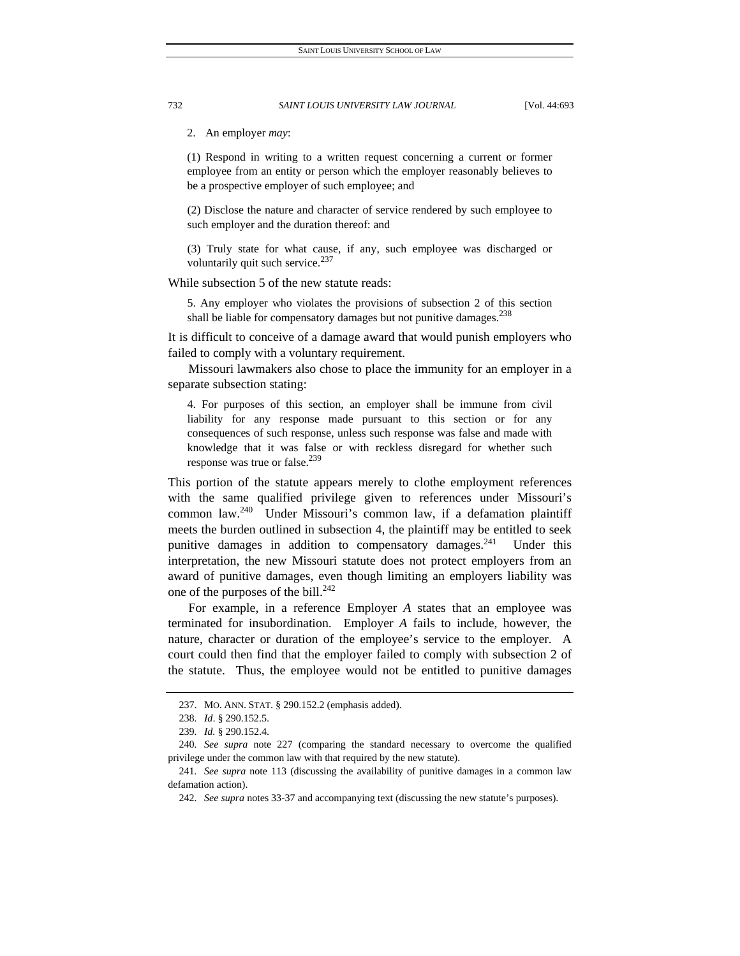2. An employer *may*:

(1) Respond in writing to a written request concerning a current or former employee from an entity or person which the employer reasonably believes to be a prospective employer of such employee; and

(2) Disclose the nature and character of service rendered by such employee to such employer and the duration thereof: and

(3) Truly state for what cause, if any, such employee was discharged or voluntarily quit such service. $237$ 

While subsection 5 of the new statute reads:

5. Any employer who violates the provisions of subsection 2 of this section shall be liable for compensatory damages but not punitive damages.<sup>238</sup>

It is difficult to conceive of a damage award that would punish employers who failed to comply with a voluntary requirement.

Missouri lawmakers also chose to place the immunity for an employer in a separate subsection stating:

4. For purposes of this section, an employer shall be immune from civil liability for any response made pursuant to this section or for any consequences of such response, unless such response was false and made with knowledge that it was false or with reckless disregard for whether such response was true or false. $^{239}$ 

This portion of the statute appears merely to clothe employment references with the same qualified privilege given to references under Missouri's common law.<sup>240</sup> Under Missouri's common law, if a defamation plaintiff meets the burden outlined in subsection 4, the plaintiff may be entitled to seek punitive damages in addition to compensatory damages.<sup>241</sup> Under this interpretation, the new Missouri statute does not protect employers from an award of punitive damages, even though limiting an employers liability was one of the purposes of the bill. $^{242}$ 

For example, in a reference Employer *A* states that an employee was terminated for insubordination. Employer *A* fails to include, however, the nature, character or duration of the employee's service to the employer. A court could then find that the employer failed to comply with subsection 2 of the statute. Thus, the employee would not be entitled to punitive damages

 <sup>237.</sup> MO. ANN. STAT. § 290.152.2 (emphasis added).

<sup>238</sup>*. Id*. § 290.152.5.

<sup>239</sup>*. Id.* § 290.152.4.

<sup>240</sup>*. See supra* note 227 (comparing the standard necessary to overcome the qualified privilege under the common law with that required by the new statute).

<sup>241</sup>*. See supra* note 113 (discussing the availability of punitive damages in a common law defamation action).

<sup>242</sup>*. See supra* notes 33-37 and accompanying text (discussing the new statute's purposes).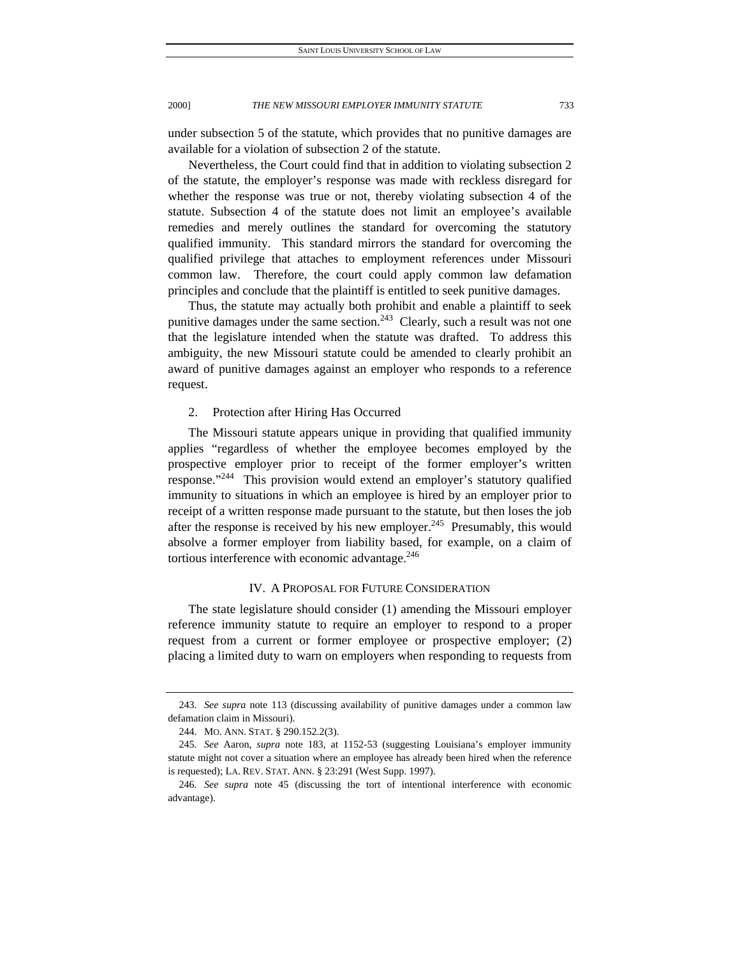under subsection 5 of the statute, which provides that no punitive damages are available for a violation of subsection 2 of the statute.

Nevertheless, the Court could find that in addition to violating subsection 2 of the statute, the employer's response was made with reckless disregard for whether the response was true or not, thereby violating subsection 4 of the statute. Subsection 4 of the statute does not limit an employee's available remedies and merely outlines the standard for overcoming the statutory qualified immunity. This standard mirrors the standard for overcoming the qualified privilege that attaches to employment references under Missouri common law. Therefore, the court could apply common law defamation principles and conclude that the plaintiff is entitled to seek punitive damages.

Thus, the statute may actually both prohibit and enable a plaintiff to seek punitive damages under the same section.<sup>243</sup> Clearly, such a result was not one that the legislature intended when the statute was drafted. To address this ambiguity, the new Missouri statute could be amended to clearly prohibit an award of punitive damages against an employer who responds to a reference request.

# 2. Protection after Hiring Has Occurred

The Missouri statute appears unique in providing that qualified immunity applies "regardless of whether the employee becomes employed by the prospective employer prior to receipt of the former employer's written response."244 This provision would extend an employer's statutory qualified immunity to situations in which an employee is hired by an employer prior to receipt of a written response made pursuant to the statute, but then loses the job after the response is received by his new employer.<sup>245</sup> Presumably, this would absolve a former employer from liability based, for example, on a claim of tortious interference with economic advantage.<sup>246</sup>

# IV. A PROPOSAL FOR FUTURE CONSIDERATION

The state legislature should consider (1) amending the Missouri employer reference immunity statute to require an employer to respond to a proper request from a current or former employee or prospective employer; (2) placing a limited duty to warn on employers when responding to requests from

<sup>243</sup>*. See supra* note 113 (discussing availability of punitive damages under a common law defamation claim in Missouri).

 <sup>244.</sup> MO. ANN. STAT. § 290.152.2(3).

<sup>245</sup>*. See* Aaron, *supra* note 183, at 1152-53 (suggesting Louisiana's employer immunity statute might not cover a situation where an employee has already been hired when the reference is requested); LA. REV. STAT. ANN. § 23:291 (West Supp. 1997).

<sup>246</sup>*. See supra* note 45 (discussing the tort of intentional interference with economic advantage).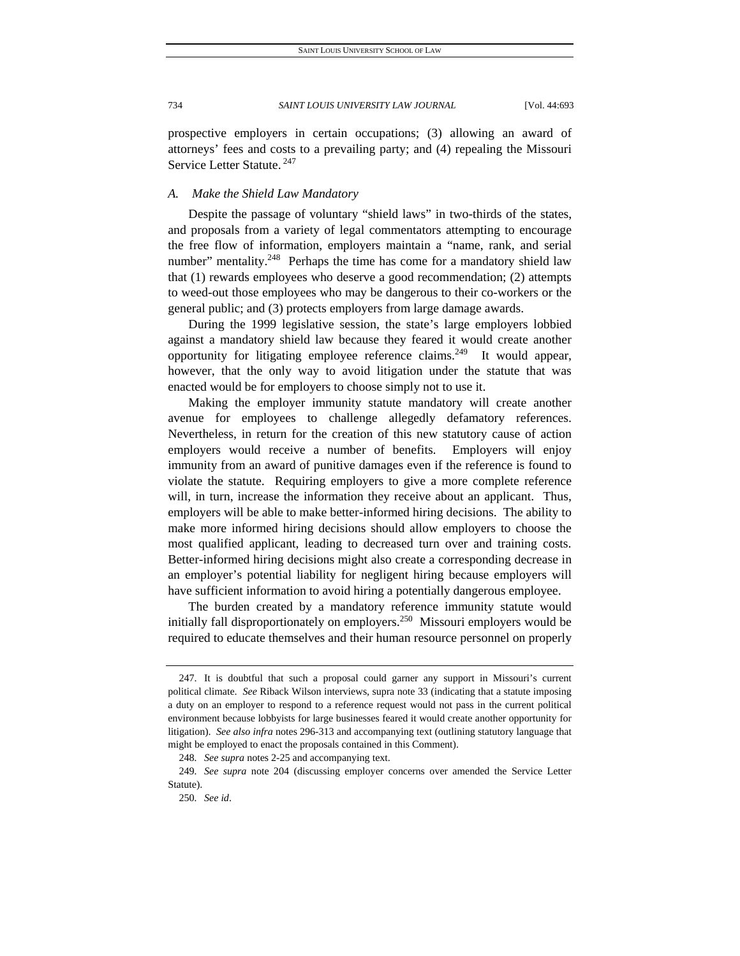prospective employers in certain occupations; (3) allowing an award of attorneys' fees and costs to a prevailing party; and (4) repealing the Missouri Service Letter Statute. 247

# *A. Make the Shield Law Mandatory*

Despite the passage of voluntary "shield laws" in two-thirds of the states, and proposals from a variety of legal commentators attempting to encourage the free flow of information, employers maintain a "name, rank, and serial number" mentality.<sup>248</sup> Perhaps the time has come for a mandatory shield law that (1) rewards employees who deserve a good recommendation; (2) attempts to weed-out those employees who may be dangerous to their co-workers or the general public; and (3) protects employers from large damage awards.

During the 1999 legislative session, the state's large employers lobbied against a mandatory shield law because they feared it would create another opportunity for litigating employee reference claims.<sup>249</sup> It would appear, however, that the only way to avoid litigation under the statute that was enacted would be for employers to choose simply not to use it.

Making the employer immunity statute mandatory will create another avenue for employees to challenge allegedly defamatory references. Nevertheless, in return for the creation of this new statutory cause of action employers would receive a number of benefits. Employers will enjoy immunity from an award of punitive damages even if the reference is found to violate the statute. Requiring employers to give a more complete reference will, in turn, increase the information they receive about an applicant. Thus, employers will be able to make better-informed hiring decisions. The ability to make more informed hiring decisions should allow employers to choose the most qualified applicant, leading to decreased turn over and training costs. Better-informed hiring decisions might also create a corresponding decrease in an employer's potential liability for negligent hiring because employers will have sufficient information to avoid hiring a potentially dangerous employee.

The burden created by a mandatory reference immunity statute would initially fall disproportionately on employers.<sup>250</sup> Missouri employers would be required to educate themselves and their human resource personnel on properly

 <sup>247.</sup> It is doubtful that such a proposal could garner any support in Missouri's current political climate. *See* Riback Wilson interviews*,* supra note 33 (indicating that a statute imposing a duty on an employer to respond to a reference request would not pass in the current political environment because lobbyists for large businesses feared it would create another opportunity for litigation). *See also infra* notes 296-313 and accompanying text (outlining statutory language that might be employed to enact the proposals contained in this Comment).

<sup>248</sup>*. See supra* notes 2-25 and accompanying text.

<sup>249</sup>*. See supra* note 204 (discussing employer concerns over amended the Service Letter Statute).

<sup>250</sup>*. See id*.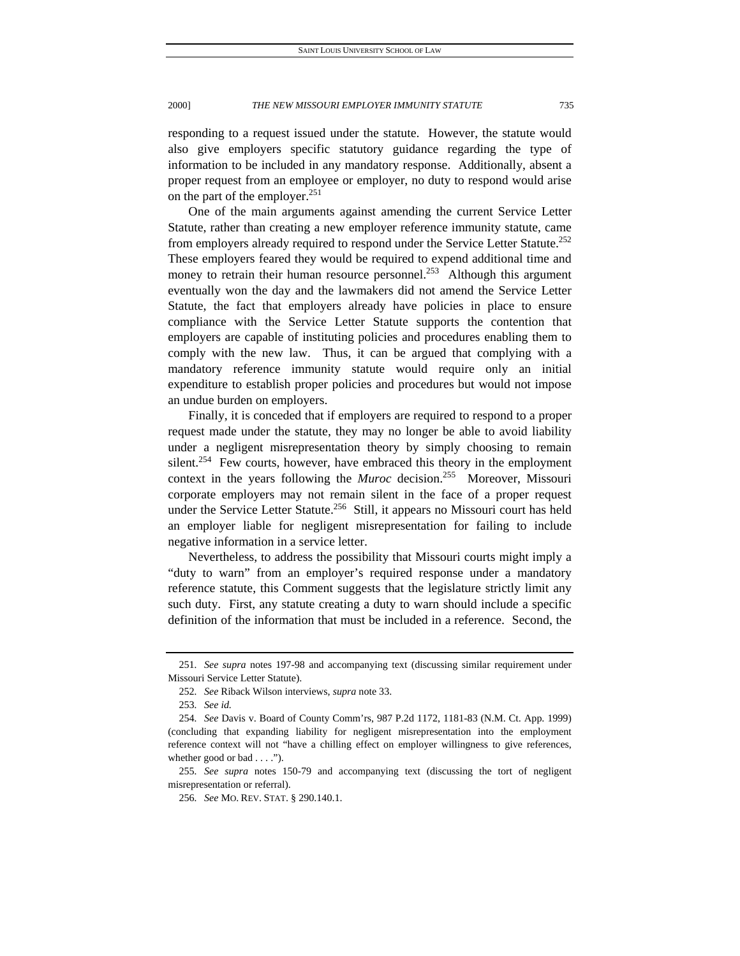responding to a request issued under the statute. However, the statute would also give employers specific statutory guidance regarding the type of information to be included in any mandatory response. Additionally, absent a proper request from an employee or employer, no duty to respond would arise on the part of the employer. $251$ 

One of the main arguments against amending the current Service Letter Statute, rather than creating a new employer reference immunity statute, came from employers already required to respond under the Service Letter Statute.<sup>252</sup> These employers feared they would be required to expend additional time and money to retrain their human resource personnel.<sup>253</sup> Although this argument eventually won the day and the lawmakers did not amend the Service Letter Statute, the fact that employers already have policies in place to ensure compliance with the Service Letter Statute supports the contention that employers are capable of instituting policies and procedures enabling them to comply with the new law. Thus, it can be argued that complying with a mandatory reference immunity statute would require only an initial expenditure to establish proper policies and procedures but would not impose an undue burden on employers.

Finally, it is conceded that if employers are required to respond to a proper request made under the statute, they may no longer be able to avoid liability under a negligent misrepresentation theory by simply choosing to remain silent.<sup>254</sup> Few courts, however, have embraced this theory in the employment context in the years following the *Muroc* decision.<sup>255</sup> Moreover, Missouri corporate employers may not remain silent in the face of a proper request under the Service Letter Statute.<sup>256</sup> Still, it appears no Missouri court has held an employer liable for negligent misrepresentation for failing to include negative information in a service letter.

Nevertheless, to address the possibility that Missouri courts might imply a "duty to warn" from an employer's required response under a mandatory reference statute, this Comment suggests that the legislature strictly limit any such duty. First, any statute creating a duty to warn should include a specific definition of the information that must be included in a reference. Second, the

<sup>251</sup>*. See supra* notes 197-98 and accompanying text (discussing similar requirement under Missouri Service Letter Statute).

<sup>252</sup>*. See* Riback Wilson interviews, *supra* note 33.

<sup>253</sup>*. See id.*

<sup>254</sup>*. See* Davis v. Board of County Comm'rs, 987 P.2d 1172, 1181-83 (N.M. Ct. App. 1999) (concluding that expanding liability for negligent misrepresentation into the employment reference context will not "have a chilling effect on employer willingness to give references, whether good or bad . . . .").

<sup>255</sup>*. See supra* notes 150-79 and accompanying text (discussing the tort of negligent misrepresentation or referral).

<sup>256</sup>*. See* MO. REV. STAT. § 290.140.1.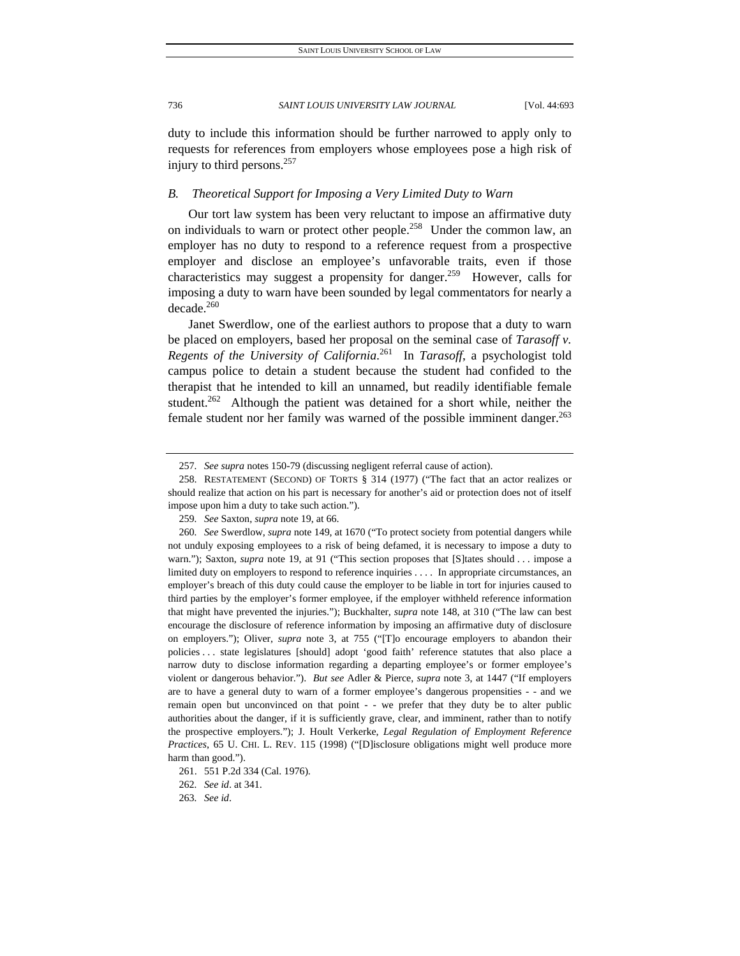duty to include this information should be further narrowed to apply only to requests for references from employers whose employees pose a high risk of injury to third persons.257

# *B. Theoretical Support for Imposing a Very Limited Duty to Warn*

Our tort law system has been very reluctant to impose an affirmative duty on individuals to warn or protect other people.<sup>258</sup> Under the common law, an employer has no duty to respond to a reference request from a prospective employer and disclose an employee's unfavorable traits, even if those characteristics may suggest a propensity for danger.<sup>259</sup> However, calls for imposing a duty to warn have been sounded by legal commentators for nearly a decade.260

Janet Swerdlow, one of the earliest authors to propose that a duty to warn be placed on employers, based her proposal on the seminal case of *Tarasoff v. Regents of the University of California*. 261 In *Tarasoff*, a psychologist told campus police to detain a student because the student had confided to the therapist that he intended to kill an unnamed, but readily identifiable female student.<sup>262</sup> Although the patient was detained for a short while, neither the female student nor her family was warned of the possible imminent danger.<sup>263</sup>

262*. See id*. at 341.

<sup>257</sup>*. See supra* notes 150-79 (discussing negligent referral cause of action).

 <sup>258.</sup> RESTATEMENT (SECOND) OF TORTS § 314 (1977) ("The fact that an actor realizes or should realize that action on his part is necessary for another's aid or protection does not of itself impose upon him a duty to take such action.").

<sup>259</sup>*. See* Saxton, *supra* note 19, at 66.

<sup>260</sup>*. See* Swerdlow, *supra* note 149, at 1670 ("To protect society from potential dangers while not unduly exposing employees to a risk of being defamed, it is necessary to impose a duty to warn."); Saxton, *supra* note 19, at 91 ("This section proposes that [S]tates should . . . impose a limited duty on employers to respond to reference inquiries . . . . In appropriate circumstances, an employer's breach of this duty could cause the employer to be liable in tort for injuries caused to third parties by the employer's former employee, if the employer withheld reference information that might have prevented the injuries."); Buckhalter, *supra* note 148, at 310 ("The law can best encourage the disclosure of reference information by imposing an affirmative duty of disclosure on employers."); Oliver, *supra* note 3, at 755 ("[T]o encourage employers to abandon their policies . . . state legislatures [should] adopt 'good faith' reference statutes that also place a narrow duty to disclose information regarding a departing employee's or former employee's violent or dangerous behavior."). *But see* Adler & Pierce, *supra* note 3, at 1447 ("If employers are to have a general duty to warn of a former employee's dangerous propensities - - and we remain open but unconvinced on that point - - we prefer that they duty be to alter public authorities about the danger, if it is sufficiently grave, clear, and imminent, rather than to notify the prospective employers."); J. Hoult Verkerke, *Legal Regulation of Employment Reference Practices*, 65 U. CHI. L. REV. 115 (1998) ("[D]isclosure obligations might well produce more harm than good.").

 <sup>261. 551</sup> P.2d 334 (Cal. 1976).

<sup>263</sup>*. See id*.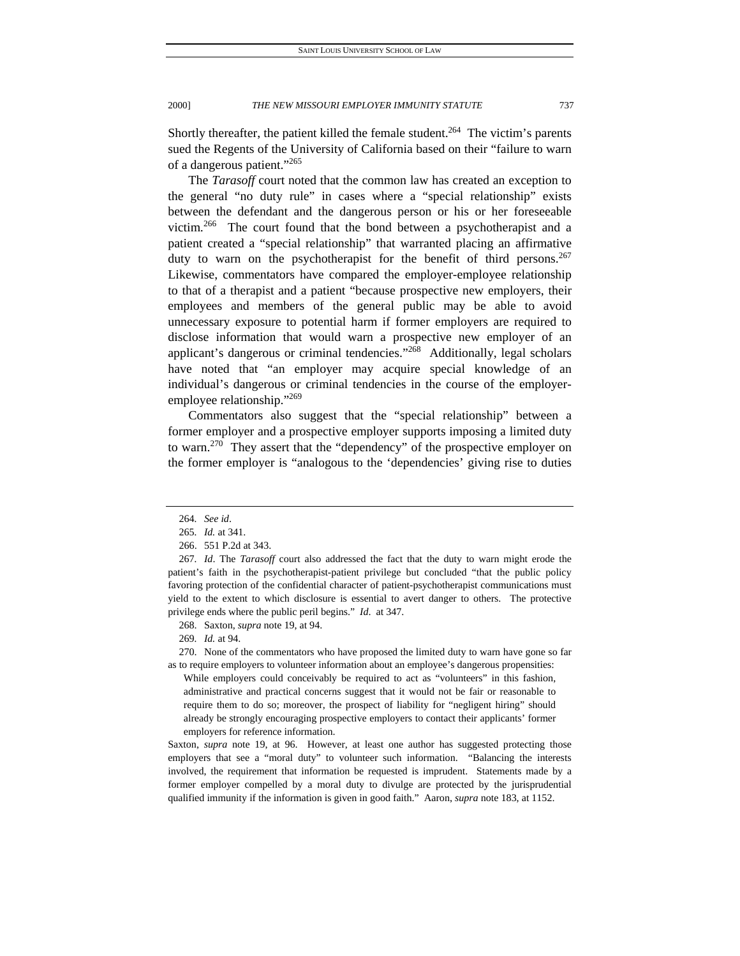Shortly thereafter, the patient killed the female student.<sup>264</sup> The victim's parents sued the Regents of the University of California based on their "failure to warn of a dangerous patient."265

The *Tarasoff* court noted that the common law has created an exception to the general "no duty rule" in cases where a "special relationship" exists between the defendant and the dangerous person or his or her foreseeable victim.266 The court found that the bond between a psychotherapist and a patient created a "special relationship" that warranted placing an affirmative duty to warn on the psychotherapist for the benefit of third persons.  $267$ Likewise, commentators have compared the employer-employee relationship to that of a therapist and a patient "because prospective new employers, their employees and members of the general public may be able to avoid unnecessary exposure to potential harm if former employers are required to disclose information that would warn a prospective new employer of an applicant's dangerous or criminal tendencies."268 Additionally, legal scholars have noted that "an employer may acquire special knowledge of an individual's dangerous or criminal tendencies in the course of the employeremployee relationship."269

Commentators also suggest that the "special relationship" between a former employer and a prospective employer supports imposing a limited duty to warn.<sup>270</sup> They assert that the "dependency" of the prospective employer on the former employer is "analogous to the 'dependencies' giving rise to duties

<sup>264</sup>*. See id*.

<sup>265</sup>*. Id.* at 341.

 <sup>266. 551</sup> P.2d at 343.

<sup>267</sup>*. Id*. The *Tarasoff* court also addressed the fact that the duty to warn might erode the patient's faith in the psychotherapist-patient privilege but concluded "that the public policy favoring protection of the confidential character of patient-psychotherapist communications must yield to the extent to which disclosure is essential to avert danger to others. The protective privilege ends where the public peril begins." *Id*. at 347.

 <sup>268.</sup> Saxton, *supra* note 19, at 94.

<sup>269</sup>*. Id.* at 94.

 <sup>270.</sup> None of the commentators who have proposed the limited duty to warn have gone so far as to require employers to volunteer information about an employee's dangerous propensities:

While employers could conceivably be required to act as "volunteers" in this fashion, administrative and practical concerns suggest that it would not be fair or reasonable to require them to do so; moreover, the prospect of liability for "negligent hiring" should already be strongly encouraging prospective employers to contact their applicants' former employers for reference information.

Saxton, *supra* note 19, at 96. However, at least one author has suggested protecting those employers that see a "moral duty" to volunteer such information. "Balancing the interests involved, the requirement that information be requested is imprudent. Statements made by a former employer compelled by a moral duty to divulge are protected by the jurisprudential qualified immunity if the information is given in good faith." Aaron, *supra* note 183, at 1152.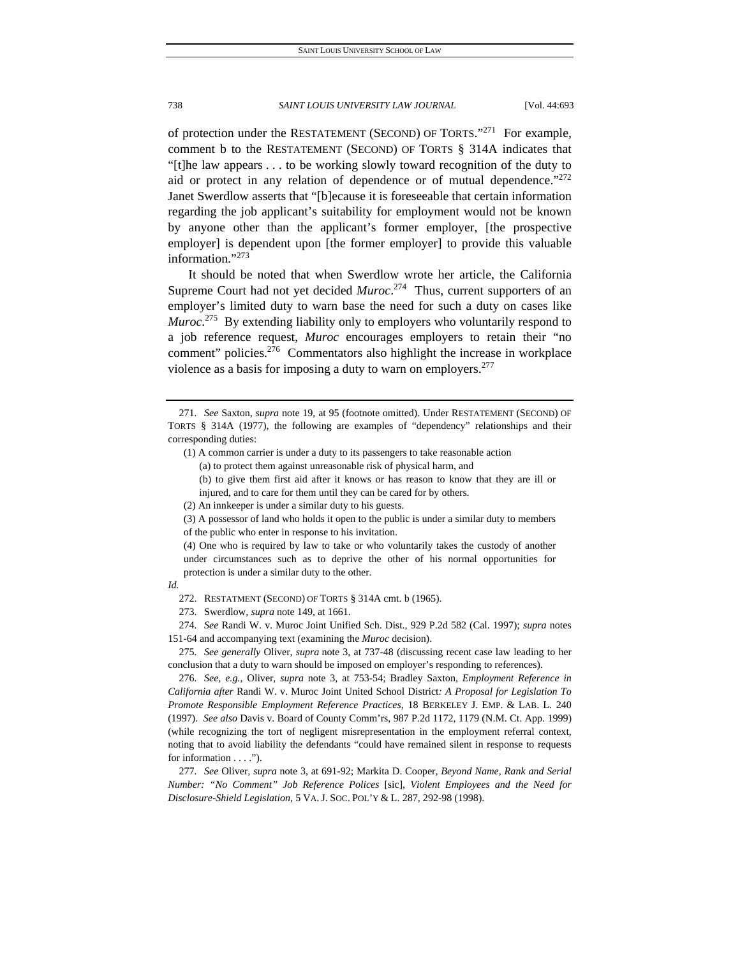of protection under the RESTATEMENT (SECOND) OF TORTS."<sup>271</sup> For example, comment b to the RESTATEMENT (SECOND) OF TORTS § 314A indicates that "[t]he law appears . . . to be working slowly toward recognition of the duty to aid or protect in any relation of dependence or of mutual dependence."<sup>272</sup> Janet Swerdlow asserts that "[b]ecause it is foreseeable that certain information regarding the job applicant's suitability for employment would not be known by anyone other than the applicant's former employer, [the prospective employer] is dependent upon [the former employer] to provide this valuable information."273

It should be noted that when Swerdlow wrote her article, the California Supreme Court had not yet decided *Muroc*. 274 Thus, current supporters of an employer's limited duty to warn base the need for such a duty on cases like *Muroc*.<sup>275</sup> By extending liability only to employers who voluntarily respond to a job reference request, *Muroc* encourages employers to retain their "no comment" policies.<sup>276</sup> Commentators also highlight the increase in workplace violence as a basis for imposing a duty to warn on employers.<sup>277</sup>

- (1) A common carrier is under a duty to its passengers to take reasonable action (a) to protect them against unreasonable risk of physical harm, and (b) to give them first aid after it knows or has reason to know that they are ill or
	- injured, and to care for them until they can be cared for by others.
- (2) An innkeeper is under a similar duty to his guests.

(3) A possessor of land who holds it open to the public is under a similar duty to members

of the public who enter in response to his invitation.

(4) One who is required by law to take or who voluntarily takes the custody of another under circumstances such as to deprive the other of his normal opportunities for protection is under a similar duty to the other.

*Id.*

272. RESTATMENT (SECOND) OF TORTS § 314A cmt. b (1965).

273. Swerdlow, *supra* note 149, at 1661.

274*. See* Randi W. v. Muroc Joint Unified Sch. Dist., 929 P.2d 582 (Cal. 1997); *supra* notes 151-64 and accompanying text (examining the *Muroc* decision).

275*. See generally* Oliver, *supra* note 3, at 737-48 (discussing recent case law leading to her conclusion that a duty to warn should be imposed on employer's responding to references).

276*. See, e.g.*, Oliver, *supra* note 3, at 753-54; Bradley Saxton, *Employment Reference in California after* Randi W. v. Muroc Joint United School District*: A Proposal for Legislation To Promote Responsible Employment Reference Practices,* 18 BERKELEY J. EMP. & LAB. L. 240 (1997). *See also* Davis v. Board of County Comm'rs, 987 P.2d 1172, 1179 (N.M. Ct. App. 1999) (while recognizing the tort of negligent misrepresentation in the employment referral context, noting that to avoid liability the defendants "could have remained silent in response to requests for information . . . .").

277*. See* Oliver, *supra* note 3, at 691-92; Markita D. Cooper, *Beyond Name, Rank and Serial Number: "No Comment" Job Reference Polices* [sic], *Violent Employees and the Need for Disclosure-Shield Legislation*, 5 VA. J. SOC. POL'Y & L. 287*,* 292-98 (1998).

<sup>271</sup>*. See* Saxton, *supra* note 19, at 95 (footnote omitted). Under RESTATEMENT (SECOND) OF TORTS § 314A (1977), the following are examples of "dependency" relationships and their corresponding duties: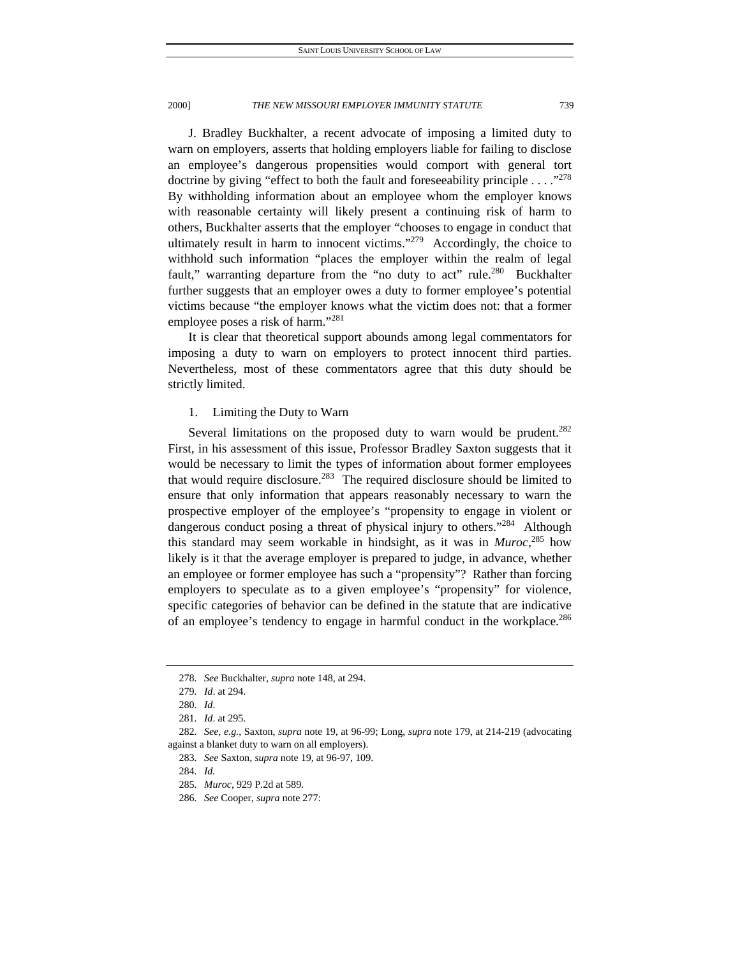J. Bradley Buckhalter, a recent advocate of imposing a limited duty to warn on employers, asserts that holding employers liable for failing to disclose an employee's dangerous propensities would comport with general tort doctrine by giving "effect to both the fault and foreseeability principle  $\ldots$ ."<sup>278</sup> By withholding information about an employee whom the employer knows with reasonable certainty will likely present a continuing risk of harm to others, Buckhalter asserts that the employer "chooses to engage in conduct that ultimately result in harm to innocent victims."<sup>279</sup> Accordingly, the choice to withhold such information "places the employer within the realm of legal fault," warranting departure from the "no duty to act" rule.<sup>280</sup> Buckhalter further suggests that an employer owes a duty to former employee's potential victims because "the employer knows what the victim does not: that a former employee poses a risk of harm."<sup>281</sup>

It is clear that theoretical support abounds among legal commentators for imposing a duty to warn on employers to protect innocent third parties. Nevertheless, most of these commentators agree that this duty should be strictly limited.

# 1. Limiting the Duty to Warn

Several limitations on the proposed duty to warn would be prudent.<sup>282</sup> First, in his assessment of this issue, Professor Bradley Saxton suggests that it would be necessary to limit the types of information about former employees that would require disclosure.283 The required disclosure should be limited to ensure that only information that appears reasonably necessary to warn the prospective employer of the employee's "propensity to engage in violent or dangerous conduct posing a threat of physical injury to others."<sup>284</sup> Although this standard may seem workable in hindsight, as it was in *Muroc*, 285 how likely is it that the average employer is prepared to judge, in advance, whether an employee or former employee has such a "propensity"? Rather than forcing employers to speculate as to a given employee's "propensity" for violence, specific categories of behavior can be defined in the statute that are indicative of an employee's tendency to engage in harmful conduct in the workplace.<sup>286</sup>

<sup>278</sup>*. See* Buckhalter, *supra* note 148, at 294.

<sup>279</sup>*. Id*. at 294.

<sup>280</sup>*. Id*.

<sup>281</sup>*. Id*. at 295.

<sup>282</sup>*. See, e.g.*, Saxton, *supra* note 19, at 96-99; Long, *supra* note 179, at 214-219 (advocating against a blanket duty to warn on all employers).

<sup>283</sup>*. See* Saxton, *supra* note 19, at 96-97, 109.

<sup>284</sup>*. Id.*

<sup>285</sup>*. Muroc*, 929 P.2d at 589.

<sup>286</sup>*. See* Cooper, *supra* note 277: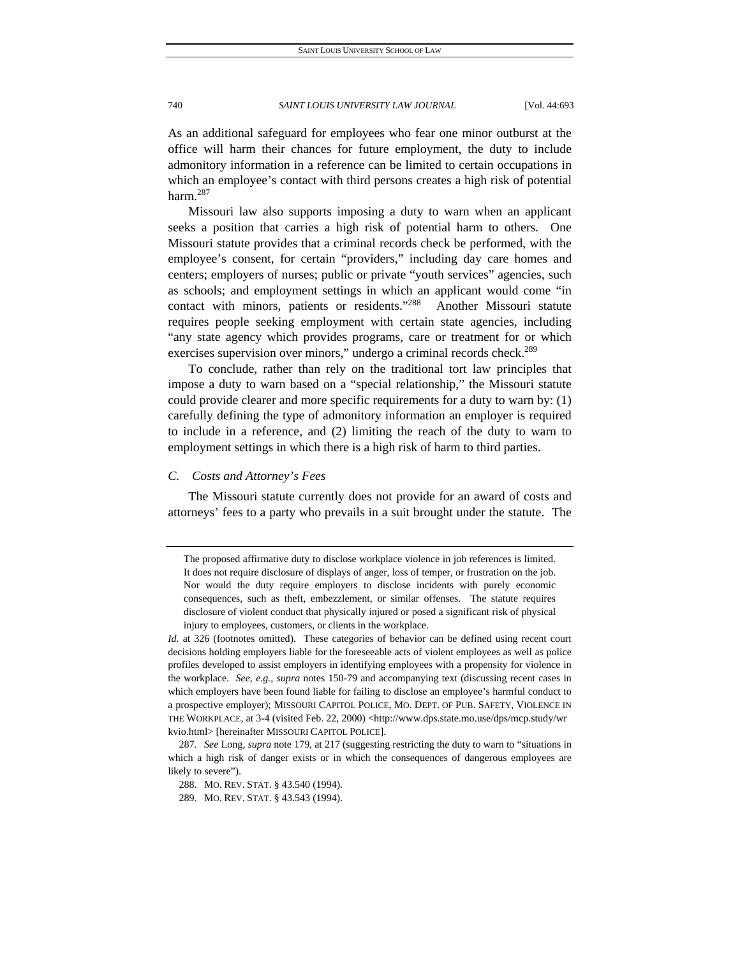As an additional safeguard for employees who fear one minor outburst at the office will harm their chances for future employment, the duty to include admonitory information in a reference can be limited to certain occupations in which an employee's contact with third persons creates a high risk of potential harm.<sup>287</sup>

Missouri law also supports imposing a duty to warn when an applicant seeks a position that carries a high risk of potential harm to others. One Missouri statute provides that a criminal records check be performed, with the employee's consent, for certain "providers," including day care homes and centers; employers of nurses; public or private "youth services" agencies, such as schools; and employment settings in which an applicant would come "in contact with minors, patients or residents."288 Another Missouri statute requires people seeking employment with certain state agencies, including "any state agency which provides programs, care or treatment for or which exercises supervision over minors," undergo a criminal records check.<sup>289</sup>

To conclude, rather than rely on the traditional tort law principles that impose a duty to warn based on a "special relationship," the Missouri statute could provide clearer and more specific requirements for a duty to warn by: (1) carefully defining the type of admonitory information an employer is required to include in a reference, and (2) limiting the reach of the duty to warn to employment settings in which there is a high risk of harm to third parties.

# *C. Costs and Attorney's Fees*

The Missouri statute currently does not provide for an award of costs and attorneys' fees to a party who prevails in a suit brought under the statute. The

The proposed affirmative duty to disclose workplace violence in job references is limited. It does not require disclosure of displays of anger, loss of temper, or frustration on the job. Nor would the duty require employers to disclose incidents with purely economic consequences, such as theft, embezzlement, or similar offenses. The statute requires disclosure of violent conduct that physically injured or posed a significant risk of physical injury to employees, customers, or clients in the workplace.

*Id.* at 326 (footnotes omitted). These categories of behavior can be defined using recent court decisions holding employers liable for the foreseeable acts of violent employees as well as police profiles developed to assist employers in identifying employees with a propensity for violence in the workplace. *See, e.g.*, *supra* notes 150-79 and accompanying text (discussing recent cases in which employers have been found liable for failing to disclose an employee's harmful conduct to a prospective employer); MISSOURI CAPITOL POLICE, MO. DEPT. OF PUB. SAFETY, VIOLENCE IN THE WORKPLACE*,* at 3-4 (visited Feb. 22, 2000) <http://www.dps.state.mo.use/dps/mcp.study/wr kvio.html> [hereinafter MISSOURI CAPITOL POLICE].

<sup>287</sup>*. See* Long, *supra* note 179, at 217 (suggesting restricting the duty to warn to "situations in which a high risk of danger exists or in which the consequences of dangerous employees are likely to severe").

 <sup>288.</sup> MO. REV. STAT. § 43.540 (1994).

 <sup>289.</sup> MO. REV. STAT. § 43.543 (1994).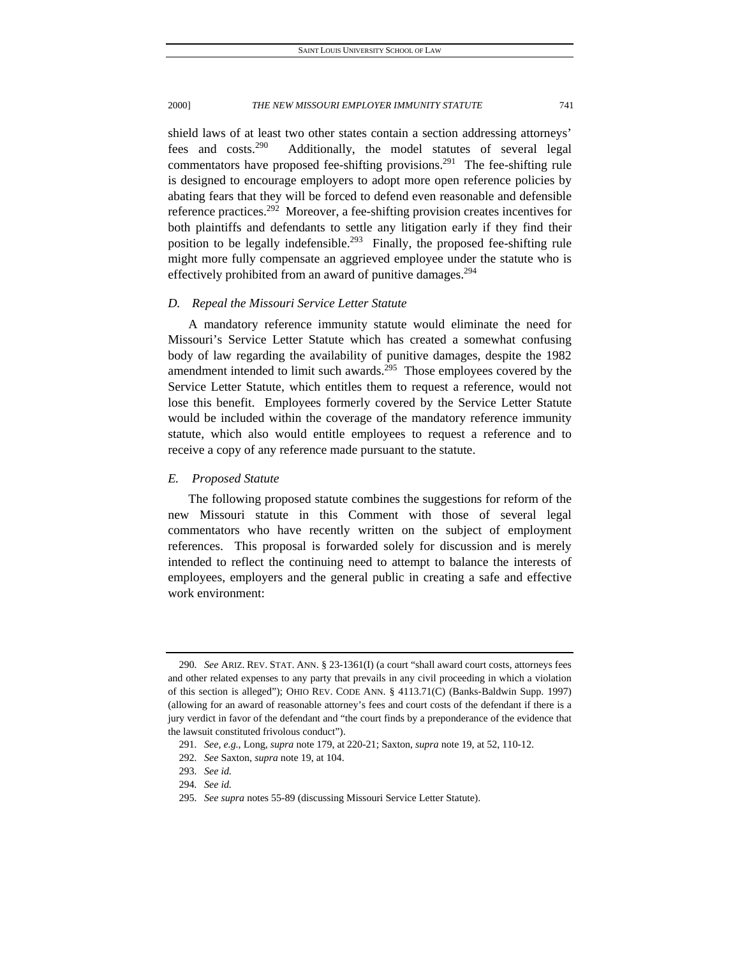shield laws of at least two other states contain a section addressing attorneys' fees and costs.290 Additionally, the model statutes of several legal commentators have proposed fee-shifting provisions.<sup>291</sup> The fee-shifting rule is designed to encourage employers to adopt more open reference policies by abating fears that they will be forced to defend even reasonable and defensible reference practices.292 Moreover, a fee-shifting provision creates incentives for both plaintiffs and defendants to settle any litigation early if they find their position to be legally indefensible.<sup>293</sup> Finally, the proposed fee-shifting rule might more fully compensate an aggrieved employee under the statute who is effectively prohibited from an award of punitive damages.<sup>294</sup>

### *D. Repeal the Missouri Service Letter Statute*

A mandatory reference immunity statute would eliminate the need for Missouri's Service Letter Statute which has created a somewhat confusing body of law regarding the availability of punitive damages, despite the 1982 amendment intended to limit such awards.<sup>295</sup> Those employees covered by the Service Letter Statute, which entitles them to request a reference, would not lose this benefit. Employees formerly covered by the Service Letter Statute would be included within the coverage of the mandatory reference immunity statute, which also would entitle employees to request a reference and to receive a copy of any reference made pursuant to the statute.

# *E. Proposed Statute*

The following proposed statute combines the suggestions for reform of the new Missouri statute in this Comment with those of several legal commentators who have recently written on the subject of employment references. This proposal is forwarded solely for discussion and is merely intended to reflect the continuing need to attempt to balance the interests of employees, employers and the general public in creating a safe and effective work environment:

<sup>290</sup>*. See* ARIZ. REV. STAT. ANN. § 23-1361(I) (a court "shall award court costs, attorneys fees and other related expenses to any party that prevails in any civil proceeding in which a violation of this section is alleged"); OHIO REV. CODE ANN. § 4113.71(C) (Banks-Baldwin Supp. 1997) (allowing for an award of reasonable attorney's fees and court costs of the defendant if there is a jury verdict in favor of the defendant and "the court finds by a preponderance of the evidence that the lawsuit constituted frivolous conduct").

<sup>291</sup>*. See, e.g.*, Long, *supra* note 179, at 220-21; Saxton, *supra* note 19, at 52, 110-12.

<sup>292</sup>*. See* Saxton, *supra* note 19, at 104.

<sup>293</sup>*. See id.*

<sup>294</sup>*. See id.*

<sup>295</sup>*. See supra* notes 55-89 (discussing Missouri Service Letter Statute).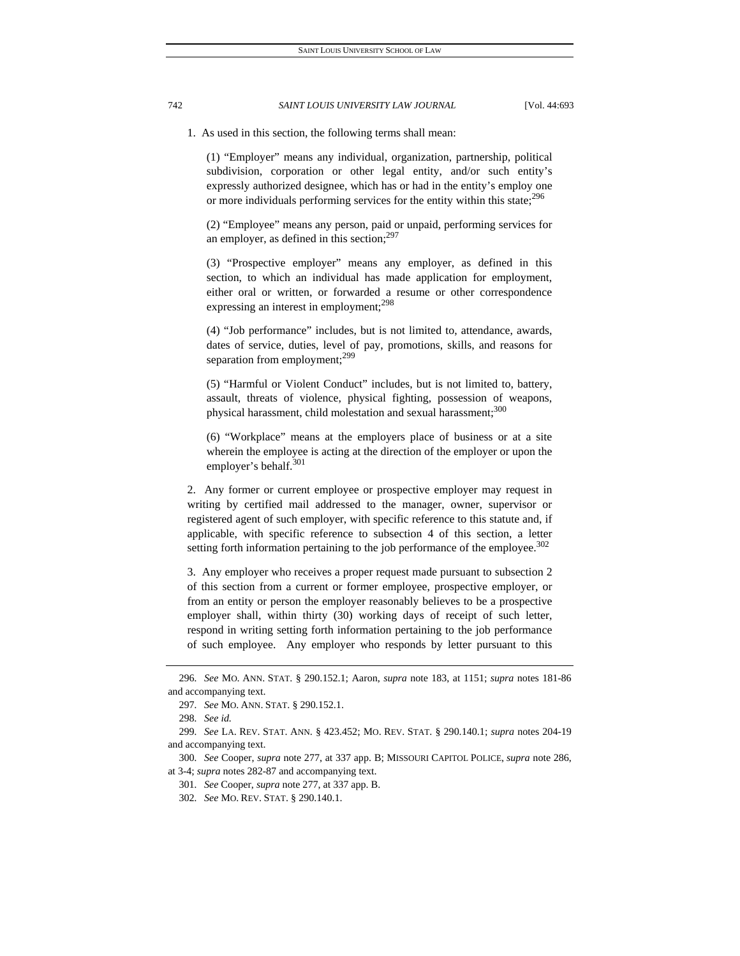1. As used in this section, the following terms shall mean:

(1) "Employer" means any individual, organization, partnership, political subdivision, corporation or other legal entity, and/or such entity's expressly authorized designee, which has or had in the entity's employ one or more individuals performing services for the entity within this state;  $296$ 

(2) "Employee" means any person, paid or unpaid, performing services for an employer, as defined in this section; $297$ 

(3) "Prospective employer" means any employer, as defined in this section, to which an individual has made application for employment, either oral or written, or forwarded a resume or other correspondence expressing an interest in employment;<sup>298</sup>

(4) "Job performance" includes, but is not limited to, attendance, awards, dates of service, duties, level of pay, promotions, skills, and reasons for separation from employment;<sup>299</sup>

(5) "Harmful or Violent Conduct" includes, but is not limited to, battery, assault, threats of violence, physical fighting, possession of weapons, physical harassment, child molestation and sexual harassment;<sup>300</sup>

(6) "Workplace" means at the employers place of business or at a site wherein the employee is acting at the direction of the employer or upon the employer's behalf.<sup>301</sup>

2. Any former or current employee or prospective employer may request in writing by certified mail addressed to the manager, owner, supervisor or registered agent of such employer, with specific reference to this statute and, if applicable, with specific reference to subsection 4 of this section, a letter setting forth information pertaining to the job performance of the employee. $302$ 

3. Any employer who receives a proper request made pursuant to subsection 2 of this section from a current or former employee, prospective employer, or from an entity or person the employer reasonably believes to be a prospective employer shall, within thirty (30) working days of receipt of such letter, respond in writing setting forth information pertaining to the job performance of such employee. Any employer who responds by letter pursuant to this

300*. See* Cooper, *supra* note 277, at 337 app. B; MISSOURI CAPITOL POLICE, *supra* note 286, at 3-4; *supra* notes 282-87 and accompanying text.

301*. See* Cooper, *supra* note 277, at 337 app. B.

<sup>296</sup>*. See* MO. ANN. STAT. § 290.152.1; Aaron, *supra* note 183, at 1151; *supra* notes 181-86 and accompanying text.

<sup>297</sup>*. See* MO. ANN. STAT. § 290.152.1.

<sup>298</sup>*. See id.*

<sup>299</sup>*. See* LA. REV. STAT. ANN. § 423.452; MO. REV. STAT. § 290.140.1; *supra* notes 204-19 and accompanying text.

<sup>302</sup>*. See* MO. REV. STAT. § 290.140.1.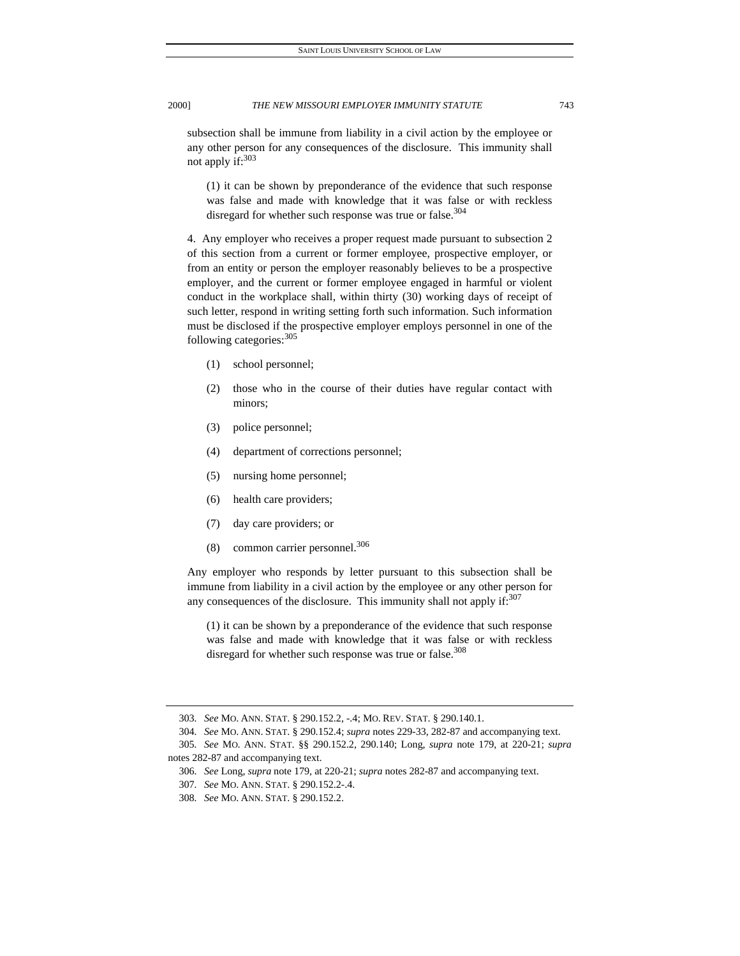subsection shall be immune from liability in a civil action by the employee or any other person for any consequences of the disclosure. This immunity shall not apply if: $303$ 

(1) it can be shown by preponderance of the evidence that such response was false and made with knowledge that it was false or with reckless disregard for whether such response was true or false. $304$ 

4. Any employer who receives a proper request made pursuant to subsection 2 of this section from a current or former employee, prospective employer, or from an entity or person the employer reasonably believes to be a prospective employer, and the current or former employee engaged in harmful or violent conduct in the workplace shall, within thirty (30) working days of receipt of such letter, respond in writing setting forth such information. Such information must be disclosed if the prospective employer employs personnel in one of the following categories: 305

- (1) school personnel;
- (2) those who in the course of their duties have regular contact with minors;
- (3) police personnel;
- (4) department of corrections personnel;
- (5) nursing home personnel;
- (6) health care providers;
- (7) day care providers; or
- (8) common carrier personnel.<sup>306</sup>

Any employer who responds by letter pursuant to this subsection shall be immune from liability in a civil action by the employee or any other person for any consequences of the disclosure. This immunity shall not apply if: $307$ 

(1) it can be shown by a preponderance of the evidence that such response was false and made with knowledge that it was false or with reckless disregard for whether such response was true or false.<sup>308</sup>

<sup>303</sup>*. See* MO. ANN. STAT. § 290.152.2, -.4; MO. REV. STAT. § 290.140.1.

<sup>304</sup>*. See* MO. ANN. STAT. § 290.152.4; *supra* notes 229-33, 282-87 and accompanying text.

<sup>305</sup>*. See* MO. ANN. STAT. §§ 290.152.2, 290.140; Long, *supra* note 179, at 220-21; *supra*  notes 282-87 and accompanying text.

<sup>306</sup>*. See* Long, *supra* note 179, at 220-21; *supra* notes 282-87 and accompanying text.

<sup>307</sup>*. See* MO. ANN. STAT. § 290.152.2-.4.

<sup>308</sup>*. See* MO. ANN. STAT. § 290.152.2.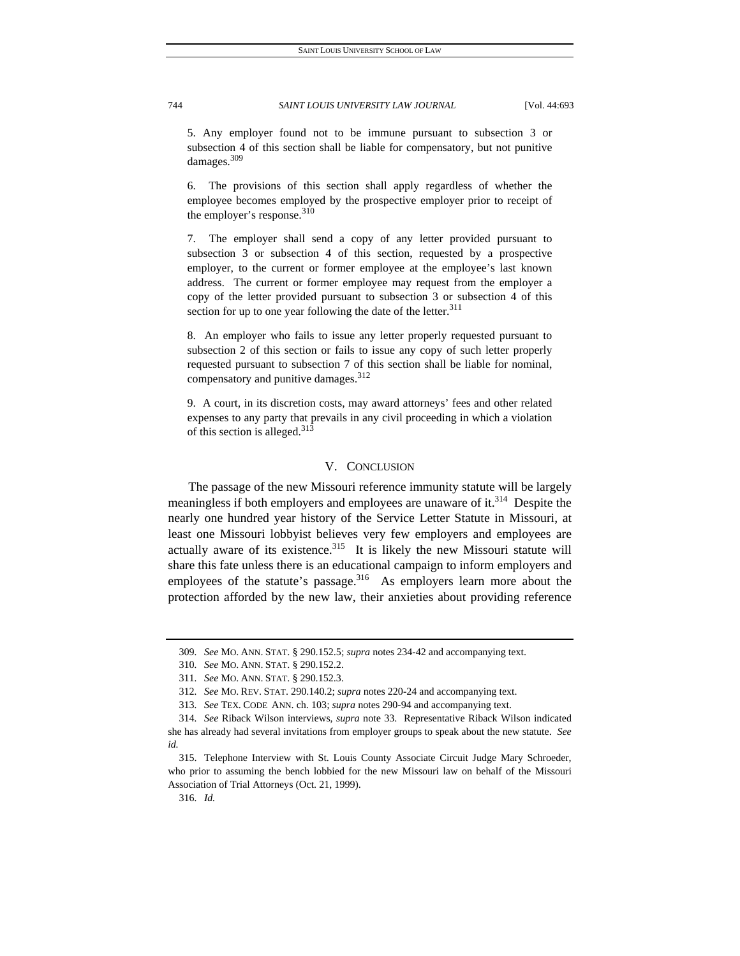5. Any employer found not to be immune pursuant to subsection 3 or subsection 4 of this section shall be liable for compensatory, but not punitive damages.<sup>309</sup>

6. The provisions of this section shall apply regardless of whether the employee becomes employed by the prospective employer prior to receipt of the employer's response.<sup>310</sup>

7. The employer shall send a copy of any letter provided pursuant to subsection 3 or subsection 4 of this section, requested by a prospective employer, to the current or former employee at the employee's last known address. The current or former employee may request from the employer a copy of the letter provided pursuant to subsection 3 or subsection 4 of this section for up to one year following the date of the letter. $311$ 

8. An employer who fails to issue any letter properly requested pursuant to subsection 2 of this section or fails to issue any copy of such letter properly requested pursuant to subsection 7 of this section shall be liable for nominal, compensatory and punitive damages. $312$ 

9. A court, in its discretion costs, may award attorneys' fees and other related expenses to any party that prevails in any civil proceeding in which a violation of this section is alleged.<sup>313</sup>

# V. CONCLUSION

The passage of the new Missouri reference immunity statute will be largely meaningless if both employers and employees are unaware of it.<sup>314</sup> Despite the nearly one hundred year history of the Service Letter Statute in Missouri, at least one Missouri lobbyist believes very few employers and employees are actually aware of its existence. $315$  It is likely the new Missouri statute will share this fate unless there is an educational campaign to inform employers and employees of the statute's passage.<sup>316</sup> As employers learn more about the protection afforded by the new law, their anxieties about providing reference

316*. Id.*

<sup>309</sup>*. See* MO. ANN. STAT. § 290.152.5; *supra* notes 234-42 and accompanying text.

<sup>310</sup>*. See* MO. ANN. STAT. § 290.152.2.

<sup>311</sup>*. See* MO. ANN. STAT. § 290.152.3.

<sup>312</sup>*. See* MO. REV. STAT. 290.140.2; *supra* notes 220-24 and accompanying text.

<sup>313</sup>*. See* TEX. CODE ANN. ch. 103; *supra* notes 290-94 and accompanying text.

<sup>314</sup>*. See* Riback Wilson interviews, *supra* note 33.Representative Riback Wilson indicated she has already had several invitations from employer groups to speak about the new statute. *See id.*

 <sup>315.</sup> Telephone Interview with St. Louis County Associate Circuit Judge Mary Schroeder, who prior to assuming the bench lobbied for the new Missouri law on behalf of the Missouri Association of Trial Attorneys (Oct. 21, 1999).